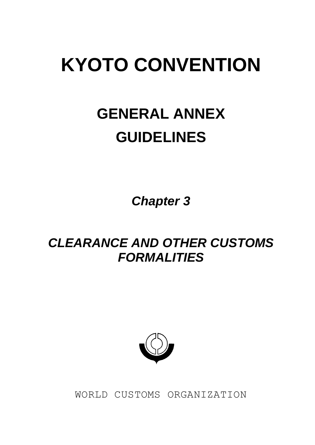# **KYOTO CONVENTION**

## **GENERAL ANNEX GUIDELINES**

*Chapter 3*

## *CLEARANCE AND OTHER CUSTOMS FORMALITIES*



WORLD CUSTOMS ORGANIZATION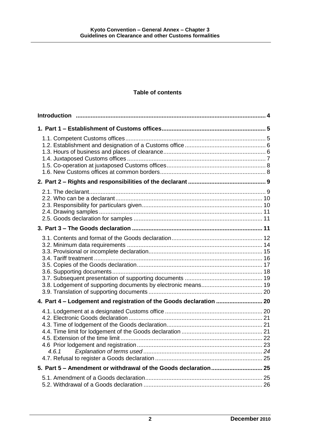## **Table of contents**

| 4. Part 4 - Lodgement and registration of the Goods declaration  20 |  |
|---------------------------------------------------------------------|--|
| 4.6.1                                                               |  |
|                                                                     |  |
|                                                                     |  |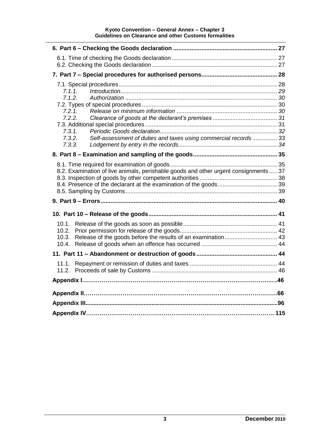#### **Kyoto Convention – General Annex – Chapter 3 Guidelines on Clearance and other Customs formalities**

| 7.1.1.<br>7.1.2.<br>7.2.1.<br>7.2.2.<br>7.3.1.<br>Self-assessment of duties and taxes using commercial records 33<br>7.3.2.<br>7.3.3. |  |  |
|---------------------------------------------------------------------------------------------------------------------------------------|--|--|
|                                                                                                                                       |  |  |
| 8.2. Examination of live animals, perishable goods and other urgent consignments 37                                                   |  |  |
|                                                                                                                                       |  |  |
|                                                                                                                                       |  |  |
| 10.2.<br>10.3.                                                                                                                        |  |  |
|                                                                                                                                       |  |  |
|                                                                                                                                       |  |  |
|                                                                                                                                       |  |  |
|                                                                                                                                       |  |  |
|                                                                                                                                       |  |  |
|                                                                                                                                       |  |  |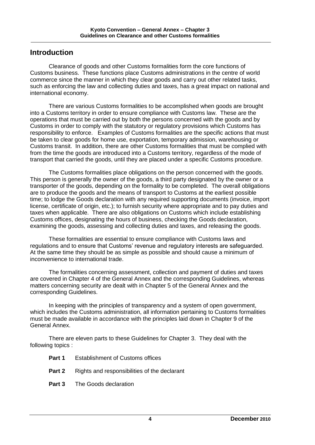## **Introduction**

Clearance of goods and other Customs formalities form the core functions of Customs business. These functions place Customs administrations in the centre of world commerce since the manner in which they clear goods and carry out other related tasks, such as enforcing the law and collecting duties and taxes, has a great impact on national and international economy.

There are various Customs formalities to be accomplished when goods are brought into a Customs territory in order to ensure compliance with Customs law. These are the operations that must be carried out by both the persons concerned with the goods and by Customs in order to comply with the statutory or regulatory provisions which Customs has responsibility to enforce. Examples of Customs formalities are the specific actions that must be taken to clear goods for home use, exportation, temporary admission, warehousing or Customs transit. In addition, there are other Customs formalities that must be complied with from the time the goods are introduced into a Customs territory, regardless of the mode of transport that carried the goods, until they are placed under a specific Customs procedure.

The Customs formalities place obligations on the person concerned with the goods. This person is generally the owner of the goods, a third party designated by the owner or a transporter of the goods, depending on the formality to be completed. The overall obligations are to produce the goods and the means of transport to Customs at the earliest possible time; to lodge the Goods declaration with any required supporting documents (invoice, import license, certificate of origin, etc.); to furnish security where appropriate and to pay duties and taxes when applicable. There are also obligations on Customs which include establishing Customs offices, designating the hours of business, checking the Goods declaration, examining the goods, assessing and collecting duties and taxes, and releasing the goods.

These formalities are essential to ensure compliance with Customs laws and regulations and to ensure that Customs' revenue and regulatory interests are safeguarded. At the same time they should be as simple as possible and should cause a minimum of inconvenience to international trade.

The formalities concerning assessment, collection and payment of duties and taxes are covered in Chapter 4 of the General Annex and the corresponding Guidelines, whereas matters concerning security are dealt with in Chapter 5 of the General Annex and the corresponding Guidelines.

In keeping with the principles of transparency and a system of open government, which includes the Customs administration, all information pertaining to Customs formalities must be made available in accordance with the principles laid down in Chapter 9 of the General Annex.

There are eleven parts to these Guidelines for Chapter 3. They deal with the following topics :

- **Part 1** Establishment of Customs offices
- **Part 2** Rights and responsibilities of the declarant
- **Part 3** The Goods declaration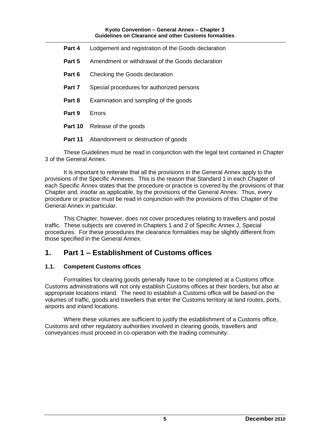| Part 4  | Lodgement and registration of the Goods declaration |
|---------|-----------------------------------------------------|
| Part 5  | Amendment or withdrawal of the Goods declaration    |
| Part 6  | Checking the Goods declaration                      |
| Part 7  | Special procedures for authorized persons           |
| Part 8  | Examination and sampling of the goods               |
| Part 9  | Errors                                              |
| Part 10 | Release of the goods                                |
| Part 11 | Abandonment or destruction of goods                 |

These Guidelines must be read in conjunction with the legal text contained in Chapter 3 of the General Annex.

It is important to reiterate that all the provisions in the General Annex apply to the provisions of the Specific Annexes. This is the reason that Standard 1 in each Chapter of each Specific Annex states that the procedure or practice is covered by the provisions of that Chapter and, insofar as applicable, by the provisions of the General Annex. Thus, every procedure or practice must be read in conjunction with the provisions of this Chapter of the General Annex in particular.

This Chapter, however, does not cover procedures relating to travellers and postal traffic. These subjects are covered in Chapters 1 and 2 of Specific Annex J, Special procedures. For these procedures the clearance formalities may be slightly different from those specified in the General Annex.

## **1. Part 1 – Establishment of Customs offices**

## **1.1. Competent Customs offices**

Formalities for clearing goods generally have to be completed at a Customs office. Customs administrations will not only establish Customs offices at their borders, but also at appropriate locations inland. The need to establish a Customs office will be based on the volumes of traffic, goods and travellers that enter the Customs territory at land routes, ports, airports and inland locations.

Where these volumes are sufficient to justify the establishment of a Customs office, Customs and other regulatory authorities involved in clearing goods, travellers and conveyances must proceed in co-operation with the trading community.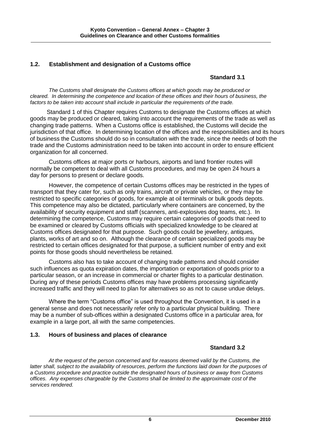## **1.2. Establishment and designation of a Customs office**

## **Standard 3.1**

*The Customs shall designate the Customs offices at which goods may be produced or cleared. In determining the competence and location of these offices and their hours of business, the factors to be taken into account shall include in particular the requirements of the trade.*

Standard 1 of this Chapter requires Customs to designate the Customs offices at which goods may be produced or cleared, taking into account the requirements of the trade as well as changing trade patterns. When a Customs office is established, the Customs will decide the jurisdiction of that office. In determining location of the offices and the responsibilities and its hours of business the Customs should do so in consultation with the trade, since the needs of both the trade and the Customs administration need to be taken into account in order to ensure efficient organization for all concerned.

Customs offices at major ports or harbours, airports and land frontier routes will normally be competent to deal with all Customs procedures, and may be open 24 hours a day for persons to present or declare goods.

However, the competence of certain Customs offices may be restricted in the types of transport that they cater for, such as only trains, aircraft or private vehicles, or they may be restricted to specific categories of goods, for example at oil terminals or bulk goods depots. This competence may also be dictated, particularly where containers are concerned, by the availability of security equipment and staff (scanners, anti-explosives dog teams, etc.). In determining the competence, Customs may require certain categories of goods that need to be examined or cleared by Customs officials with specialized knowledge to be cleared at Customs offices designated for that purpose. Such goods could be jewellery, antiques, plants, works of art and so on. Although the clearance of certain specialized goods may be restricted to certain offices designated for that purpose, a sufficient number of entry and exit points for those goods should nevertheless be retained*.*

Customs also has to take account of changing trade patterns and should consider such influences as quota expiration dates, the importation or exportation of goods prior to a particular season, or an increase in commercial or charter flights to a particular destination. During any of these periods Customs offices may have problems processing significantly increased traffic and they will need to plan for alternatives so as not to cause undue delays.

Where the term "Customs office" is used throughout the Convention, it is used in a general sense and does not necessarily refer only to a particular physical building. There may be a number of sub-offices within a designated Customs office in a particular area, for example in a large port, all with the same competencies.

## **1.3. Hours of business and places of clearance**

## **Standard 3.2**

*At the request of the person concerned and for reasons deemed valid by the Customs, the latter shall, subject to the availability of resources, perform the functions laid down for the purposes of a Customs procedure and practice outside the designated hours of business or away from Customs offices. Any expenses chargeable by the Customs shall be limited to the approximate cost of the services rendered.*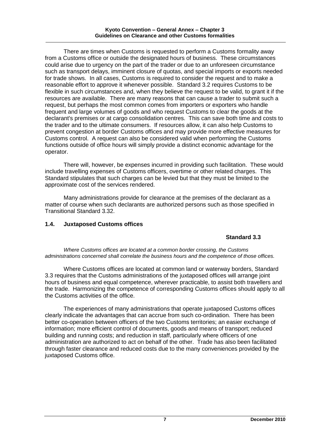There are times when Customs is requested to perform a Customs formality away from a Customs office or outside the designated hours of business. These circumstances could arise due to urgency on the part of the trader or due to an unforeseen circumstance such as transport delays, imminent closure of quotas, and special imports or exports needed for trade shows. In all cases, Customs is required to consider the request and to make a reasonable effort to approve it whenever possible. Standard 3.2 requires Customs to be flexible in such circumstances and, when they believe the request to be valid, to grant it if the resources are available. There are many reasons that can cause a trader to submit such a request, but perhaps the most common comes from importers or exporters who handle frequent and large volumes of goods and who request Customs to clear the goods at the declarant's premises or at cargo consolidation centres. This can save both time and costs to the trader and to the ultimate consumers. If resources allow, it can also help Customs to prevent congestion at border Customs offices and may provide more effective measures for Customs control. A request can also be considered valid when performing the Customs functions outside of office hours will simply provide a distinct economic advantage for the operator.

There will, however, be expenses incurred in providing such facilitation. These would include travelling expenses of Customs officers, overtime or other related charges. This Standard stipulates that such charges can be levied but that they must be limited to the approximate cost of the services rendered.

Many administrations provide for clearance at the premises of the declarant as a matter of course when such declarants are authorized persons such as those specified in Transitional Standard 3.32.

## **1.4. Juxtaposed Customs offices**

## **Standard 3.3**

*Where Customs offices are located at a common border crossing, the Customs administrations concerned shall correlate the business hours and the competence of those offices.*

Where Customs offices are located at common land or waterway borders, Standard 3.3 requires that the Customs administrations of the juxtaposed offices will arrange joint hours of business and equal competence, wherever practicable, to assist both travellers and the trade. Harmonizing the competence of corresponding Customs offices should apply to all the Customs activities of the office.

The experiences of many administrations that operate juxtaposed Customs offices clearly indicate the advantages that can accrue from such co-ordination. There has been better co-operation between officers of the two Customs territories; an easier exchange of information; more efficient control of documents, goods and means of transport; reduced building and running costs; and reduction in staff, particularly where officers of one administration are authorized to act on behalf of the other. Trade has also been facilitated through faster clearance and reduced costs due to the many conveniences provided by the juxtaposed Customs office.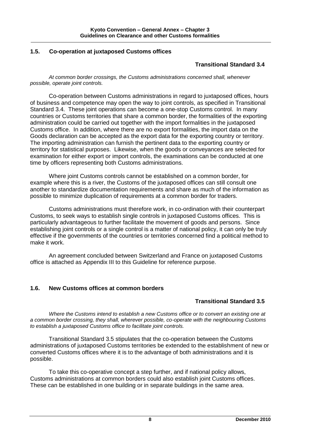## **1.5. Co-operation at juxtaposed Customs offices**

## **Transitional Standard 3.4**

*At common border crossings, the Customs administrations concerned shall, whenever possible, operate joint controls.*

Co-operation between Customs administrations in regard to juxtaposed offices, hours of business and competence may open the way to joint controls, as specified in Transitional Standard 3.4. These joint operations can become a one-stop Customs control. In many countries or Customs territories that share a common border, the formalities of the exporting administration could be carried out together with the import formalities in the juxtaposed Customs office. In addition, where there are no export formalities, the import data on the Goods declaration can be accepted as the export data for the exporting country or territory. The importing administration can furnish the pertinent data to the exporting country or territory for statistical purposes. Likewise, when the goods or conveyances are selected for examination for either export or import controls, the examinations can be conducted at one time by officers representing both Customs administrations.

Where joint Customs controls cannot be established on a common border, for example where this is a river, the Customs of the juxtaposed offices can still consult one another to standardize documentation requirements and share as much of the information as possible to minimize duplication of requirements at a common border for traders.

Customs administrations must therefore work, in co-ordination with their counterpart Customs, to seek ways to establish single controls in juxtaposed Customs offices. This is particularly advantageous to further facilitate the movement of goods and persons. Since establishing joint controls or a single control is a matter of national policy, it can only be truly effective if the governments of the countries or territories concerned find a political method to make it work.

An agreement concluded between Switzerland and France on juxtaposed Customs office is attached as Appendix III to this Guideline for reference purpose.

## **1.6. New Customs offices at common borders**

## **Transitional Standard 3.5**

*Where the Customs intend to establish a new Customs office or to convert an existing one at a common border crossing, they shall, wherever possible, co-operate with the neighbouring Customs to establish a juxtaposed Customs office to facilitate joint controls.*

Transitional Standard 3.5 stipulates that the co-operation between the Customs administrations of juxtaposed Customs territories be extended to the establishment of new or converted Customs offices where it is to the advantage of both administrations and it is possible.

To take this co-operative concept a step further, and if national policy allows, Customs administrations at common borders could also establish joint Customs offices. These can be established in one building or in separate buildings in the same area.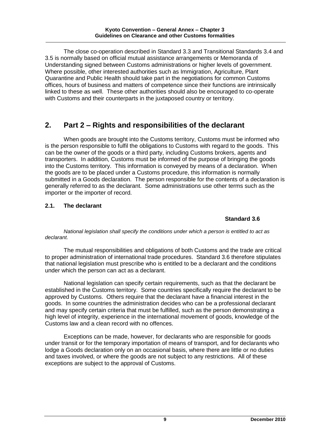The close co-operation described in Standard 3.3 and Transitional Standards 3.4 and 3.5 is normally based on official mutual assistance arrangements or Memoranda of Understanding signed between Customs administrations or higher levels of government. Where possible, other interested authorities such as Immigration, Agriculture, Plant Quarantine and Public Health should take part in the negotiations for common Customs offices, hours of business and matters of competence since their functions are intrinsically linked to these as well. These other authorities should also be encouraged to co-operate with Customs and their counterparts in the juxtaposed country or territory.

## **2. Part 2 – Rights and responsibilities of the declarant**

When goods are brought into the Customs territory, Customs must be informed who is the person responsible to fulfil the obligations to Customs with regard to the goods. This can be the owner of the goods or a third party, including Customs brokers, agents and transporters. In addition, Customs must be informed of the purpose of bringing the goods into the Customs territory. This information is conveyed by means of a declaration. When the goods are to be placed under a Customs procedure, this information is normally submitted in a Goods declaration. The person responsible for the contents of a declaration is generally referred to as the declarant. Some administrations use other terms such as the importer or the importer of record.

## **2.1. The declarant**

## **Standard 3.6**

*National legislation shall specify the conditions under which a person is entitled to act as declarant.*

The mutual responsibilities and obligations of both Customs and the trade are critical to proper administration of international trade procedures. Standard 3.6 therefore stipulates that national legislation must prescribe who is entitled to be a declarant and the conditions under which the person can act as a declarant.

National legislation can specify certain requirements, such as that the declarant be established in the Customs territory. Some countries specifically require the declarant to be approved by Customs. Others require that the declarant have a financial interest in the goods. In some countries the administration decides who can be a professional declarant and may specify certain criteria that must be fulfilled, such as the person demonstrating a high level of integrity, experience in the international movement of goods, knowledge of the Customs law and a clean record with no offences.

Exceptions can be made, however, for declarants who are responsible for goods under transit or for the temporary importation of means of transport, and for declarants who lodge a Goods declaration only on an occasional basis, where there are little or no duties and taxes involved, or where the goods are not subject to any restrictions. All of these exceptions are subject to the approval of Customs.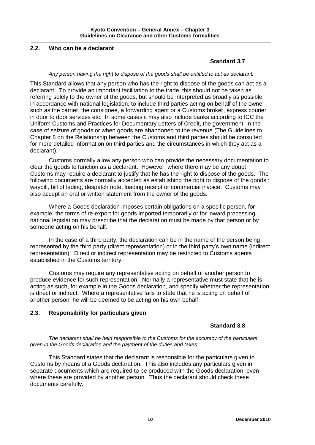## **2.2. Who can be a declarant**

## **Standard 3.7**

#### *Any person having the right to dispose of the goods shall be entitled to act as declarant.*

This Standard allows that any person who has the right to dispose of the goods can act as a declarant. To provide an important facilitation to the trade, this should not be taken as referring solely to the owner of the goods, but should be interpreted as broadly as possible, in accordance with national legislation, to include third parties acting on behalf of the owner such as the carrier, the consignee, a forwarding agent or a Customs broker, express courier in door to door services etc. In some cases it may also include banks according to ICC the Uniform Customs and Practices for Documentary Letters of Credit, the government, in the case of seizure of goods or when goods are abandoned to the revenue (The Guidelines to Chapter 8 on the Relationship between the Customs and third parties should be consulted for more detailed information on third parties and the circumstances in which they act as a declarant).

Customs normally allow any person who can provide the necessary documentation to clear the goods to function as a declarant. However, where there may be any doubt Customs may require a declarant to justify that he has the right to dispose of the goods. The following documents are normally accepted as establishing the right to dispose of the goods : waybill, bill of lading, despatch note, loading receipt or commercial invoice. Customs may also accept an oral or written statement from the owner of the goods.

Where a Goods declaration imposes certain obligations on a specific person, for example, the terms of re-export for goods imported temporarily or for inward processing, national legislation may prescribe that the declaration must be made by that person or by someone acting on his behalf.

In the case of a third party, the declaration can be in the name of the person being represented by the third party (direct representation) or in the third party's own name (indirect representation). Direct or indirect representation may be restricted to Customs agents established in the Customs territory.

Customs may require any representative acting on behalf of another person to produce evidence for such representation. Normally a representative must state that he is acting as such, for example in the Goods declaration, and specify whether the representation is direct or indirect. Where a representative fails to state that he is acting on behalf of another person, he will be deemed to be acting on his own behalf.

#### **2.3. Responsibility for particulars given**

## **Standard 3.8**

*The declarant shall be held responsible to the Customs for the accuracy of the particulars given in the Goods declaration and the payment of the duties and taxes.*

This Standard states that the declarant is responsible for the particulars given to Customs by means of a Goods declaration. This also includes any particulars given in separate documents which are required to be produced with the Goods declaration, even where these are provided by another person. Thus the declarant should check these documents carefully.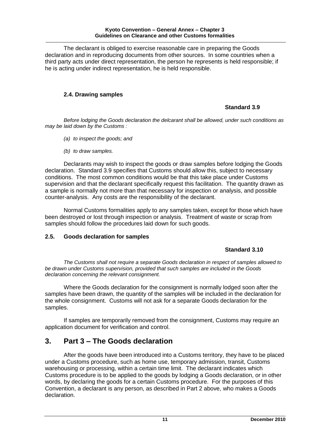The declarant is obliged to exercise reasonable care in preparing the Goods declaration and in reproducing documents from other sources. In some countries when a third party acts under direct representation, the person he represents is held responsible; if he is acting under indirect representation, he is held responsible.

## **2.4. Drawing samples**

## **Standard 3.9**

*Before lodging the Goods declaration the delcarant shall be allowed, under such conditions as may be laid down by the Customs :*

- *(a) to inspect the goods; and*
- *(b) to draw samples.*

Declarants may wish to inspect the goods or draw samples before lodging the Goods declaration. Standard 3.9 specifies that Customs should allow this, subject to necessary conditions. The most common conditions would be that this take place under Customs supervision and that the declarant specifically request this facilitation. The quantity drawn as a sample is normally not more than that necessary for inspection or analysis, and possible counter-analysis. Any costs are the responsibility of the declarant.

Normal Customs formalities apply to any samples taken, except for those which have been destroyed or lost through inspection or analysis. Treatment of waste or scrap from samples should follow the procedures laid down for such goods.

#### **2.5. Goods declaration for samples**

## **Standard 3.10**

*The Customs shall not require a separate Goods declaration in respect of samples allowed to be drawn under Customs supervision, provided that such samples are included in the Goods declaration concerning the relevant consignment.*

Where the Goods declaration for the consignment is normally lodged soon after the samples have been drawn, the quantity of the samples will be included in the declaration for the whole consignment. Customs will not ask for a separate Goods declaration for the samples.

If samples are temporarily removed from the consignment, Customs may require an application document for verification and control.

## **3. Part 3 – The Goods declaration**

After the goods have been introduced into a Customs territory, they have to be placed under a Customs procedure, such as home use, temporary admission, transit, Customs warehousing or processing, within a certain time limit. The declarant indicates which Customs procedure is to be applied to the goods by lodging a Goods declaration, or in other words, by declaring the goods for a certain Customs procedure. For the purposes of this Convention, a declarant is any person, as described in Part 2 above, who makes a Goods declaration.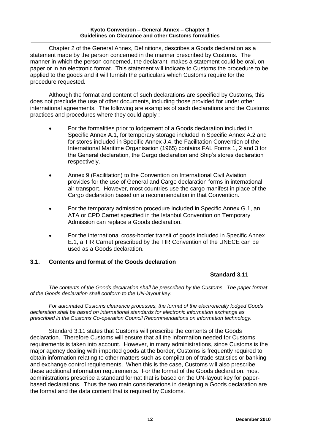#### **Kyoto Convention – General Annex – Chapter 3 Guidelines on Clearance and other Customs formalities**

Chapter 2 of the General Annex, Definitions, describes a Goods declaration as a statement made by the person concerned in the manner prescribed by Customs. The manner in which the person concerned, the declarant, makes a statement could be oral, on paper or in an electronic format. This statement will indicate to Customs the procedure to be applied to the goods and it will furnish the particulars which Customs require for the procedure requested.

Although the format and content of such declarations are specified by Customs, this does not preclude the use of other documents, including those provided for under other international agreements. The following are examples of such declarations and the Customs practices and procedures where they could apply :

- For the formalities prior to lodgement of a Goods declaration included in Specific Annex A.1, for temporary storage included in Specific Annex A.2 and for stores included in Specific Annex J.4, the Facilitation Convention of the International Maritime Organisation (1965) contains FAL Forms 1, 2 and 3 for the General declaration, the Cargo declaration and Ship's stores declaration respectively.
- Annex 9 (Facilitation) to the Convention on International Civil Aviation provides for the use of General and Cargo declaration forms in international air transport. However, most countries use the cargo manifest in place of the Cargo declaration based on a recommendation in that Convention.
- For the temporary admission procedure included in Specific Annex G.1, an ATA or CPD Carnet specified in the Istanbul Convention on Temporary Admission can replace a Goods declaration.
- For the international cross-border transit of goods included in Specific Annex E.1, a TIR Carnet prescribed by the TIR Convention of the UNECE can be used as a Goods declaration.

## **3.1. Contents and format of the Goods declaration**

## **Standard 3.11**

*The contents of the Goods declaration shall be prescribed by the Customs. The paper format of the Goods declaration shall conform to the UN-layout key.*

*For automated Customs clearance processes, the format of the electronically lodged Goods declaration shall be based on international standards for electronic information exchange as prescribed in the Customs Co-operation Council Recommendations on information technology.*

Standard 3.11 states that Customs will prescribe the contents of the Goods declaration. Therefore Customs will ensure that all the information needed for Customs requirements is taken into account. However, in many administrations, since Customs is the major agency dealing with imported goods at the border, Customs is frequently required to obtain information relating to other matters such as compilation of trade statistics or banking and exchange control requirements. When this is the case, Customs will also prescribe these additional information requirements. For the format of the Goods declaration, most administrations prescribe a standard format that is based on the UN-layout key for paperbased declarations. Thus the two main considerations in designing a Goods declaration are the format and the data content that is required by Customs.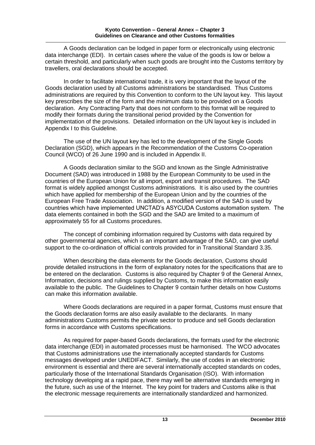A Goods declaration can be lodged in paper form or electronically using electronic data interchange (EDI). In certain cases where the value of the goods is low or below a certain threshold, and particularly when such goods are brought into the Customs territory by travellers, oral declarations should be accepted.

In order to facilitate international trade, it is very important that the layout of the Goods declaration used by all Customs administrations be standardised. Thus Customs administrations are required by this Convention to conform to the UN layout key. This layout key prescribes the size of the form and the minimum data to be provided on a Goods declaration. Any Contracting Party that does not conform to this format will be required to modify their formats during the transitional period provided by the Convention for implementation of the provisions. Detailed information on the UN layout key is included in Appendix I to this Guideline.

The use of the UN layout key has led to the development of the Single Goods Declaration (SGD), which appears in the Recommendation of the Customs Co-operation Council (WCO) of 26 June 1990 and is included in Appendix II.

A Goods declaration similar to the SGD and known as the Single Administrative Document (SAD) was introduced in 1988 by the European Community to be used in the countries of the European Union for all import, export and transit procedures. The SAD format is widely applied amongst Customs administrations. It is also used by the countries which have applied for membership of the European Union and by the countries of the European Free Trade Association. In addition, a modified version of the SAD is used by countries which have implemented UNCTAD's ASYCUDA Customs automation system. The data elements contained in both the SGD and the SAD are limited to a maximum of approximately 55 for all Customs procedures.

The concept of combining information required by Customs with data required by other governmental agencies, which is an important advantage of the SAD, can give useful support to the co-ordination of official controls provided for in Transitional Standard 3.35.

When describing the data elements for the Goods declaration, Customs should provide detailed instructions in the form of explanatory notes for the specifications that are to be entered on the declaration. Customs is also required by Chapter 9 of the General Annex, Information, decisions and rulings supplied by Customs, to make this information easily available to the public. The Guidelines to Chapter 9 contain further details on how Customs can make this information available.

Where Goods declarations are required in a paper format, Customs must ensure that the Goods declaration forms are also easily available to the declarants. In many administrations Customs permits the private sector to produce and sell Goods declaration forms in accordance with Customs specifications.

As required for paper-based Goods declarations, the formats used for the electronic data interchange (EDI) in automated processes must be harmonised. The WCO advocates that Customs administrations use the internationally accepted standards for Customs messages developed under UNEDIFACT. Similarly, the use of codes in an electronic environment is essential and there are several internationally accepted standards on codes, particularly those of the International Standards Organisation (ISO). With information technology developing at a rapid pace, there may well be alternative standards emerging in the future, such as use of the Internet. The key point for traders and Customs alike is that the electronic message requirements are internationally standardized and harmonized.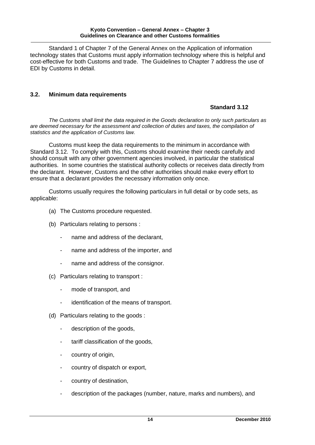#### **Kyoto Convention – General Annex – Chapter 3 Guidelines on Clearance and other Customs formalities**

Standard 1 of Chapter 7 of the General Annex on the Application of information technology states that Customs must apply information technology where this is helpful and cost-effective for both Customs and trade. The Guidelines to Chapter 7 address the use of EDI by Customs in detail.

## **3.2. Minimum data requirements**

## **Standard 3.12**

*The Customs shall limit the data required in the Goods declaration to only such particulars as are deemed necessary for the assessment and collection of duties and taxes, the compilation of statistics and the application of Customs law.*

Customs must keep the data requirements to the minimum in accordance with Standard 3.12. To comply with this, Customs should examine their needs carefully and should consult with any other government agencies involved, in particular the statistical authorities. In some countries the statistical authority collects or receives data directly from the declarant. However, Customs and the other authorities should make every effort to ensure that a declarant provides the necessary information only once.

Customs usually requires the following particulars in full detail or by code sets, as applicable:

- (a) The Customs procedure requested.
- (b) Particulars relating to persons :
	- name and address of the declarant.
	- name and address of the importer, and
	- name and address of the consignor.
- (c) Particulars relating to transport :
	- mode of transport, and
	- identification of the means of transport.
- (d) Particulars relating to the goods :
	- description of the goods,
	- tariff classification of the goods,
	- country of origin,
	- country of dispatch or export,
	- country of destination,
	- description of the packages (number, nature, marks and numbers), and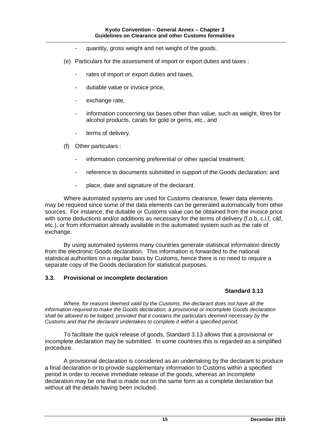- quantity, gross weight and net weight of the goods.
- (e) Particulars for the assessment of import or export duties and taxes :
	- rates of import or export duties and taxes,
	- dutiable value or invoice price,
	- exchange rate,
	- information concerning tax bases other than value, such as weight, litres for alcohol products, carats for gold or gems, etc., and
	- terms of delivery.
- (f) Other particulars :
	- information concerning preferential or other special treatment;
	- reference to documents submitted in support of the Goods declaration; and
	- place, date and signature of the declarant.

Where automated systems are used for Customs clearance, fewer data elements may be required since some of the data elements can be generated automatically from other sources. For instance, the dutiable or Customs value can be obtained from the invoice price with some deductions and/or additions as necessary for the terms of delivery (f.o.b, c.i.f, c&f, etc.), or from information already available in the automated system such as the rate of exchange.

By using automated systems many countries generate statistical information directly from the electronic Goods declaration. This information is forwarded to the national statistical authorities on a regular basis by Customs, hence there is no need to require a separate copy of the Goods declaration for statistical purposes.

## **3.3. Provisional or incomplete declaration**

## **Standard 3.13**

*Where, for reasons deemed valid by the Customs, the declarant does not have all the information required to make the Goods declaration, a provisional or incomplete Goods declaration shall be allowed to be lodged, provided that it contains the particulars deemed necessary by the Customs and that the declarant undertakes to complete it within a specified period.*

To facilitate the quick release of goods, Standard 3.13 allows that a provisional or incomplete declaration may be submitted. In some countries this is regarded as a simplified procedure.

A provisional declaration is considered as an undertaking by the declarant to produce a final declaration or to provide supplementary information to Customs within a specified period in order to receive immediate release of the goods, whereas an incomplete declaration may be one that is made out on the same form as a complete declaration but without all the details having been included.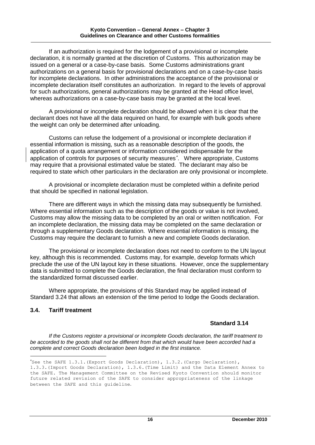If an authorization is required for the lodgement of a provisional or incomplete declaration, it is normally granted at the discretion of Customs. This authorization may be issued on a general or a case-by-case basis. Some Customs administrations grant authorizations on a general basis for provisional declarations and on a case-by-case basis for incomplete declarations. In other administrations the acceptance of the provisional or incomplete declaration itself constitutes an authorization. In regard to the levels of approval for such authorizations, general authorizations may be granted at the Head office level, whereas authorizations on a case-by-case basis may be granted at the local level.

A provisional or incomplete declaration should be allowed when it is clear that the declarant does not have all the data required on hand, for example with bulk goods where the weight can only be determined after unloading.

Customs can refuse the lodgement of a provisional or incomplete declaration if essential information is missing, such as a reasonable description of the goods, the application of a quota arrangement or information considered indispensable for the application of controls for purposes of security measures . Where appropriate, Customs may require that a provisional estimated value be stated. The declarant may also be required to state which other particulars in the declaration are only provisional or incomplete.

A provisional or incomplete declaration must be completed within a definite period that should be specified in national legislation.

There are different ways in which the missing data may subsequently be furnished. Where essential information such as the description of the goods or value is not involved, Customs may allow the missing data to be completed by an oral or written notification. For an incomplete declaration, the missing data may be completed on the same declaration or through a supplementary Goods declaration. Where essential information is missing, the Customs may require the declarant to furnish a new and complete Goods declaration.

The provisional or incomplete declaration does not need to conform to the UN layout key, although this is recommended. Customs may, for example, develop formats which preclude the use of the UN layout key in these situations. However, once the supplementary data is submitted to complete the Goods declaration, the final declaration must conform to the standardized format discussed earlier.

Where appropriate, the provisions of this Standard may be applied instead of Standard 3.24 that allows an extension of the time period to lodge the Goods declaration.

## **3.4. Tariff treatment**

-

## **Standard 3.14**

*If the Customs register a provisional or incomplete Goods declaration, the tariff treatment to be accorded to the goods shall not be different from that which would have been accorded had a complete and correct Goods declaration been lodged in the first instance.*

See the SAFE  $1.3.1$ . (Export Goods Declaration),  $1.3.2$ . (Cargo Declaration), 1.3.3.(Import Goods Declaration), 1.3.6.(Time Limit) and the Data Element Annex to the SAFE. The Management Committee on the Revised Kyoto Convention should monitor future related revision of the SAFE to consider appropriateness of the linkage between the SAFE and this guideline.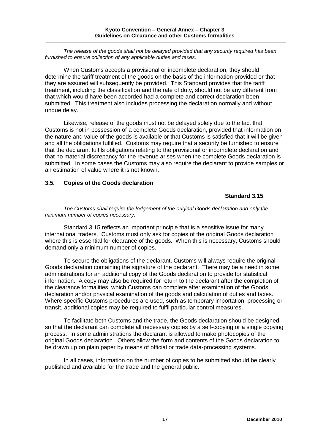*The release of the goods shall not be delayed provided that any security required has been furnished to ensure collection of any applicable duties and taxes.*

When Customs accepts a provisional or incomplete declaration, they should determine the tariff treatment of the goods on the basis of the information provided or that they are assured will subsequently be provided. This Standard provides that the tariff treatment, including the classification and the rate of duty, should not be any different from that which would have been accorded had a complete and correct declaration been submitted. This treatment also includes processing the declaration normally and without undue delay.

Likewise, release of the goods must not be delayed solely due to the fact that Customs is not in possession of a complete Goods declaration, provided that information on the nature and value of the goods is available or that Customs is satisfied that it will be given and all the obligations fulfilled. Customs may require that a security be furnished to ensure that the declarant fulfils obligations relating to the provisional or incomplete declaration and that no material discrepancy for the revenue arises when the complete Goods declaration is submitted. In some cases the Customs may also require the declarant to provide samples or an estimation of value where it is not known.

## **3.5. Copies of the Goods declaration**

## **Standard 3.15**

*The Customs shall require the lodgement of the original Goods declaration and only the minimum number of copies necessary.*

Standard 3.15 reflects an important principle that is a sensitive issue for many international traders. Customs must only ask for copies of the original Goods declaration where this is essential for clearance of the goods. When this is necessary, Customs should demand only a minimum number of copies.

To secure the obligations of the declarant, Customs will always require the original Goods declaration containing the signature of the declarant. There may be a need in some administrations for an additional copy of the Goods declaration to provide for statistical information. A copy may also be required for return to the declarant after the completion of the clearance formalities, which Customs can complete after examination of the Goods declaration and/or physical examination of the goods and calculation of duties and taxes. Where specific Customs procedures are used, such as temporary importation, processing or transit, additional copies may be required to fulfil particular control measures.

To facilitate both Customs and the trade, the Goods declaration should be designed so that the declarant can complete all necessary copies by a self-copying or a single copying process. In some administrations the declarant is allowed to make photocopies of the original Goods declaration. Others allow the form and contents of the Goods declaration to be drawn up on plain paper by means of official or trade data-processing systems.

In all cases, information on the number of copies to be submitted should be clearly published and available for the trade and the general public.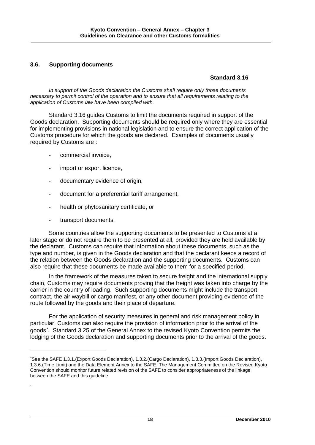## **3.6. Supporting documents**

## **Standard 3.16**

*In support of the Goods declaration the Customs shall require only those documents necessary to permit control of the operation and to ensure that all requirements relating to the application of Customs law have been complied with.*

Standard 3.16 guides Customs to limit the documents required in support of the Goods declaration. Supporting documents should be required only where they are essential for implementing provisions in national legislation and to ensure the correct application of the Customs procedure for which the goods are declared. Examples of documents usually required by Customs are :

- commercial invoice.
- import or export licence,
- documentary evidence of origin,
- document for a preferential tariff arrangement,
- health or phytosanitary certificate, or
- transport documents.

-

.

Some countries allow the supporting documents to be presented to Customs at a later stage or do not require them to be presented at all, provided they are held available by the declarant. Customs can require that information about these documents, such as the type and number, is given in the Goods declaration and that the declarant keeps a record of the relation between the Goods declaration and the supporting documents. Customs can also require that these documents be made available to them for a specified period.

In the framework of the measures taken to secure freight and the international supply chain, Customs may require documents proving that the freight was taken into charge by the carrier in the country of loading. Such supporting documents might include the transport contract, the air waybill or cargo manifest, or any other document providing evidence of the route followed by the goods and their place of departure.

For the application of security measures in general and risk management policy in particular, Customs can also require the provision of information prior to the arrival of the goods . Standard 3.25 of the General Annex to the revised Kyoto Convention permits the lodging of the Goods declaration and supporting documents prior to the arrival of the goods.

See the SAFE 1.3.1.(Export Goods Declaration), 1.3.2.(Cargo Declaration), 1.3.3.(Import Goods Declaration), 1.3.6.(Time Limit) and the Data Element Annex to the SAFE. The Management Committee on the Revised Kyoto Convention should monitor future related revision of the SAFE to consider appropriateness of the linkage between the SAFE and this guideline.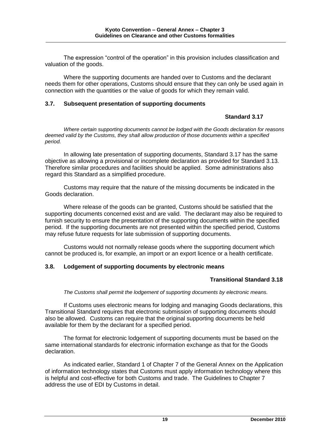The expression "control of the operation" in this provision includes classification and valuation of the goods.

Where the supporting documents are handed over to Customs and the declarant needs them for other operations, Customs should ensure that they can only be used again in connection with the quantities or the value of goods for which they remain valid.

## **3.7. Subsequent presentation of supporting documents**

## **Standard 3.17**

*Where certain supporting documents cannot be lodged with the Goods declaration for reasons deemed valid by the Customs, they shall allow production of those documents within a specified period.*

In allowing late presentation of supporting documents, Standard 3.17 has the same objective as allowing a provisional or incomplete declaration as provided for Standard 3.13. Therefore similar procedures and facilities should be applied. Some administrations also regard this Standard as a simplified procedure.

Customs may require that the nature of the missing documents be indicated in the Goods declaration.

Where release of the goods can be granted, Customs should be satisfied that the supporting documents concerned exist and are valid. The declarant may also be required to furnish security to ensure the presentation of the supporting documents within the specified period. If the supporting documents are not presented within the specified period, Customs may refuse future requests for late submission of supporting documents.

Customs would not normally release goods where the supporting document which cannot be produced is, for example, an import or an export licence or a health certificate.

## **3.8. Lodgement of supporting documents by electronic means**

## **Transitional Standard 3.18**

*The Customs shall permit the lodgement of supporting documents by electronic means.*

If Customs uses electronic means for lodging and managing Goods declarations, this Transitional Standard requires that electronic submission of supporting documents should also be allowed. Customs can require that the original supporting documents be held available for them by the declarant for a specified period.

The format for electronic lodgement of supporting documents must be based on the same international standards for electronic information exchange as that for the Goods declaration.

As indicated earlier, Standard 1 of Chapter 7 of the General Annex on the Application of information technology states that Customs must apply information technology where this is helpful and cost-effective for both Customs and trade. The Guidelines to Chapter 7 address the use of EDI by Customs in detail.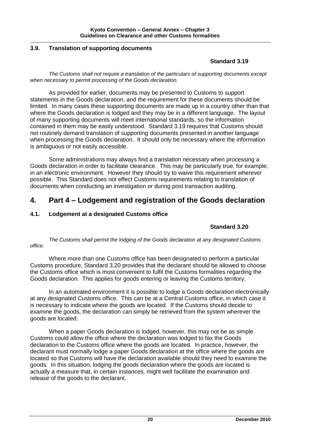## **3.9. Translation of supporting documents**

## **Standard 3.19**

*The Customs shall not require a translation of the particulars of supporting documents except when necessary to permit processing of the Goods declaration.*

As provided for earlier, documents may be presented to Customs to support statements in the Goods declaration, and the requirement for these documents should be limited. In many cases these supporting documents are made up in a country other than that where the Goods declaration is lodged and they may be in a different language. The layout of many supporting documents will meet international standards, so the information contained in them may be easily understood. Standard 3.19 requires that Customs should not routinely demand translation of supporting documents presented in another language when processing the Goods declaration. It should only be necessary where the information is ambiguous or not easily accessible.

Some administrations may always find a translation necessary when processing a Goods declaration in order to facilitate clearance. This may be particularly true, for example, in an electronic environment. However they should try to waive this requirement wherever possible. This Standard does not effect Customs requirements relating to translation of documents when conducting an investigation or during post transaction auditing.

## **4. Part 4 – Lodgement and registration of the Goods declaration**

## **4.1. Lodgement at a designated Customs office**

## **Standard 3.20**

*The Customs shall permit the lodging of the Goods declaration at any designated Customs office.*

Where more than one Customs office has been designated to perform a particular Customs procedure, Standard 3.20 provides that the declarant should be allowed to choose the Customs office which is most convenient to fulfil the Customs formalities regarding the Goods declaration. This applies for goods entering or leaving the Customs territory.

In an automated environment it is possible to lodge a Goods declaration electronically at any designated Customs office. This can be at a Central Customs office, in which case it is necessary to indicate where the goods are located. If the Customs should decide to examine the goods, the declaration can simply be retrieved from the system wherever the goods are located.

When a paper Goods declaration is lodged, however, this may not be as simple. Customs could allow the office where the declaration was lodged to fax the Goods declaration to the Customs office where the goods are located. In practice, however, the declarant must normally lodge a paper Goods declaration at the office where the goods are located so that Customs will have the declaration available should they need to examine the goods. In this situation, lodging the goods declaration where the goods are located is actually a measure that, in certain instances, might well facilitate the examination and release of the goods to the declarant.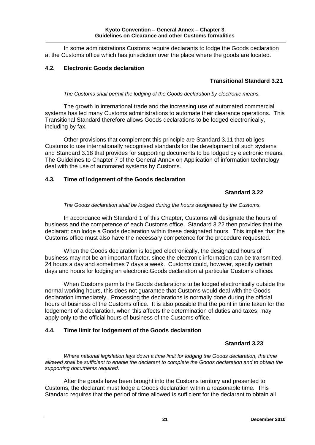In some administrations Customs require declarants to lodge the Goods declaration at the Customs office which has jurisdiction over the place where the goods are located.

## **4.2. Electronic Goods declaration**

## **Transitional Standard 3.21**

*The Customs shall permit the lodging of the Goods declaration by electronic means.*

The growth in international trade and the increasing use of automated commercial systems has led many Customs administrations to automate their clearance operations. This Transitional Standard therefore allows Goods declarations to be lodged electronically, including by fax.

Other provisions that complement this principle are Standard 3.11 that obliges Customs to use internationally recognised standards for the development of such systems and Standard 3.18 that provides for supporting documents to be lodged by electronic means. The Guidelines to Chapter 7 of the General Annex on Application of information technology deal with the use of automated systems by Customs.

## **4.3. Time of lodgement of the Goods declaration**

## **Standard 3.22**

*The Goods declaration shall be lodged during the hours designated by the Customs.*

In accordance with Standard 1 of this Chapter, Customs will designate the hours of business and the competence of each Customs office. Standard 3.22 then provides that the declarant can lodge a Goods declaration within these designated hours. This implies that the Customs office must also have the necessary competence for the procedure requested.

When the Goods declaration is lodged electronically, the designated hours of business may not be an important factor, since the electronic information can be transmitted 24 hours a day and sometimes 7 days a week. Customs could, however, specify certain days and hours for lodging an electronic Goods declaration at particular Customs offices.

When Customs permits the Goods declarations to be lodged electronically outside the normal working hours, this does not guarantee that Customs would deal with the Goods declaration immediately. Processing the declarations is normally done during the official hours of business of the Customs office. It is also possible that the point in time taken for the lodgement of a declaration, when this affects the determination of duties and taxes, may apply only to the official hours of business of the Customs office.

## **4.4. Time limit for lodgement of the Goods declaration**

## **Standard 3.23**

*Where national legislation lays down a time limit for lodging the Goods declaration, the time allowed shall be sufficient to enable the declarant to complete the Goods declaration and to obtain the supporting documents required.*

After the goods have been brought into the Customs territory and presented to Customs, the declarant must lodge a Goods declaration within a reasonable time. This Standard requires that the period of time allowed is sufficient for the declarant to obtain all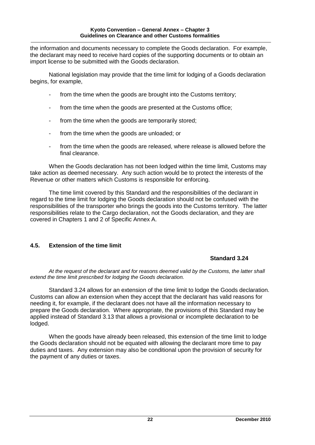the information and documents necessary to complete the Goods declaration. For example, the declarant may need to receive hard copies of the supporting documents or to obtain an import license to be submitted with the Goods declaration.

National legislation may provide that the time limit for lodging of a Goods declaration begins, for example,

- from the time when the goods are brought into the Customs territory;
- from the time when the goods are presented at the Customs office;
- from the time when the goods are temporarily stored;
- from the time when the goods are unloaded; or
- from the time when the goods are released, where release is allowed before the final clearance.

When the Goods declaration has not been lodged within the time limit, Customs may take action as deemed necessary. Any such action would be to protect the interests of the Revenue or other matters which Customs is responsible for enforcing.

The time limit covered by this Standard and the responsibilities of the declarant in regard to the time limit for lodging the Goods declaration should not be confused with the responsibilities of the transporter who brings the goods into the Customs territory. The latter responsibilities relate to the Cargo declaration, not the Goods declaration, and they are covered in Chapters 1 and 2 of Specific Annex A.

## **4.5. Extension of the time limit**

#### **Standard 3.24**

*At the request of the declarant and for reasons deemed valid by the Customs, the latter shall extend the time limit prescribed for lodging the Goods declaration.*

Standard 3.24 allows for an extension of the time limit to lodge the Goods declaration. Customs can allow an extension when they accept that the declarant has valid reasons for needing it, for example, if the declarant does not have all the information necessary to prepare the Goods declaration. Where appropriate, the provisions of this Standard may be applied instead of Standard 3.13 that allows a provisional or incomplete declaration to be lodged.

When the goods have already been released, this extension of the time limit to lodge the Goods declaration should not be equated with allowing the declarant more time to pay duties and taxes. Any extension may also be conditional upon the provision of security for the payment of any duties or taxes.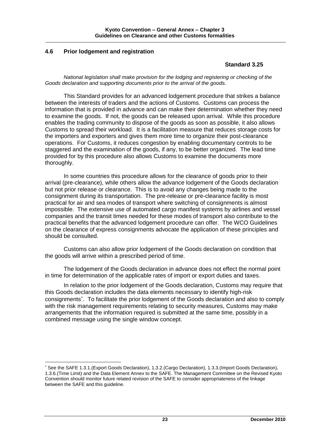## **4.6 Prior lodgement and registration**

1

## **Standard 3.25**

*National legislation shall make provision for the lodging and registering or checking of the Goods declaration and supporting documents prior to the arrival of the goods.*

This Standard provides for an advanced lodgement procedure that strikes a balance between the interests of traders and the actions of Customs. Customs can process the information that is provided in advance and can make their determination whether they need to examine the goods. If not, the goods can be released upon arrival. While this procedure enables the trading community to dispose of the goods as soon as possible, it also allows Customs to spread their workload. It is a facilitation measure that reduces storage costs for the importers and exporters and gives them more time to organize their post-clearance operations. For Customs, it reduces congestion by enabling documentary controls to be staggered and the examination of the goods, if any, to be better organized. The lead time provided for by this procedure also allows Customs to examine the documents more thoroughly.

In some countries this procedure allows for the clearance of goods prior to their arrival (pre-clearance), while others allow the advance lodgement of the Goods declaration but not prior release or clearance. This is to avoid any changes being made to the consignment during its transportation. The pre-release or pre-clearance facility is most practical for air and sea modes of transport where switching of consignments is almost impossible. The extensive use of automated cargo manifest systems by airlines and vessel companies and the transit times needed for these modes of transport also contribute to the practical benefits that the advanced lodgement procedure can offer. The WCO Guidelines on the clearance of express consignments advocate the application of these principles and should be consulted.

Customs can also allow prior lodgement of the Goods declaration on condition that the goods will arrive within a prescribed period of time.

The lodgement of the Goods declaration in advance does not effect the normal point in time for determination of the applicable rates of import or export duties and taxes.

In relation to the prior lodgement of the Goods declaration, Customs may require that this Goods declaration includes the data elements necessary to identify high-risk consignments . To facilitate the prior lodgement of the Goods declaration and also to comply with the risk management requirements relating to security measures, Customs may make arrangements that the information required is submitted at the same time, possibly in a combined message using the single window concept.

See the SAFE 1.3.1.(Export Goods Declaration), 1.3.2.(Cargo Declaration), 1.3.3.(Import Goods Declaration), 1.3.6.(Time Limit) and the Data Element Annex to the SAFE. The Management Committee on the Revised Kyoto Convention should monitor future related revision of the SAFE to consider appropriateness of the linkage between the SAFE and this guideline.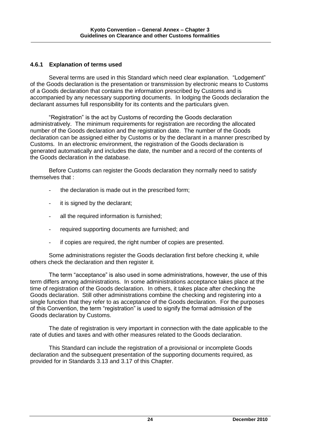## **4.6.1 Explanation of terms used**

Several terms are used in this Standard which need clear explanation. "Lodgement" of the Goods declaration is the presentation or transmission by electronic means to Customs of a Goods declaration that contains the information prescribed by Customs and is accompanied by any necessary supporting documents. In lodging the Goods declaration the declarant assumes full responsibility for its contents and the particulars given.

"Registration" is the act by Customs of recording the Goods declaration administratively. The minimum requirements for registration are recording the allocated number of the Goods declaration and the registration date. The number of the Goods declaration can be assigned either by Customs or by the declarant in a manner prescribed by Customs. In an electronic environment, the registration of the Goods declaration is generated automatically and includes the date, the number and a record of the contents of the Goods declaration in the database.

Before Customs can register the Goods declaration they normally need to satisfy themselves that :

- the declaration is made out in the prescribed form;
- it is signed by the declarant;
- all the required information is furnished;
- required supporting documents are furnished; and
- if copies are required, the right number of copies are presented.

Some administrations register the Goods declaration first before checking it, while others check the declaration and then register it.

The term "acceptance" is also used in some administrations, however, the use of this term differs among administrations. In some administrations acceptance takes place at the time of registration of the Goods declaration. In others, it takes place after checking the Goods declaration. Still other administrations combine the checking and registering into a single function that they refer to as acceptance of the Goods declaration. For the purposes of this Convention, the term "registration" is used to signify the formal admission of the Goods declaration by Customs.

The date of registration is very important in connection with the date applicable to the rate of duties and taxes and with other measures related to the Goods declaration.

This Standard can include the registration of a provisional or incomplete Goods declaration and the subsequent presentation of the supporting documents required, as provided for in Standards 3.13 and 3.17 of this Chapter.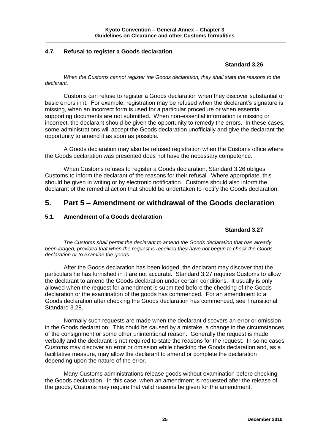## **4.7. Refusal to register a Goods declaration**

## **Standard 3.26**

*When the Customs cannot register the Goods declaration, they shall state the reasons to the declarant.*

Customs can refuse to register a Goods declaration when they discover substantial or basic errors in it. For example, registration may be refused when the declarant's signature is missing, when an incorrect form is used for a particular procedure or when essential supporting documents are not submitted. When non-essential information is missing or incorrect, the declarant should be given the opportunity to remedy the errors. In these cases, some administrations will accept the Goods declaration unofficially and give the declarant the opportunity to amend it as soon as possible.

A Goods declaration may also be refused registration when the Customs office where the Goods declaration was presented does not have the necessary competence.

When Customs refuses to register a Goods declaration, Standard 3.26 obliges Customs to inform the declarant of the reasons for their refusal. Where appropriate, this should be given in writing or by electronic notification. Customs should also inform the declarant of the remedial action that should be undertaken to rectify the Goods declaration.

## **5. Part 5 – Amendment or withdrawal of the Goods declaration**

## **5.1. Amendment of a Goods declaration**

## **Standard 3.27**

*The Customs shall permit the declarant to amend the Goods declaration that has already been lodged, provided that when the request is received they have not begun to check the Goods declaration or to examine the goods.*

After the Goods declaration has been lodged, the declarant may discover that the particulars he has furnished in it are not accurate. Standard 3.27 requires Customs to allow the declarant to amend the Goods declaration under certain conditions. It usually is only allowed when the request for amendment is submitted before the checking of the Goods declaration or the examination of the goods has commenced. For an amendment to a Goods declaration after checking the Goods declaration has commenced, see Transitional Standard 3.28.

Normally such requests are made when the declarant discovers an error or omission in the Goods declaration. This could be caused by a mistake, a change in the circumstances of the consignment or some other unintentional reason. Generally the request is made verbally and the declarant is not required to state the reasons for the request. In some cases Customs may discover an error or omission while checking the Goods declaration and, as a facilitative measure, may allow the declarant to amend or complete the declaration depending upon the nature of the error.

Many Customs administrations release goods without examination before checking the Goods declaration. In this case, when an amendment is requested after the release of the goods, Customs may require that valid reasons be given for the amendment.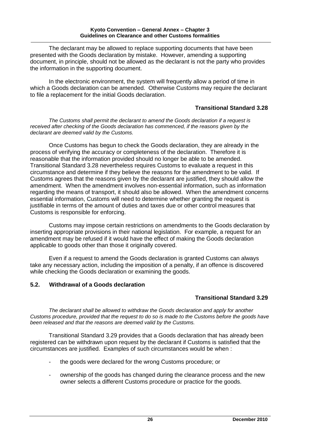The declarant may be allowed to replace supporting documents that have been presented with the Goods declaration by mistake. However, amending a supporting document, in principle, should not be allowed as the declarant is not the party who provides the information in the supporting document.

In the electronic environment, the system will frequently allow a period of time in which a Goods declaration can be amended. Otherwise Customs may require the declarant to file a replacement for the initial Goods declaration.

## **Transitional Standard 3.28**

*The Customs shall permit the declarant to amend the Goods declaration if a request is*  received after checking of the Goods declaration has commenced, if the reasons given by the *declarant are deemed valid by the Customs.*

Once Customs has begun to check the Goods declaration, they are already in the process of verifying the accuracy or completeness of the declaration. Therefore it is reasonable that the information provided should no longer be able to be amended. Transitional Standard 3.28 nevertheless requires Customs to evaluate a request in this circumstance and determine if they believe the reasons for the amendment to be valid. If Customs agrees that the reasons given by the declarant are justified, they should allow the amendment. When the amendment involves non-essential information, such as information regarding the means of transport, it should also be allowed. When the amendment concerns essential information, Customs will need to determine whether granting the request is justifiable in terms of the amount of duties and taxes due or other control measures that Customs is responsible for enforcing.

Customs may impose certain restrictions on amendments to the Goods declaration by inserting appropriate provisions in their national legislation. For example, a request for an amendment may be refused if it would have the effect of making the Goods declaration applicable to goods other than those it originally covered.

Even if a request to amend the Goods declaration is granted Customs can always take any necessary action, including the imposition of a penalty, if an offence is discovered while checking the Goods declaration or examining the goods.

#### **5.2. Withdrawal of a Goods declaration**

## **Transitional Standard 3.29**

*The declarant shall be allowed to withdraw the Goods declaration and apply for another Customs procedure, provided that the request to do so is made to the Customs before the goods have been released and that the reasons are deemed valid by the Customs.*

Transitional Standard 3.29 provides that a Goods declaration that has already been registered can be withdrawn upon request by the declarant if Customs is satisfied that the circumstances are justified. Examples of such circumstances would be when :

- the goods were declared for the wrong Customs procedure; or
- ownership of the goods has changed during the clearance process and the new owner selects a different Customs procedure or practice for the goods.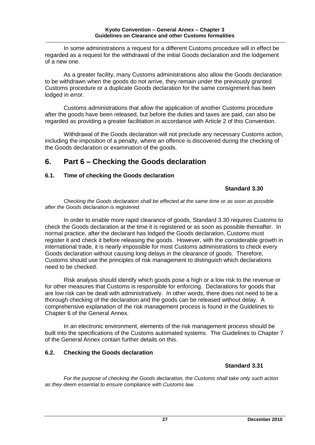In some administrations a request for a different Customs procedure will in effect be regarded as a request for the withdrawal of the initial Goods declaration and the lodgement of a new one.

As a greater facility, many Customs administrations also allow the Goods declaration to be withdrawn when the goods do not arrive, they remain under the previously granted Customs procedure or a duplicate Goods declaration for the same consignment has been lodged in error.

Customs administrations that allow the application of another Customs procedure after the goods have been released, but before the duties and taxes are paid, can also be regarded as providing a greater facilitation in accordance with Article 2 of this Convention.

Withdrawal of the Goods declaration will not preclude any necessary Customs action, including the imposition of a penalty, where an offence is discovered during the checking of the Goods declaration or examination of the goods.

## **6. Part 6 – Checking the Goods declaration**

## **6.1. Time of checking the Goods declaration**

## **Standard 3.30**

*Checking the Goods declaration shall be effected at the same time or as soon as possible after the Goods declaration is registered.*

In order to enable more rapid clearance of goods, Standard 3.30 requires Customs to check the Goods declaration at the time it is registered or as soon as possible thereafter. In normal practice, after the declarant has lodged the Goods declaration, Customs must register it and check it before releasing the goods. However, with the considerable growth in international trade, it is nearly impossible for most Customs administrations to check every Goods declaration without causing long delays in the clearance of goods. Therefore, Customs should use the principles of risk management to distinguish which declarations need to be checked.

Risk analysis should identify which goods pose a high or a low risk to the revenue or for other measures that Customs is responsible for enforcing. Declarations for goods that are low risk can be dealt with administratively. In other words, there does not need to be a thorough checking of the declaration and the goods can be released without delay. A comprehensive explanation of the risk management process is found in the Guidelines to Chapter 6 of the General Annex.

In an electronic environment, elements of the risk management process should be built into the specifications of the Customs automated systems. The Guidelines to Chapter 7 of the General Annex contain further details on this.

## **6.2. Checking the Goods declaration**

## **Standard 3.31**

*For the purpose of checking the Goods declaration, the Customs shall take only such action as they deem essential to ensure compliance with Customs law.*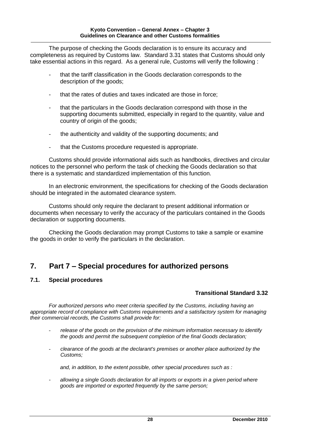The purpose of checking the Goods declaration is to ensure its accuracy and completeness as required by Customs law. Standard 3.31 states that Customs should only take essential actions in this regard. As a general rule, Customs will verify the following :

- that the tariff classification in the Goods declaration corresponds to the description of the goods;
- that the rates of duties and taxes indicated are those in force;
- that the particulars in the Goods declaration correspond with those in the supporting documents submitted, especially in regard to the quantity, value and country of origin of the goods;
- the authenticity and validity of the supporting documents; and
- that the Customs procedure requested is appropriate.

Customs should provide informational aids such as handbooks, directives and circular notices to the personnel who perform the task of checking the Goods declaration so that there is a systematic and standardized implementation of this function.

In an electronic environment, the specifications for checking of the Goods declaration should be integrated in the automated clearance system.

Customs should only require the declarant to present additional information or documents when necessary to verify the accuracy of the particulars contained in the Goods declaration or supporting documents.

Checking the Goods declaration may prompt Customs to take a sample or examine the goods in order to verify the particulars in the declaration.

## **7. Part 7 – Special procedures for authorized persons**

#### **7.1. Special procedures**

## **Transitional Standard 3.32**

*For authorized persons who meet criteria specified by the Customs, including having an appropriate record of compliance with Customs requirements and a satisfactory system for managing their commercial records, the Customs shall provide for:*

- *release of the goods on the provision of the minimum information necessary to identify the goods and permit the subsequent completion of the final Goods declaration;*
- *clearance of the goods at the declarant's premises or another place authorized by the Customs;*

*and, in addition, to the extent possible, other special procedures such as :*

*- allowing a single Goods declaration for all imports or exports in a given period where goods are imported or exported frequently by the same person;*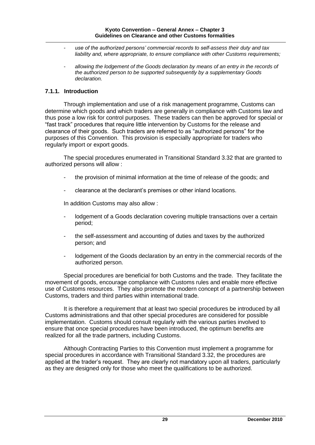- *- use of the authorized persons' commercial records to self-assess their duty and tax liability and, where appropriate, to ensure compliance with other Customs requirements;*
- *- allowing the lodgement of the Goods declaration by means of an entry in the records of the authorized person to be supported subsequently by a supplementary Goods declaration.*

## **7.1.1. Introduction**

Through implementation and use of a risk management programme, Customs can determine which goods and which traders are generally in compliance with Customs law and thus pose a low risk for control purposes. These traders can then be approved for special or "fast track" procedures that require little intervention by Customs for the release and clearance of their goods. Such traders are referred to as "authorized persons" for the purposes of this Convention. This provision is especially appropriate for traders who regularly import or export goods.

The special procedures enumerated in Transitional Standard 3.32 that are granted to authorized persons will allow :

- the provision of minimal information at the time of release of the goods; and
- clearance at the declarant's premises or other inland locations.

In addition Customs may also allow :

- lodgement of a Goods declaration covering multiple transactions over a certain period;
- the self-assessment and accounting of duties and taxes by the authorized person; and
- lodgement of the Goods declaration by an entry in the commercial records of the authorized person.

Special procedures are beneficial for both Customs and the trade. They facilitate the movement of goods, encourage compliance with Customs rules and enable more effective use of Customs resources. They also promote the modern concept of a partnership between Customs, traders and third parties within international trade.

It is therefore a requirement that at least two special procedures be introduced by all Customs administrations and that other special procedures are considered for possible implementation. Customs should consult regularly with the various parties involved to ensure that once special procedures have been introduced, the optimum benefits are realized for all the trade partners, including Customs.

Although Contracting Parties to this Convention must implement a programme for special procedures in accordance with Transitional Standard 3.32, the procedures are applied at the trader's request. They are clearly not mandatory upon all traders, particularly as they are designed only for those who meet the qualifications to be authorized.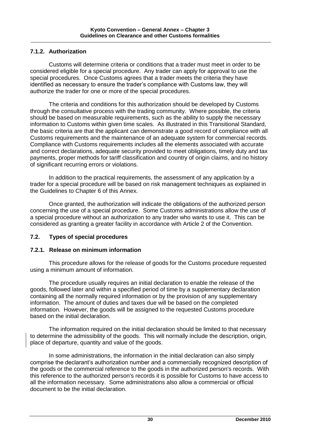## **7.1.2. Authorization**

Customs will determine criteria or conditions that a trader must meet in order to be considered eligible for a special procedure. Any trader can apply for approval to use the special procedures. Once Customs agrees that a trader meets the criteria they have identified as necessary to ensure the trader's compliance with Customs law, they will authorize the trader for one or more of the special procedures.

The criteria and conditions for this authorization should be developed by Customs through the consultative process with the trading community. Where possible, the criteria should be based on measurable requirements, such as the ability to supply the necessary information to Customs within given time scales. As illustrated in this Transitional Standard, the basic criteria are that the applicant can demonstrate a good record of compliance with all Customs requirements and the maintenance of an adequate system for commercial records. Compliance with Customs requirements includes all the elements associated with accurate and correct declarations, adequate security provided to meet obligations, timely duty and tax payments, proper methods for tariff classification and country of origin claims, and no history of significant recurring errors or violations.

In addition to the practical requirements, the assessment of any application by a trader for a special procedure will be based on risk management techniques as explained in the Guidelines to Chapter 6 of this Annex.

Once granted, the authorization will indicate the obligations of the authorized person concerning the use of a special procedure. Some Customs administrations allow the use of a special procedure without an authorization to any trader who wants to use it. This can be considered as granting a greater facility in accordance with Article 2 of the Convention.

## **7.2. Types of special procedures**

## **7.2.1. Release on minimum information**

This procedure allows for the release of goods for the Customs procedure requested using a minimum amount of information.

The procedure usually requires an initial declaration to enable the release of the goods, followed later and within a specified period of time by a supplementary declaration containing all the normally required information or by the provision of any supplementary information. The amount of duties and taxes due will be based on the completed information. However, the goods will be assigned to the requested Customs procedure based on the initial declaration.

The information required on the initial declaration should be limited to that necessary to determine the admissibility of the goods. This will normally include the description, origin, place of departure, quantity and value of the goods.

In some administrations, the information in the initial declaration can also simply comprise the declarant's authorization number and a commercially recognized description of the goods or the commercial reference to the goods in the authorized person's records. With this reference to the authorized person's records it is possible for Customs to have access to all the information necessary. Some administrations also allow a commercial or official document to be the initial declaration.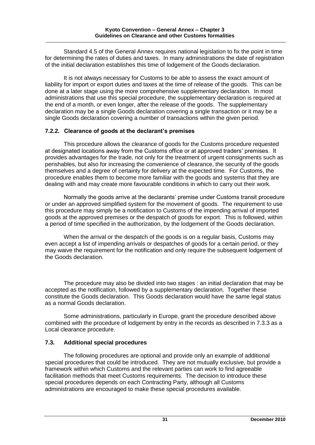Standard 4.5 of the General Annex requires national legislation to fix the point in time for determining the rates of duties and taxes. In many administrations the date of registration of the initial declaration establishes this time of lodgement of the Goods declaration.

It is not always necessary for Customs to be able to assess the exact amount of liability for import or export duties and taxes at the time of release of the goods. This can be done at a later stage using the more comprehensive supplementary declaration. In most administrations that use this special procedure, the supplementary declaration is required at the end of a month, or even longer, after the release of the goods. The supplementary declaration may be a single Goods declaration covering a single transaction or it may be a single Goods declaration covering a number of transactions within the given period.

## **7.2.2. Clearance of goods at the declarant's premises**

This procedure allows the clearance of goods for the Customs procedure requested at designated locations away from the Customs office or at approved traders' premises. It provides advantages for the trade, not only for the treatment of urgent consignments such as perishables, but also for increasing the convenience of clearance, the security of the goods themselves and a degree of certainty for delivery at the expected time. For Customs, the procedure enables them to become more familiar with the goods and systems that they are dealing with and may create more favourable conditions in which to carry out their work.

Normally the goods arrive at the declarants' premise under Customs transit procedure or under an approved simplified system for the movement of goods. The requirement to use this procedure may simply be a notification to Customs of the impending arrival of imported goods at the approved premises or the despatch of goods for export. This is followed, within a period of time specified in the authorization, by the lodgement of the Goods declaration.

When the arrival or the despatch of the goods is on a regular basis, Customs may even accept a list of impending arrivals or despatches of goods for a certain period, or they may waive the requirement for the notification and only require the subsequent lodgement of the Goods declaration.

The procedure may also be divided into two stages : an initial declaration that may be accepted as the notification, followed by a supplementary declaration. Together these constitute the Goods declaration. This Goods declaration would have the same legal status as a normal Goods declaration.

Some administrations, particularly in Europe, grant the procedure described above combined with the procedure of lodgement by entry in the records as described in 7.3.3 as a Local clearance procedure.

## **7.3. Additional special procedures**

The following procedures are optional and provide only an example of additional special procedures that could be introduced. They are not mutually exclusive, but provide a framework within which Customs and the relevant parties can work to find agreeable facilitation methods that meet Customs requirements. The decision to introduce these special procedures depends on each Contracting Party, although all Customs administrations are encouraged to make these special procedures available.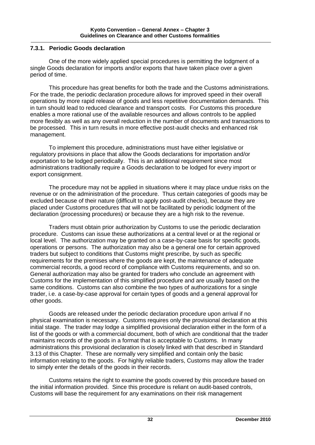## **7.3.1. Periodic Goods declaration**

One of the more widely applied special procedures is permitting the lodgment of a single Goods declaration for imports and/or exports that have taken place over a given period of time.

This procedure has great benefits for both the trade and the Customs administrations. For the trade, the periodic declaration procedure allows for improved speed in their overall operations by more rapid release of goods and less repetitive documentation demands. This in turn should lead to reduced clearance and transport costs. For Customs this procedure enables a more rational use of the available resources and allows controls to be applied more flexibly as well as any overall reduction in the number of documents and transactions to be processed. This in turn results in more effective post-audit checks and enhanced risk management.

To implement this procedure, administrations must have either legislative or regulatory provisions in place that allow the Goods declarations for importation and/or exportation to be lodged periodically. This is an additional requirement since most administrations traditionally require a Goods declaration to be lodged for every import or export consignment.

The procedure may not be applied in situations where it may place undue risks on the revenue or on the administration of the procedure. Thus certain categories of goods may be excluded because of their nature (difficult to apply post-audit checks), because they are placed under Customs procedures that will not be facilitated by periodic lodgment of the declaration (processing procedures) or because they are a high risk to the revenue.

Traders must obtain prior authorization by Customs to use the periodic declaration procedure. Customs can issue these authorizations at a central level or at the regional or local level. The authorization may be granted on a case-by-case basis for specific goods, operations or persons. The authorization may also be a general one for certain approved traders but subject to conditions that Customs might prescribe, by such as specific requirements for the premises where the goods are kept, the maintenance of adequate commercial records, a good record of compliance with Customs requirements, and so on. General authorization may also be granted for traders who conclude an agreement with Customs for the implementation of this simplified procedure and are usually based on the same conditions. Customs can also combine the two types of authorizations for a single trader, i.e. a case-by-case approval for certain types of goods and a general approval for other goods.

Goods are released under the periodic declaration procedure upon arrival if no physical examination is necessary. Customs requires only the provisional declaration at this initial stage. The trader may lodge a simplified provisional declaration either in the form of a list of the goods or with a commercial document, both of which are conditional that the trader maintains records of the goods in a format that is acceptable to Customs. In many administrations this provisional declaration is closely linked with that described in Standard 3.13 of this Chapter. These are normally very simplified and contain only the basic information relating to the goods. For highly reliable traders, Customs may allow the trader to simply enter the details of the goods in their records.

Customs retains the right to examine the goods covered by this procedure based on the initial information provided. Since this procedure is reliant on audit-based controls, Customs will base the requirement for any examinations on their risk management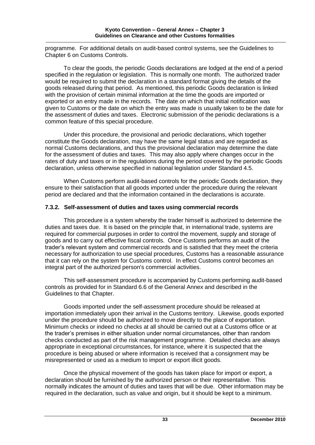programme. For additional details on audit-based control systems, see the Guidelines to Chapter 6 on Customs Controls.

To clear the goods, the periodic Goods declarations are lodged at the end of a period specified in the regulation or legislation. This is normally one month. The authorized trader would be required to submit the declaration in a standard format giving the details of the goods released during that period. As mentioned, this periodic Goods declaration is linked with the provision of certain minimal information at the time the goods are imported or exported or an entry made in the records. The date on which that initial notification was given to Customs or the date on which the entry was made is usually taken to be the date for the assessment of duties and taxes. Electronic submission of the periodic declarations is a common feature of this special procedure.

Under this procedure, the provisional and periodic declarations, which together constitute the Goods declaration, may have the same legal status and are regarded as normal Customs declarations, and thus the provisional declaration may determine the date for the assessment of duties and taxes. This may also apply where changes occur in the rates of duty and taxes or in the regulations during the period covered by the periodic Goods declaration, unless otherwise specified in national legislation under Standard 4.5.

When Customs perform audit-based controls for the periodic Goods declaration, they ensure to their satisfaction that all goods imported under the procedure during the relevant period are declared and that the information contained in the declarations is accurate.

## **7.3.2. Self-assessment of duties and taxes using commercial records**

This procedure is a system whereby the trader himself is authorized to determine the duties and taxes due. It is based on the principle that, in international trade, systems are required for commercial purposes in order to control the movement, supply and storage of goods and to carry out effective fiscal controls. Once Customs performs an audit of the trader's relevant system and commercial records and is satisfied that they meet the criteria necessary for authorization to use special procedures, Customs has a reasonable assurance that it can rely on the system for Customs control. In effect Customs control becomes an integral part of the authorized person's commercial activities.

This self-assessment procedure is accompanied by Customs performing audit-based controls as provided for in Standard 6.6 of the General Annex and described in the Guidelines to that Chapter.

Goods imported under the self-assessment procedure should be released at importation immediately upon their arrival in the Customs territory. Likewise, goods exported under the procedure should be authorized to move directly to the place of exportation. Minimum checks or indeed no checks at all should be carried out at a Customs office or at the trader's premises in either situation under normal circumstances, other than random checks conducted as part of the risk management programme. Detailed checks are always appropriate in exceptional circumstances, for instance, where it is suspected that the procedure is being abused or where information is received that a consignment may be misrepresented or used as a medium to import or export illicit goods.

Once the physical movement of the goods has taken place for import or export, a declaration should be furnished by the authorized person or their representative. This normally indicates the amount of duties and taxes that will be due. Other information may be required in the declaration, such as value and origin, but it should be kept to a minimum.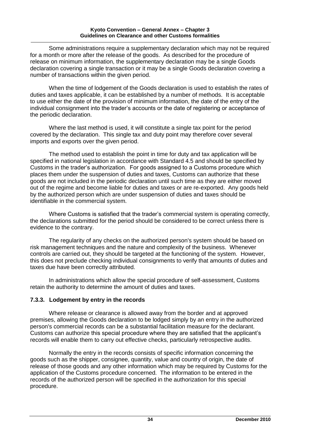#### **Kyoto Convention – General Annex – Chapter 3 Guidelines on Clearance and other Customs formalities**

Some administrations require a supplementary declaration which may not be required for a month or more after the release of the goods. As described for the procedure of release on minimum information, the supplementary declaration may be a single Goods declaration covering a single transaction or it may be a single Goods declaration covering a number of transactions within the given period.

When the time of lodgement of the Goods declaration is used to establish the rates of duties and taxes applicable, it can be established by a number of methods. It is acceptable to use either the date of the provision of minimum information, the date of the entry of the individual consignment into the trader's accounts or the date of registering or acceptance of the periodic declaration.

Where the last method is used, it will constitute a single tax point for the period covered by the declaration. This single tax and duty point may therefore cover several imports and exports over the given period.

The method used to establish the point in time for duty and tax application will be specified in national legislation in accordance with Standard 4.5 and should be specified by Customs in the trader's authorization. For goods assigned to a Customs procedure which places them under the suspension of duties and taxes, Customs can authorize that these goods are not included in the periodic declaration until such time as they are either moved out of the regime and become liable for duties and taxes or are re-exported. Any goods held by the authorized person which are under suspension of duties and taxes should be identifiable in the commercial system.

Where Customs is satisfied that the trader's commercial system is operating correctly, the declarations submitted for the period should be considered to be correct unless there is evidence to the contrary.

The regularity of any checks on the authorized person's system should be based on risk management techniques and the nature and complexity of the business. Whenever controls are carried out, they should be targeted at the functioning of the system. However, this does not preclude checking individual consignments to verify that amounts of duties and taxes due have been correctly attributed.

In administrations which allow the special procedure of self-assessment, Customs retain the authority to determine the amount of duties and taxes.

## **7.3.3. Lodgement by entry in the records**

Where release or clearance is allowed away from the border and at approved premises, allowing the Goods declaration to be lodged simply by an entry in the authorized person's commercial records can be a substantial facilitation measure for the declarant. Customs can authorize this special procedure where they are satisfied that the applicant's records will enable them to carry out effective checks, particularly retrospective audits.

Normally the entry in the records consists of specific information concerning the goods such as the shipper, consignee, quantity, value and country of origin, the date of release of those goods and any other information which may be required by Customs for the application of the Customs procedure concerned. The information to be entered in the records of the authorized person will be specified in the authorization for this special procedure.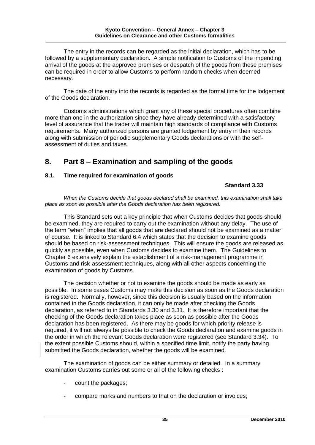The entry in the records can be regarded as the initial declaration, which has to be followed by a supplementary declaration. A simple notification to Customs of the impending arrival of the goods at the approved premises or despatch of the goods from these premises can be required in order to allow Customs to perform random checks when deemed necessary.

The date of the entry into the records is regarded as the formal time for the lodgement of the Goods declaration.

Customs administrations which grant any of these special procedures often combine more than one in the authorization since they have already determined with a satisfactory level of assurance that the trader will maintain high standards of compliance with Customs requirements. Many authorized persons are granted lodgement by entry in their records along with submission of periodic supplementary Goods declarations or with the selfassessment of duties and taxes.

## **8. Part 8 – Examination and sampling of the goods**

## **8.1. Time required for examination of goods**

## **Standard 3.33**

*When the Customs decide that goods declared shall be examined, this examination shall take place as soon as possible after the Goods declaration has been registered.*

This Standard sets out a key principle that when Customs decides that goods should be examined, they are required to carry out the examination without any delay. The use of the term "when" implies that all goods that are declared should not be examined as a matter of course. It is linked to Standard 6.4 which states that the decision to examine goods should be based on risk-assessment techniques. This will ensure the goods are released as quickly as possible, even when Customs decides to examine them. The Guidelines to Chapter 6 extensively explain the establishment of a risk-management programme in Customs and risk-assessment techniques, along with all other aspects concerning the examination of goods by Customs.

The decision whether or not to examine the goods should be made as early as possible. In some cases Customs may make this decision as soon as the Goods declaration is registered. Normally, however, since this decision is usually based on the information contained in the Goods declaration, it can only be made after checking the Goods declaration, as referred to in Standards 3.30 and 3.31. It is therefore important that the checking of the Goods declaration takes place as soon as possible after the Goods declaration has been registered. As there may be goods for which priority release is required, it will not always be possible to check the Goods declaration and examine goods in the order in which the relevant Goods declaration were registered (see Standard 3.34). To the extent possible Customs should, within a specified time limit, notify the party having submitted the Goods declaration, whether the goods will be examined.

The examination of goods can be either summary or detailed. In a summary examination Customs carries out some or all of the following checks :

- count the packages;
- compare marks and numbers to that on the declaration or invoices;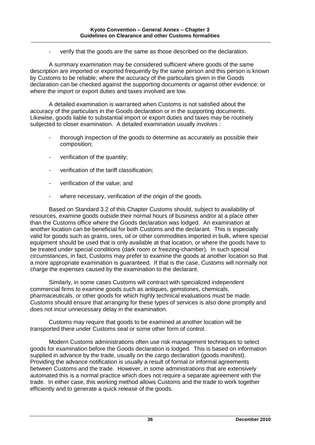verify that the goods are the same as those described on the declaration.

A summary examination may be considered sufficient where goods of the same description are imported or exported frequently by the same person and this person is known by Customs to be reliable; where the accuracy of the particulars given in the Goods declaration can be checked against the supporting documents or against other evidence; or where the import or export duties and taxes involved are low.

A detailed examination is warranted when Customs is not satisfied about the accuracy of the particulars in the Goods declaration or in the supporting documents. Likewise, goods liable to substantial import or export duties and taxes may be routinely subjected to closer examination. A detailed examination usually involves :

- thorough inspection of the goods to determine as accurately as possible their composition;
- verification of the quantity;
- verification of the tariff classification:
- verification of the value; and
- where necessary, verification of the origin of the goods.

Based on Standard 3.2 of this Chapter Customs should, subject to availability of resources, examine goods outside their normal hours of business and/or at a place other than the Customs office where the Goods declaration was lodged. An examination at another location can be beneficial for both Customs and the declarant. This is especially valid for goods such as grains, ores, oil or other commodities imported in bulk, where special equipment should be used that is only available at that location, or where the goods have to be treated under special conditions (dark room or freezing-chamber). In such special circumstances, in fact, Customs may prefer to examine the goods at another location so that a more appropriate examination is guaranteed. If that is the case, Customs will normally not charge the expenses caused by the examination to the declarant.

Similarly, in some cases Customs will contract with specialized independent commercial firms to examine goods such as antiques, gemstones, chemicals, pharmaceuticals, or other goods for which highly technical evaluations must be made. Customs should ensure that arranging for these types of services is also done promptly and does not incur unnecessary delay in the examination.

Customs may require that goods to be examined at another location will be transported there under Customs seal or some other form of control.

Modern Customs administrations often use risk-management techniques to select goods for examination before the Goods declaration is lodged. This is based on information supplied in advance by the trade, usually on the cargo declaration (goods manifest). Providing the advance notification is usually a result of formal or informal agreements between Customs and the trade. However, in some administrations that are extensively automated this is a normal practice which does not require a separate agreement with the trade. In either case, this working method allows Customs and the trade to work together efficiently and to generate a quick release of the goods.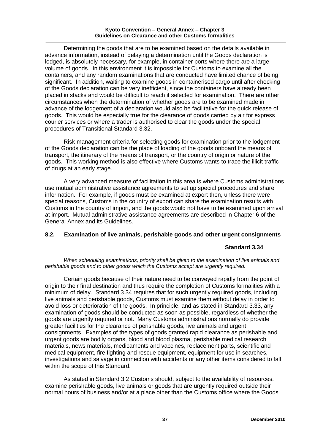#### **Kyoto Convention – General Annex – Chapter 3 Guidelines on Clearance and other Customs formalities**

Determining the goods that are to be examined based on the details available in advance information, instead of delaying a determination until the Goods declaration is lodged, is absolutely necessary, for example, in container ports where there are a large volume of goods. In this environment it is impossible for Customs to examine all the containers, and any random examinations that are conducted have limited chance of being significant. In addition, waiting to examine goods in containerised cargo until after checking of the Goods declaration can be very inefficient, since the containers have already been placed in stacks and would be difficult to reach if selected for examination. There are other circumstances when the determination of whether goods are to be examined made in advance of the lodgement of a declaration would also be facilitative for the quick release of goods. This would be especially true for the clearance of goods carried by air for express courier services or where a trader is authorised to clear the goods under the special procedures of Transitional Standard 3.32.

Risk management criteria for selecting goods for examination prior to the lodgement of the Goods declaration can be the place of loading of the goods onboard the means of transport, the itinerary of the means of transport, or the country of origin or nature of the goods. This working method is also effective where Customs wants to trace the illicit traffic of drugs at an early stage.

A very advanced measure of facilitation in this area is where Customs administrations use mutual administrative assistance agreements to set up special procedures and share information. For example, if goods must be examined at export then, unless there were special reasons, Customs in the country of export can share the examination results with Customs in the country of import, and the goods would not have to be examined upon arrival at import. Mutual administrative assistance agreements are described in Chapter 6 of the General Annex and its Guidelines.

## **8.2. Examination of live animals, perishable goods and other urgent consignments**

## **Standard 3.34**

*When scheduling examinations, priority shall be given to the examination of live animals and perishable goods and to other goods which the Customs accept are urgently required.*

Certain goods because of their nature need to be conveyed rapidly from the point of origin to their final destination and thus require the completion of Customs formalities with a minimum of delay. Standard 3.34 requires that for such urgently required goods, including live animals and perishable goods, Customs must examine them without delay in order to avoid loss or deterioration of the goods. In principle, and as stated in Standard 3.33, any examination of goods should be conducted as soon as possible, regardless of whether the goods are urgently required or not. Many Customs administrations normally do provide greater facilities for the clearance of perishable goods, live animals and urgent consignments. Examples of the types of goods granted rapid clearance as perishable and urgent goods are bodily organs, blood and blood plasma, perishable medical research materials, news materials, medicaments and vaccines, replacement parts, scientific and medical equipment, fire fighting and rescue equipment, equipment for use in searches, investigations and salvage in connection with accidents or any other items considered to fall within the scope of this Standard.

As stated in Standard 3.2 Customs should, subject to the availability of resources, examine perishable goods, live animals or goods that are urgently required outside their normal hours of business and/or at a place other than the Customs office where the Goods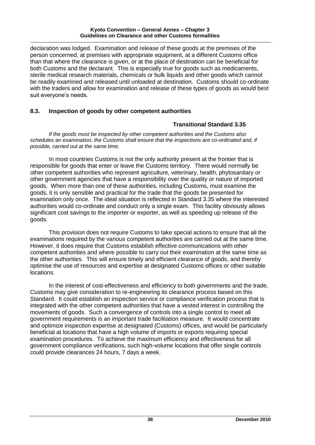#### **Kyoto Convention – General Annex – Chapter 3 Guidelines on Clearance and other Customs formalities**

declaration was lodged. Examination and release of these goods at the premises of the person concerned, at premises with appropriate equipment, at a different Customs office than that where the clearance is given, or at the place of destination can be beneficial for both Customs and the declarant. This is especially true for goods such as medicaments, sterile medical research materials, chemicals or bulk liquids and other goods which cannot be readily examined and released until unloaded at destination. Customs should co-ordinate with the traders and allow for examination and release of these types of goods as would best suit everyone's needs.

## **8.3. Inspection of goods by other competent authorities**

## **Transitional Standard 3.35**

*If the goods must be inspected by other competent authorities and the Customs also schedules an examination, the Customs shall ensure that the inspections are co-ordinated and, if possible, carried out at the same time.*

In most countries Customs is not the only authority present at the frontier that is responsible for goods that enter or leave the Customs territory. There would normally be other competent authorities who represent agriculture, veterinary, health, phytosanitary or other government agencies that have a responsibility over the quality or nature of imported goods. When more than one of these authorities, including Customs, must examine the goods, it is only sensible and practical for the trade that the goods be presented for examination only once. The ideal situation is reflected in Standard 3.35 where the interested authorities would co-ordinate and conduct only a single exam. This facility obviously allows significant cost savings to the importer or exporter, as well as speeding up release of the goods.

This provision does not require Customs to take special actions to ensure that all the examinations required by the various competent authorities are carried out at the same time. However, it does require that Customs establish effective communications with other competent authorities and where possible to carry out their examination at the same time as the other authorities. This will ensure timely and efficient clearance of goods, and thereby optimise the use of resources and expertise at designated Customs offices or other suitable locations.

In the interest of cost-effectiveness and efficiency to both governments and the trade, Customs may give consideration to re-engineering its clearance process based on this Standard. It could establish an inspection service or compliance verification process that is integrated with the other competent authorities that have a vested interest in controlling the movements of goods. Such a convergence of controls into a single control to meet all government requirements is an important trade facilitation measure. It would concentrate and optimize inspection expertise at designated (Customs) offices, and would be particularly beneficial at locations that have a high volume of imports or exports requiring special examination procedures. To achieve the maximum efficiency and effectiveness for all government compliance verifications, such high-volume locations that offer single controls could provide clearances 24 hours, 7 days a week.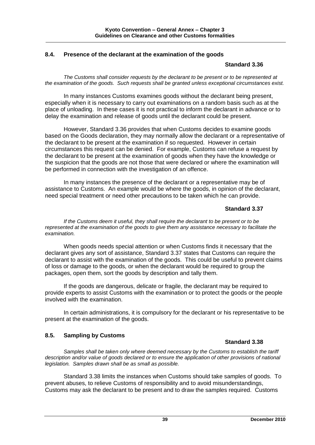#### **8.4. Presence of the declarant at the examination of the goods**

#### **Standard 3.36**

*The Customs shall consider requests by the declarant to be present or to be represented at the examination of the goods. Such requests shall be granted unless exceptional circumstances exist.* 

In many instances Customs examines goods without the declarant being present, especially when it is necessary to carry out examinations on a random basis such as at the place of unloading. In these cases it is not practical to inform the declarant in advance or to delay the examination and release of goods until the declarant could be present.

However, Standard 3.36 provides that when Customs decides to examine goods based on the Goods declaration, they may normally allow the declarant or a representative of the declarant to be present at the examination if so requested. However in certain circumstances this request can be denied. For example, Customs can refuse a request by the declarant to be present at the examination of goods when they have the knowledge or the suspicion that the goods are not those that were declared or where the examination will be performed in connection with the investigation of an offence.

In many instances the presence of the declarant or a representative may be of assistance to Customs. An example would be where the goods, in opinion of the declarant, need special treatment or need other precautions to be taken which he can provide.

## **Standard 3.37**

*If the Customs deem it useful, they shall require the declarant to be present or to be represented at the examination of the goods to give them any assistance necessary to facilitate the examination.*

When goods needs special attention or when Customs finds it necessary that the declarant gives any sort of assistance, Standard 3.37 states that Customs can require the declarant to assist with the examination of the goods. This could be useful to prevent claims of loss or damage to the goods, or when the declarant would be required to group the packages, open them, sort the goods by description and tally them.

If the goods are dangerous, delicate or fragile, the declarant may be required to provide experts to assist Customs with the examination or to protect the goods or the people involved with the examination.

In certain administrations, it is compulsory for the declarant or his representative to be present at the examination of the goods.

#### **8.5. Sampling by Customs**

#### **Standard 3.38**

*Samples shall be taken only where deemed necessary by the Customs to establish the tariff*  description and/or value of goods declared or to ensure the application of other provisions of national *legislation. Samples drawn shall be as small as possible.*

Standard 3.38 limits the instances when Customs should take samples of goods. To prevent abuses, to relieve Customs of responsibility and to avoid misunderstandings, Customs may ask the declarant to be present and to draw the samples required. Customs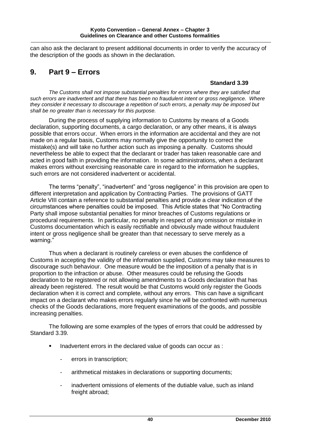can also ask the declarant to present additional documents in order to verify the accuracy of the description of the goods as shown in the declaration.

# **9. Part 9 – Errors**

## **Standard 3.39**

*The Customs shall not impose substantial penalties for errors where they are satisfied that such errors are inadvertent and that there has been no fraudulent intent or gross negligence. Where they consider it necessary to discourage a repetition of such errors, a penalty may be imposed but shall be no greater than is necessary for this purpose.*

During the process of supplying information to Customs by means of a Goods declaration, supporting documents, a cargo declaration, or any other means, it is always possible that errors occur. When errors in the information are accidental and they are not made on a regular basis, Customs may normally give the opportunity to correct the mistake(s) and will take no further action such as imposing a penalty. Customs should nevertheless be able to expect that the declarant or trader has taken reasonable care and acted in good faith in providing the information. In some administrations, when a declarant makes errors without exercising reasonable care in regard to the information he supplies, such errors are not considered inadvertent or accidental.

The terms "penalty", "inadvertent" and "gross negligence" in this provision are open to different interpretation and application by Contracting Parties. The provisions of GATT Article VIII contain a reference to substantial penalties and provide a clear indication of the circumstances where penalties could be imposed. This Article states that "No Contracting Party shall impose substantial penalties for minor breaches of Customs regulations or procedural requirements. In particular, no penalty in respect of any omission or mistake in Customs documentation which is easily rectifiable and obviously made without fraudulent intent or gross negligence shall be greater than that necessary to serve merely as a warning."

Thus when a declarant is routinely careless or even abuses the confidence of Customs in accepting the validity of the information supplied, Customs may take measures to discourage such behaviour. One measure would be the imposition of a penalty that is in proportion to the infraction or abuse. Other measures could be refusing the Goods declaration to be registered or not allowing amendments to a Goods declaration that has already been registered. The result would be that Customs would only register the Goods declaration when it is correct and complete, without any errors. This can have a significant impact on a declarant who makes errors regularly since he will be confronted with numerous checks of the Goods declarations, more frequent examinations of the goods, and possible increasing penalties.

The following are some examples of the types of errors that could be addressed by Standard 3.39.

- Inadvertent errors in the declared value of goods can occur as :
	- errors in transcription;
	- arithmetical mistakes in declarations or supporting documents;
	- inadvertent omissions of elements of the dutiable value, such as inland freight abroad: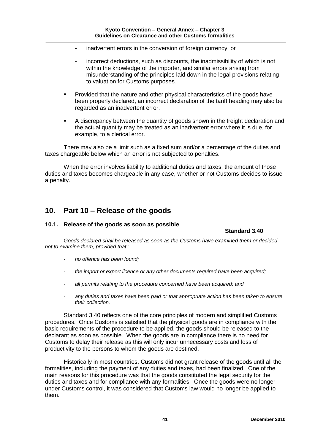- inadvertent errors in the conversion of foreign currency; or
- incorrect deductions, such as discounts, the inadmissibility of which is not within the knowledge of the importer, and similar errors arising from misunderstanding of the principles laid down in the legal provisions relating to valuation for Customs purposes.
- Provided that the nature and other physical characteristics of the goods have been properly declared, an incorrect declaration of the tariff heading may also be regarded as an inadvertent error.
- A discrepancy between the quantity of goods shown in the freight declaration and the actual quantity may be treated as an inadvertent error where it is due, for example, to a clerical error.

There may also be a limit such as a fixed sum and/or a percentage of the duties and taxes chargeable below which an error is not subjected to penalties.

When the error involves liability to additional duties and taxes, the amount of those duties and taxes becomes chargeable in any case, whether or not Customs decides to issue a penalty.

# **10. Part 10 – Release of the goods**

#### **10.1. Release of the goods as soon as possible**

**Standard 3.40**

*Goods declared shall be released as soon as the Customs have examined them or decided not to examine them, provided that :*

- *- no offence has been found;*
- *the import or export licence or any other documents required have been acquired;*
- *- all permits relating to the procedure concerned have been acquired; and*
- *- any duties and taxes have been paid or that appropriate action has been taken to ensure their collection.*

Standard 3.40 reflects one of the core principles of modern and simplified Customs procedures. Once Customs is satisfied that the physical goods are in compliance with the basic requirements of the procedure to be applied, the goods should be released to the declarant as soon as possible. When the goods are in compliance there is no need for Customs to delay their release as this will only incur unnecessary costs and loss of productivity to the persons to whom the goods are destined.

Historically in most countries, Customs did not grant release of the goods until all the formalities, including the payment of any duties and taxes, had been finalized. One of the main reasons for this procedure was that the goods constituted the legal security for the duties and taxes and for compliance with any formalities. Once the goods were no longer under Customs control, it was considered that Customs law would no longer be applied to them.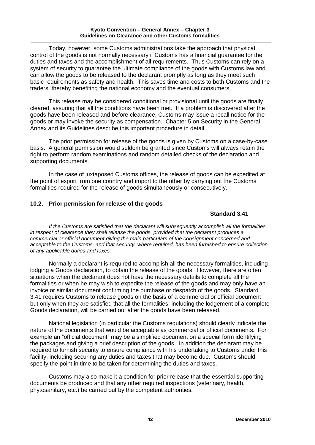#### **Kyoto Convention – General Annex – Chapter 3 Guidelines on Clearance and other Customs formalities**

Today, however, some Customs administrations take the approach that physical control of the goods is not normally necessary if Customs has a financial guarantee for the duties and taxes and the accomplishment of all requirements. Thus Customs can rely on a system of security to guarantee the ultimate compliance of the goods with Customs law and can allow the goods to be released to the declarant promptly as long as they meet such basic requirements as safety and health. This saves time and costs to both Customs and the traders, thereby benefiting the national economy and the eventual consumers.

This release may be considered conditional or provisional until the goods are finally cleared, assuring that all the conditions have been met. If a problem is discovered after the goods have been released and before clearance, Customs may issue a recall notice for the goods or may invoke the security as compensation. Chapter 5 on Security in the General Annex and its Guidelines describe this important procedure in detail.

The prior permission for release of the goods is given by Customs on a case-by-case basis. A general permission would seldom be granted since Customs will always retain the right to perform random examinations and random detailed checks of the declaration and supporting documents.

In the case of juxtaposed Customs offices, the release of goods can be expedited at the point of export from one country and import to the other by carrying out the Customs formalities required for the release of goods simultaneously or consecutively.

## **10.2. Prior permission for release of the goods**

## **Standard 3.41**

*If the Customs are satisfied that the declarant will subsequently accomplish all the formalities in respect of clearance they shall release the goods, provided that the declarant produces a commercial or official document giving the main particulars of the consignment concerned and acceptable to the Customs, and that security, where required, has been furnished to ensure collection of any applicable duties and taxes.*

Normally a declarant is required to accomplish all the necessary formalities, including lodging a Goods declaration, to obtain the release of the goods. However, there are often situations when the declarant does not have the necessary details to complete all the formalities or when he may wish to expedite the release of the goods and may only have an invoice or similar document confirming the purchase or despatch of the goods. Standard 3.41 requires Customs to release goods on the basis of a commercial or official document but only when they are satisfied that all the formalities, including the lodgement of a complete Goods declaration, will be carried out after the goods have been released.

National legislation (in particular the Customs regulations) should clearly indicate the nature of the documents that would be acceptable as commercial or official documents. For example an "official document" may be a simplified document on a special form identifying the packages and giving a brief description of the goods. In addition the declarant may be required to furnish security to ensure compliance with his undertaking to Customs under this facility, including securing any duties and taxes that may become due. Customs should specify the point in time to be taken for determining the duties and taxes.

Customs may also make it a condition for prior release that the essential supporting documents be produced and that any other required inspections (veterinary, health, phytosanitary, etc.) be carried out by the competent authorities.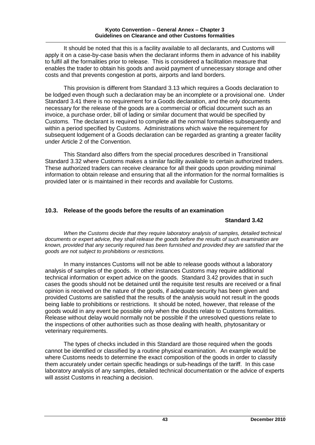It should be noted that this is a facility available to all declarants, and Customs will apply it on a case-by-case basis when the declarant informs them in advance of his inability to fulfil all the formalities prior to release. This is considered a facilitation measure that enables the trader to obtain his goods and avoid payment of unnecessary storage and other costs and that prevents congestion at ports, airports and land borders.

This provision is different from Standard 3.13 which requires a Goods declaration to be lodged even though such a declaration may be an incomplete or a provisional one. Under Standard 3.41 there is no requirement for a Goods declaration, and the only documents necessary for the release of the goods are a commercial or official document such as an invoice, a purchase order, bill of lading or similar document that would be specified by Customs. The declarant is required to complete all the normal formalities subsequently and within a period specified by Customs. Administrations which waive the requirement for subsequent lodgement of a Goods declaration can be regarded as granting a greater facility under Article 2 of the Convention.

This Standard also differs from the special procedures described in Transitional Standard 3.32 where Customs makes a similar facility available to certain authorized traders. These authorized traders can receive clearance for all their goods upon providing minimal information to obtain release and ensuring that all the information for the normal formalities is provided later or is maintained in their records and available for Customs.

## **10.3. Release of the goods before the results of an examination**

#### **Standard 3.42**

*When the Customs decide that they require laboratory analysis of samples, detailed technical documents or expert advice, they shall release the goods before the results of such examination are known, provided that any security required has been furnished and provided they are satisfied that the goods are not subject to prohibitions or restrictions.*

In many instances Customs will not be able to release goods without a laboratory analysis of samples of the goods. In other instances Customs may require additional technical information or expert advice on the goods. Standard 3.42 provides that in such cases the goods should not be detained until the requisite test results are received or a final opinion is received on the nature of the goods, if adequate security has been given and provided Customs are satisfied that the results of the analysis would not result in the goods being liable to prohibitions or restrictions. It should be noted, however, that release of the goods would in any event be possible only when the doubts relate to Customs formalities. Release without delay would normally not be possible if the unresolved questions relate to the inspections of other authorities such as those dealing with health, phytosanitary or veterinary requirements.

The types of checks included in this Standard are those required when the goods cannot be identified or classified by a routine physical examination. An example would be where Customs needs to determine the exact composition of the goods in order to classify them accurately under certain specific headings or sub-headings of the tariff. In this case laboratory analysis of any samples, detailed technical documentation or the advice of experts will assist Customs in reaching a decision.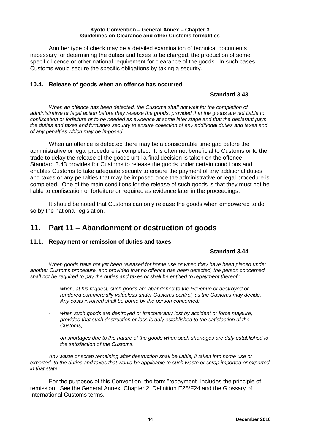Another type of check may be a detailed examination of technical documents necessary for determining the duties and taxes to be charged, the production of some specific licence or other national requirement for clearance of the goods. In such cases Customs would secure the specific obligations by taking a security.

## **10.4. Release of goods when an offence has occurred**

## **Standard 3.43**

When an offence has been detected, the Customs shall not wait for the completion of *administrative or legal action before they release the goods, provided that the goods are not liable to confiscation or forfeiture or to be needed as evidence at some later stage and that the declarant pays the duties and taxes and furnishes security to ensure collection of any additional duties and taxes and of any penalties which may be imposed.*

When an offence is detected there may be a considerable time gap before the administrative or legal procedure is completed. It is often not beneficial to Customs or to the trade to delay the release of the goods until a final decision is taken on the offence. Standard 3.43 provides for Customs to release the goods under certain conditions and enables Customs to take adequate security to ensure the payment of any additional duties and taxes or any penalties that may be imposed once the administrative or legal procedure is completed. One of the main conditions for the release of such goods is that they must not be liable to confiscation or forfeiture or required as evidence later in the proceedings.

It should be noted that Customs can only release the goods when empowered to do so by the national legislation.

# **11. Part 11 – Abandonment or destruction of goods**

#### **11.1. Repayment or remission of duties and taxes**

## **Standard 3.44**

*When goods have not yet been released for home use or when they have been placed under another Customs procedure, and provided that no offence has been detected, the person concerned shall not be required to pay the duties and taxes or shall be entitled to repayment thereof :*

- *- when, at his request, such goods are abandoned to the Revenue or destroyed or rendered commercially valueless under Customs control, as the Customs may decide. Any costs involved shall be borne by the person concerned;*
- *- when such goods are destroyed or irrecoverably lost by accident or force majeure, provided that such destruction or loss is duly established to the satisfaction of the Customs;*
- *on shortages due to the nature of the goods when such shortages are duly established to the satisfaction of the Customs.*

*Any waste or scrap remaining after destruction shall be liable, if taken into home use or exported, to the duties and taxes that would be applicable to such waste or scrap imported or exported in that state.*

For the purposes of this Convention, the term "repayment" includes the principle of remission. See the General Annex, Chapter 2, Definition E25/F24 and the Glossary of International Customs terms.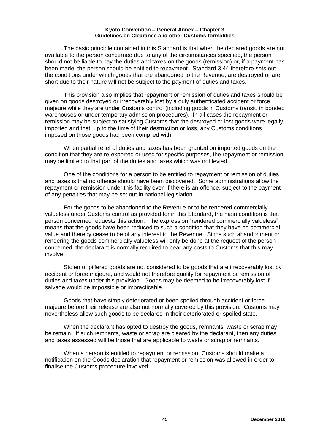The basic principle contained in this Standard is that when the declared goods are not available to the person concerned due to any of the circumstances specified, the person should not be liable to pay the duties and taxes on the goods (remission) or, if a payment has been made, the person should be entitled to repayment. Standard 3.44 therefore sets out the conditions under which goods that are abandoned to the Revenue, are destroyed or are short due to their nature will not be subject to the payment of duties and taxes.

This provision also implies that repayment or remission of duties and taxes should be given on goods destroyed or irrecoverably lost by a duly authenticated accident or force majeure while they are under Customs control (including goods in Customs transit, in bonded warehouses or under temporary admission procedures). In all cases the repayment or remission may be subject to satisfying Customs that the destroyed or lost goods were legally imported and that, up to the time of their destruction or loss, any Customs conditions imposed on those goods had been complied with.

When partial relief of duties and taxes has been granted on imported goods on the condition that they are re-exported or used for specific purposes, the repayment or remission may be limited to that part of the duties and taxes which was not levied.

One of the conditions for a person to be entitled to repayment or remission of duties and taxes is that no offence should have been discovered. Some administrations allow the repayment or remission under this facility even if there is an offence, subject to the payment of any penalties that may be set out in national legislation.

For the goods to be abandoned to the Revenue or to be rendered commercially valueless under Customs control as provided for in this Standard, the main condition is that person concerned requests this action. The expression "rendered commercially valueless" means that the goods have been reduced to such a condition that they have no commercial value and thereby cease to be of any interest to the Revenue. Since such abandonment or rendering the goods commercially valueless will only be done at the request of the person concerned, the declarant is normally required to bear any costs to Customs that this may involve.

Stolen or pilfered goods are not considered to be goods that are irrecoverably lost by accident or force majeure, and would not therefore qualify for repayment or remission of duties and taxes under this provision. Goods may be deemed to be irrecoverably lost if salvage would be impossible or impracticable.

Goods that have simply deteriorated or been spoiled through accident or force majeure before their release are also not normally covered by this provision. Customs may nevertheless allow such goods to be declared in their deteriorated or spoiled state.

When the declarant has opted to destroy the goods, remnants, waste or scrap may be remain. If such remnants, waste or scrap are cleared by the declarant, then any duties and taxes assessed will be those that are applicable to waste or scrap or remnants.

When a person is entitled to repayment or remission, Customs should make a notification on the Goods declaration that repayment or remission was allowed in order to finalise the Customs procedure involved.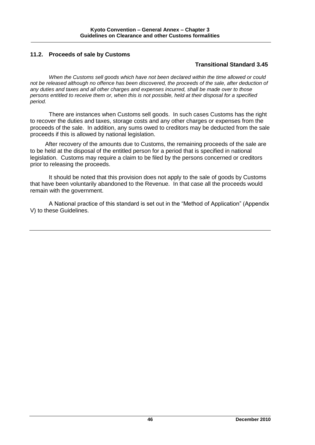## **11.2. Proceeds of sale by Customs**

## **Transitional Standard 3.45**

*When the Customs sell goods which have not been declared within the time allowed or could*  not be released although no offence has been discovered, the proceeds of the sale, after deduction of *any duties and taxes and all other charges and expenses incurred, shall be made over to those persons entitled to receive them or, when this is not possible, held at their disposal for a specified period.*

There are instances when Customs sell goods. In such cases Customs has the right to recover the duties and taxes, storage costs and any other charges or expenses from the proceeds of the sale. In addition, any sums owed to creditors may be deducted from the sale proceeds if this is allowed by national legislation.

After recovery of the amounts due to Customs, the remaining proceeds of the sale are to be held at the disposal of the entitled person for a period that is specified in national legislation. Customs may require a claim to be filed by the persons concerned or creditors prior to releasing the proceeds.

It should be noted that this provision does not apply to the sale of goods by Customs that have been voluntarily abandoned to the Revenue. In that case all the proceeds would remain with the government.

A National practice of this standard is set out in the "Method of Application" (Appendix V) to these Guidelines.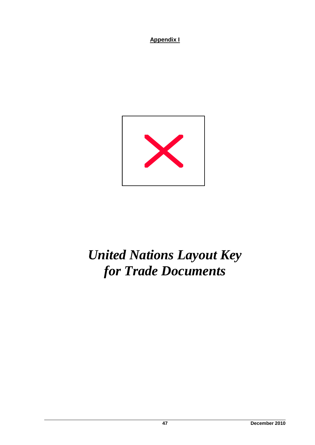

# *United Nations Layout Key for Trade Documents*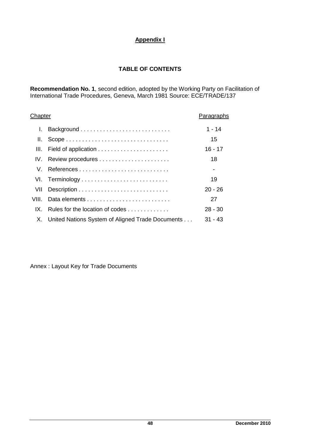# **TABLE OF CONTENTS**

**Recommendation No. 1**, second edition, adopted by the Working Party on Facilitation of International Trade Procedures, Geneva, March 1981 Source: ECE/TRADE/137

| Chapter | Paragraphs                                       |           |
|---------|--------------------------------------------------|-----------|
| L.      |                                                  | $1 - 14$  |
| Ш.      |                                                  | 15        |
| III.    |                                                  | $16 - 17$ |
| IV.     |                                                  | 18        |
| V.      | References                                       |           |
|         | VI. Terminology                                  | 19        |
| VII     |                                                  | $20 - 26$ |
| VIII.   |                                                  | 27        |
| IX.     | Rules for the location of codes                  | $28 - 30$ |
| Χ.      | United Nations System of Aligned Trade Documents | $31 - 43$ |

Annex : Layout Key for Trade Documents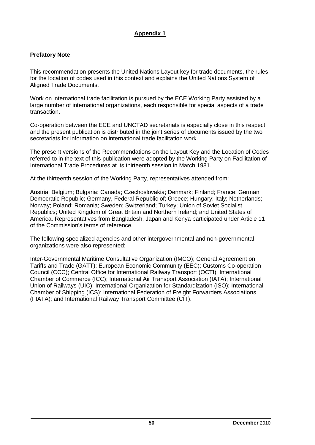## **Appendix 1**

## **Prefatory Note**

This recommendation presents the United Nations Layout key for trade documents, the rules for the location of codes used in this context and explains the United Nations System of Aligned Trade Documents.

Work on international trade facilitation is pursued by the ECE Working Party assisted by a large number of international organizations, each responsible for special aspects of a trade transaction.

Co-operation between the ECE and UNCTAD secretariats is especially close in this respect; and the present publication is distributed in the joint series of documents issued by the two secretariats for information on international trade facilitation work.

The present versions of the Recommendations on the Layout Key and the Location of Codes referred to in the text of this publication were adopted by the Working Party on Facilitation of International Trade Procedures at its thirteenth session in March 1981.

At the thirteenth session of the Working Party, representatives attended from:

Austria; Belgium; Bulgaria; Canada; Czechoslovakia; Denmark; Finland; France; German Democratic Republic; Germany, Federal Republic of; Greece; Hungary; Italy; Netherlands; Norway; Poland; Romania; Sweden; Switzerland; Turkey; Union of Soviet Socialist Republics; United Kingdom of Great Britain and Northern Ireland; and United States of America. Representatives from Bangladesh, Japan and Kenya participated under Article 11 of the Commission's terms of reference.

The following specialized agencies and other intergovernmental and non-governmental organizations were also represented:

Inter-Governmental Maritime Consultative Organization (IMCO); General Agreement on Tariffs and Trade (GATT); European Economic Community (EEC); Customs Co-operation Council (CCC); Central Office for International Railway Transport (OCTI); International Chamber of Commerce (ICC); International Air Transport Association (IATA); International Union of Railways (UIC); International Organization for Standardization (ISO); International Chamber of Shipping (ICS); International Federation of Freight Forwarders Associations (FIATA); and International Railway Transport Committee (CIT).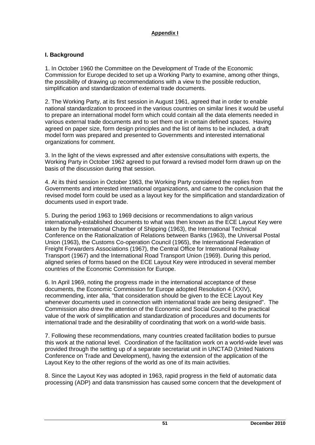## **I. Background**

1. In October 1960 the Committee on the Development of Trade of the Economic Commission for Europe decided to set up a Working Party to examine, among other things, the possibility of drawing up recommendations with a view to the possible reduction, simplification and standardization of external trade documents.

2. The Working Party, at its first session in August 1961, agreed that in order to enable national standardization to proceed in the various countries on similar lines it would be useful to prepare an international model form which could contain all the data elements needed in various external trade documents and to set them out in certain defined spaces. Having agreed on paper size, form design principles and the list of items to be included, a draft model form was prepared and presented to Governments and interested international organizations for comment.

3. In the light of the views expressed and after extensive consultations with experts, the Working Party in October 1962 agreed to put forward a revised model form drawn up on the basis of the discussion during that session.

4. At its third session in October 1963, the Working Party considered the replies from Governments and interested international organizations, and came to the conclusion that the revised model form could be used as a layout key for the simplification and standardization of documents used in export trade.

5. During the period 1963 to 1969 decisions or recommendations to align various internationally-established documents to what was then known as the ECE Layout Key were taken by the International Chamber of Shipping (1963), the International Technical Conference on the Rationalization of Relations between Banks (1963), the Universal Postal Union (1963), the Customs Co-operation Council (1965), the International Federation of Freight Forwarders Associations (1967), the Central Office for International Railway Transport (1967) and the International Road Transport Union (1969). During this period, aligned series of forms based on the ECE Layout Key were introduced in several member countries of the Economic Commission for Europe.

6. In April 1969, noting the progress made in the international acceptance of these documents, the Economic Commission for Europe adopted Resolution 4 (XXIV), recommending, inter alia, "that consideration should be given to the ECE Layout Key whenever documents used in connection with international trade are being designed". The Commission also drew the attention of the Economic and Social Council to the practical value of the work of simplification and standardization of procedures and documents for international trade and the desirability of coordinating that work on a world-wide basis.

7. Following these recommendations, many countries created facilitation bodies to pursue this work at the national level. Coordination of the facilitation work on a world-wide level was provided through the setting up of a separate secretariat unit in UNCTAD (United Nations Conference on Trade and Development), having the extension of the application of the Layout Key to the other regions of the world as one of its main activities.

8. Since the Layout Key was adopted in 1963, rapid progress in the field of automatic data processing (ADP) and data transmission has caused some concern that the development of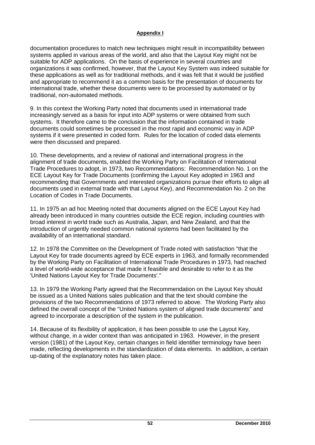documentation procedures to match new techniques might result in incompatibility between systems applied in various areas of the world, and also that the Layout Key might not be suitable for ADP applications. On the basis of experience in several countries and organizations it was confirmed, however, that the Layout Key System was indeed suitable for these applications as well as for traditional methods, and it was felt that it would be justified and appropriate to recommend it as a common basis for the presentation of documents for international trade, whether these documents were to be processed by automated or by traditional, non-automated methods.

9. In this context the Working Party noted that documents used in international trade increasingly served as a basis for input into ADP systems or were obtained from such systems. It therefore came to the conclusion that the information contained in trade documents could sometimes be processed in the most rapid and economic way in ADP systems if it were presented in coded form. Rules for the location of coded data elements were then discussed and prepared.

10. These developments, and a review of national and international progress in the alignment of trade documents, enabled the Working Party on Facilitation of International Trade Procedures to adopt, in 1973, two Recommendations: Recommendation No. 1 on the ECE Layout Key for Trade Documents (confirming the Layout Key adopted in 1963 and recommending that Governments and interested organizations pursue their efforts to align all documents used in external trade with that Layout Key), and Recommendation No. 2 on the Location of Codes in Trade Documents.

11. In 1975 an ad hoc Meeting noted that documents aligned on the ECE Layout Key had already been introduced in many countries outside the ECE region, including countries with broad interest in world trade such as Australia, Japan, and New Zealand, and that the introduction of urgently needed common national systems had been facilitated by the availability of an international standard.

12. In 1978 the Committee on the Development of Trade noted with satisfaction "that the Layout Key for trade documents agreed by ECE experts in 1963, and formally recommended by the Working Party on Facilitation of International Trade Procedures in 1973, had reached a level of world-wide acceptance that made it feasible and desirable to refer to it as the 'United Nations Layout Key for Trade Documents'."

13. In 1979 the Working Party agreed that the Recommendation on the Layout Key should be issued as a United Nations sales publication and that the text should combine the provisions of the two Recommendations of 1973 referred to above. The Working Party also defined the overall concept of the "United Nations system of aligned trade documents" and agreed to incorporate a description of the system in the publication.

14. Because of its flexibility of application, it has been possible to use the Layout Key, without change, in a wider context than was anticipated in 1963. However, in the present version (1981) of the Layout Key, certain changes in field identifier terminology have been made, reflecting developments in the standardization of data elements. In addition, a certain up-dating of the explanatory notes has taken place.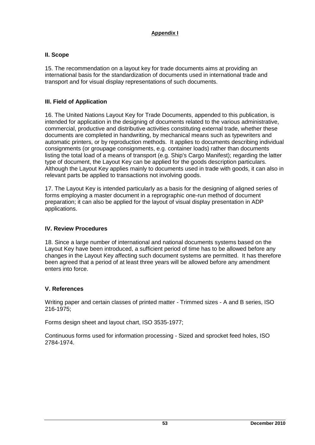## **II. Scope**

15. The recommendation on a layout key for trade documents aims at providing an international basis for the standardization of documents used in international trade and transport and for visual display representations of such documents.

## **III. Field of Application**

16. The United Nations Layout Key for Trade Documents, appended to this publication, is intended for application in the designing of documents related to the various administrative, commercial, productive and distributive activities constituting external trade, whether these documents are completed in handwriting, by mechanical means such as typewriters and automatic printers, or by reproduction methods. It applies to documents describing individual consignments (or groupage consignments, e.g. container loads) rather than documents listing the total load of a means of transport (e.g. Ship's Cargo Manifest); regarding the latter type of document, the Layout Key can be applied for the goods description particulars. Although the Layout Key applies mainly to documents used in trade with goods, it can also in relevant parts be applied to transactions not involving goods.

17. The Layout Key is intended particularly as a basis for the designing of aligned series of forms employing a master document in a reprographic one-run method of document preparation; it can also be applied for the layout of visual display presentation in ADP applications.

#### **IV. Review Procedures**

18. Since a large number of international and national documents systems based on the Layout Key have been introduced, a sufficient period of time has to be allowed before any changes in the Layout Key affecting such document systems are permitted. It has therefore been agreed that a period of at least three years will be allowed before any amendment enters into force.

#### **V. References**

Writing paper and certain classes of printed matter - Trimmed sizes - A and B series, ISO 216-1975;

Forms design sheet and layout chart, ISO 3535-1977;

Continuous forms used for information processing - Sized and sprocket feed holes, ISO 2784-1974.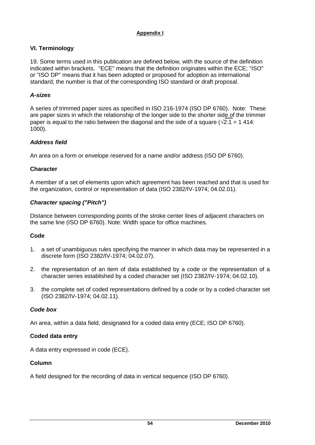## **VI. Terminology**

19. Some terms used in this publication are defined below, with the source of the definition indicated within brackets. "ECE" means that the definition originates within the ECE; "ISO" or "ISO DP" means that it has been adopted or proposed for adoption as international standard; the number is that of the corresponding ISO standard or draft proposal.

## *A-sizes*

A series of trimmed paper sizes as specified in ISO 216-1974 (ISO DP 6760). Note: These are paper sizes in which the relationship of the longer side to the shorter side of the trimmer paper is equal to the ratio between the diagonal and the side of a square  $(\sqrt{2:1} = 1\,414)$ : 1000).

## *Address field*

An area on a form or envelope reserved for a name and/or address (ISO DP 6760).

## **Character**

A member of a set of elements upon which agreement has been reached and that is used for the organization, control or representation of data (ISO 2382/IV-1974; 04.02.01).

## *Character spacing ("Pitch")*

Distance between corresponding points of the stroke center lines of adjacent characters on the same line (ISO DP 6760). Note: Width space for office machines.

#### **Code**

- 1. a set of unambiguous rules specifying the manner in which data may be represented in a discrete form (ISO 2382/IV-1974; 04.02.07).
- 2. the representation of an item of data established by a code or the representation of a character series established by a coded character set (ISO 2382/IV-1974; 04.02.10).
- 3. the complete set of coded representations defined by a code or by a coded character set (ISO 2382/IV-1974; 04.02.11).

#### *Code box*

An area, within a data field, designated for a coded data entry (ECE; ISO DP 6760).

#### **Coded data entry**

A data entry expressed in code (ECE).

#### **Column**

A field designed for the recording of data in vertical sequence (ISO DP 6760).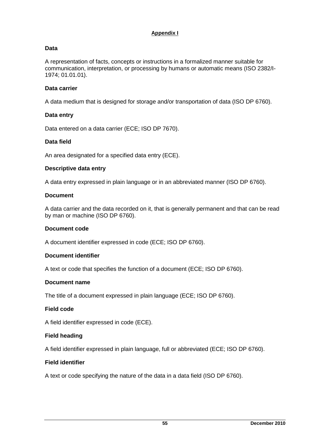## **Data**

A representation of facts, concepts or instructions in a formalized manner suitable for communication, interpretation, or processing by humans or automatic means (ISO 2382/I-1974; 01.01.01).

## **Data carrier**

A data medium that is designed for storage and/or transportation of data (ISO DP 6760).

## **Data entry**

Data entered on a data carrier (ECE; ISO DP 7670).

#### **Data field**

An area designated for a specified data entry (ECE).

#### **Descriptive data entry**

A data entry expressed in plain language or in an abbreviated manner (ISO DP 6760).

#### **Document**

A data carrier and the data recorded on it, that is generally permanent and that can be read by man or machine (ISO DP 6760).

#### **Document code**

A document identifier expressed in code (ECE; ISO DP 6760).

#### **Document identifier**

A text or code that specifies the function of a document (ECE; ISO DP 6760).

#### **Document name**

The title of a document expressed in plain language (ECE; ISO DP 6760).

#### **Field code**

A field identifier expressed in code (ECE).

#### **Field heading**

A field identifier expressed in plain language, full or abbreviated (ECE; ISO DP 6760).

#### **Field identifier**

A text or code specifying the nature of the data in a data field (ISO DP 6760).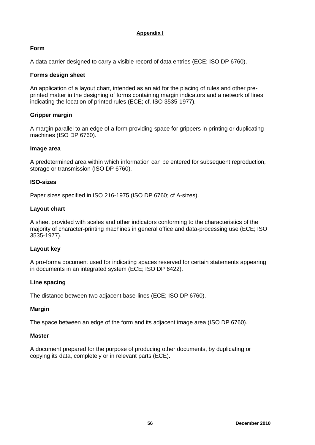## **Form**

A data carrier designed to carry a visible record of data entries (ECE; ISO DP 6760).

## **Forms design sheet**

An application of a layout chart, intended as an aid for the placing of rules and other preprinted matter in the designing of forms containing margin indicators and a network of lines indicating the location of printed rules (ECE; cf. ISO 3535-1977).

## **Gripper margin**

A margin parallel to an edge of a form providing space for grippers in printing or duplicating machines (ISO DP 6760).

## **Image area**

A predetermined area within which information can be entered for subsequent reproduction, storage or transmission (ISO DP 6760).

## **ISO-sizes**

Paper sizes specified in ISO 216-1975 (ISO DP 6760; cf A-sizes).

## **Layout chart**

A sheet provided with scales and other indicators conforming to the characteristics of the majority of character-printing machines in general office and data-processing use (ECE; ISO 3535-1977).

## **Layout key**

A pro-forma document used for indicating spaces reserved for certain statements appearing in documents in an integrated system (ECE; ISO DP 6422).

## **Line spacing**

The distance between two adjacent base-lines (ECE; ISO DP 6760).

## **Margin**

The space between an edge of the form and its adjacent image area (ISO DP 6760).

## **Master**

A document prepared for the purpose of producing other documents, by duplicating or copying its data, completely or in relevant parts (ECE).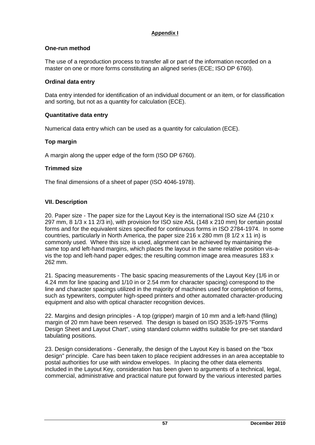## **One-run method**

The use of a reproduction process to transfer all or part of the information recorded on a master on one or more forms constituting an aligned series (ECE; ISO DP 6760).

## **Ordinal data entry**

Data entry intended for identification of an individual document or an item, or for classification and sorting, but not as a quantity for calculation (ECE).

## **Quantitative data entry**

Numerical data entry which can be used as a quantity for calculation (ECE).

## **Top margin**

A margin along the upper edge of the form (ISO DP 6760).

## **Trimmed size**

The final dimensions of a sheet of paper (ISO 4046-1978).

## **VII. Description**

20. Paper size - The paper size for the Layout Key is the international ISO size A4 (210 x 297 mm, 8 1/3 x 11 2/3 in), with provision for ISO size A5L (148 x 210 mm) for certain postal forms and for the equivalent sizes specified for continuous forms in ISO 2784-1974. In some countries, particularly in North America, the paper size  $216 \times 280$  mm (8  $1/2 \times 11$  in) is commonly used. Where this size is used, alignment can be achieved by maintaining the same top and left-hand margins, which places the layout in the same relative position vis-avis the top and left-hand paper edges; the resulting common image area measures 183 x 262 mm.

21. Spacing measurements - The basic spacing measurements of the Layout Key (1/6 in or 4.24 mm for line spacing and 1/10 in or 2.54 mm for character spacing) correspond to the line and character spacings utilized in the majority of machines used for completion of forms, such as typewriters, computer high-speed printers and other automated character-producing equipment and also with optical character recognition devices.

22. Margins and design principles - A top (gripper) margin of 10 mm and a left-hand (filing) margin of 20 mm have been reserved. The design is based on ISO 3535-1975 "Forms Design Sheet and Layout Chart", using standard column widths suitable for pre-set standard tabulating positions.

23. Design considerations - Generally, the design of the Layout Key is based on the "box design" principle. Care has been taken to place recipient addresses in an area acceptable to postal authorities for use with window envelopes. In placing the other data elements included in the Layout Key, consideration has been given to arguments of a technical, legal, commercial, administrative and practical nature put forward by the various interested parties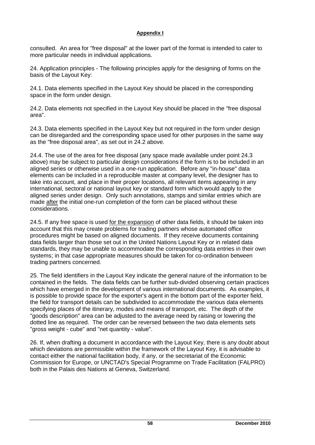consulted. An area for "free disposal" at the lower part of the format is intended to cater to more particular needs in individual applications.

24. Application principles - The following principles apply for the designing of forms on the basis of the Layout Key:

24.1. Data elements specified in the Layout Key should be placed in the corresponding space in the form under design.

24.2. Data elements not specified in the Layout Key should be placed in the "free disposal area".

24.3. Data elements specified in the Layout Key but not required in the form under design can be disregarded and the corresponding space used for other purposes in the same way as the "free disposal area", as set out in 24.2 above.

24.4. The use of the area for free disposal (any space made available under point 24.3 above) may be subject to particular design considerations if the form is to be included in an aligned series or otherwise used in a one-run application. Before any "in-house" data elements can be included in a reproducible master at company level, the designer has to take into account, and place in their proper locations, all relevant items appearing in any international, sectoral or national layout key or standard form which would apply to the aligned series under design. Only such annotations, stamps and similar entries which are made after the initial one-run completion of the form can be placed without these considerations.

24.5. If any free space is used for the expansion of other data fields, it should be taken into account that this may create problems for trading partners whose automated office procedures might be based on aligned documents. If they receive documents containing data fields larger than those set out in the United Nations Layout Key or in related data standards, they may be unable to accommodate the corresponding data entries in their own systems; in that case appropriate measures should be taken for co-ordination between trading partners concerned.

25. The field identifiers in the Layout Key indicate the general nature of the information to be contained in the fields. The data fields can be further sub-divided observing certain practices which have emerged in the development of various international documents. As examples, it is possible to provide space for the exporter's agent in the bottom part of the exporter field, the field for transport details can be subdivided to accommodate the various data elements specifying places of the itinerary, modes and means of transport, etc. The depth of the "goods description" area can be adjusted to the average need by raising or lowering the dotted line as required. The order can be reversed between the two data elements sets "gross weight - cube" and "net quantity - value".

26. If, when drafting a document in accordance with the Layout Key, there is any doubt about which deviations are permissible within the framework of the Layout Key, it is advisable to contact either the national facilitation body, if any, or the secretariat of the Economic Commission for Europe, or UNCTAD's Special Programme on Trade Facilitation (FALPRO) both in the Palais des Nations at Geneva, Switzerland.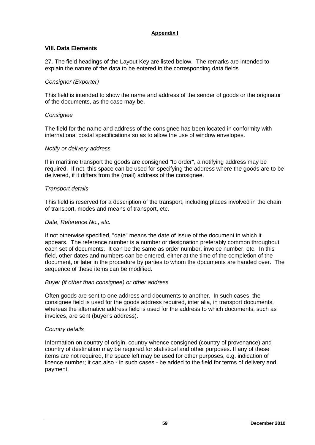## **VIII. Data Elements**

27. The field headings of the Layout Key are listed below. The remarks are intended to explain the nature of the data to be entered in the corresponding data fields.

## *Consignor (Exporter)*

This field is intended to show the name and address of the sender of goods or the originator of the documents, as the case may be.

#### *Consignee*

The field for the name and address of the consignee has been located in conformity with international postal specifications so as to allow the use of window envelopes.

#### *Notify or delivery address*

If in maritime transport the goods are consigned "to order", a notifying address may be required. If not, this space can be used for specifying the address where the goods are to be delivered, if it differs from the (mail) address of the consignee.

#### *Transport details*

This field is reserved for a description of the transport, including places involved in the chain of transport, modes and means of transport, etc.

#### *Date, Reference No., etc.*

If not otherwise specified, "date" means the date of issue of the document in which it appears. The reference number is a number or designation preferably common throughout each set of documents. It can be the same as order number, invoice number, etc. In this field, other dates and numbers can be entered, either at the time of the completion of the document, or later in the procedure by parties to whom the documents are handed over. The sequence of these items can be modified.

#### *Buyer (if other than consignee) or other address*

Often goods are sent to one address and documents to another. In such cases, the consignee field is used for the goods address required, inter alia, in transport documents, whereas the alternative address field is used for the address to which documents, such as invoices, are sent (buyer's address).

#### *Country details*

Information on country of origin, country whence consigned (country of provenance) and country of destination may be required for statistical and other purposes. If any of these items are not required, the space left may be used for other purposes, e.g. indication of licence number; it can also - in such cases - be added to the field for terms of delivery and payment.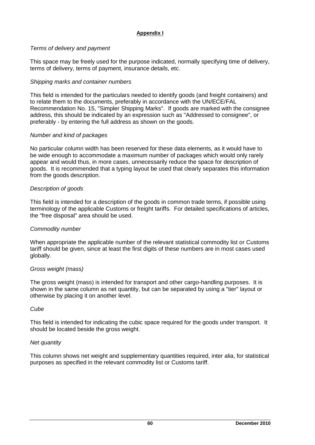## *Terms of delivery and payment*

This space may be freely used for the purpose indicated, normally specifying time of delivery, terms of delivery, terms of payment, insurance details, etc.

## *Shipping marks and container numbers*

This field is intended for the particulars needed to identify goods (and freight containers) and to relate them to the documents, preferably in accordance with the UN/ECE/FAL Recommendation No. 15, "Simpler Shipping Marks". If goods are marked with the consignee address, this should be indicated by an expression such as "Addressed to consignee", or preferably - by entering the full address as shown on the goods.

## *Number and kind of packages*

No particular column width has been reserved for these data elements, as it would have to be wide enough to accommodate a maximum number of packages which would only rarely appear and would thus, in more cases, unnecessarily reduce the space for description of goods. It is recommended that a typing layout be used that clearly separates this information from the goods description.

## *Description of goods*

This field is intended for a description of the goods in common trade terms, if possible using terminology of the applicable Customs or freight tariffs. For detailed specifications of articles, the "free disposal" area should be used.

## *Commodity number*

When appropriate the applicable number of the relevant statistical commodity list or Customs tariff should be given, since at least the first digits of these numbers are in most cases used globally.

## *Gross weight (mass)*

The gross weight (mass) is intended for transport and other cargo-handling purposes. It is shown in the same column as net quantity, but can be separated by using a "tier" layout or otherwise by placing it on another level.

#### *Cube*

This field is intended for indicating the cubic space required for the goods under transport. It should be located beside the gross weight.

#### *Net quantity*

This column shows net weight and supplementary quantities required, inter alia, for statistical purposes as specified in the relevant commodity list or Customs tariff.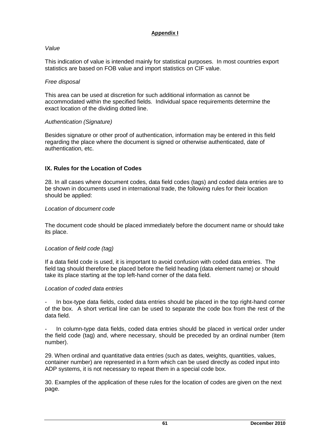## *Value*

This indication of value is intended mainly for statistical purposes. In most countries export statistics are based on FOB value and import statistics on CIF value.

#### *Free disposal*

This area can be used at discretion for such additional information as cannot be accommodated within the specified fields. Individual space requirements determine the exact location of the dividing dotted line.

## *Authentication (Signature)*

Besides signature or other proof of authentication, information may be entered in this field regarding the place where the document is signed or otherwise authenticated, date of authentication, etc.

## **IX. Rules for the Location of Codes**

28. In all cases where document codes, data field codes (tags) and coded data entries are to be shown in documents used in international trade, the following rules for their location should be applied:

## *Location of document code*

The document code should be placed immediately before the document name or should take its place.

#### *Location of field code (tag)*

If a data field code is used, it is important to avoid confusion with coded data entries. The field tag should therefore be placed before the field heading (data element name) or should take its place starting at the top left-hand corner of the data field.

#### *Location of coded data entries*

In box-type data fields, coded data entries should be placed in the top right-hand corner of the box. A short vertical line can be used to separate the code box from the rest of the data field.

In column-type data fields, coded data entries should be placed in vertical order under the field code (tag) and, where necessary, should be preceded by an ordinal number (item number).

29. When ordinal and quantitative data entries (such as dates, weights, quantities, values, container number) are represented in a form which can be used directly as coded input into ADP systems, it is not necessary to repeat them in a special code box.

30. Examples of the application of these rules for the location of codes are given on the next page.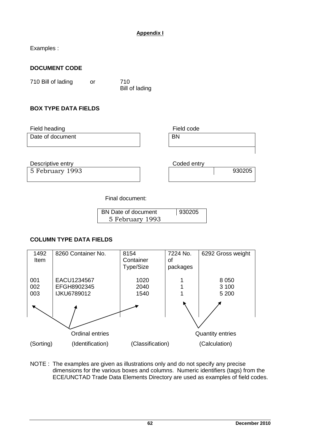Examples :

## **DOCUMENT CODE**

710 Bill of lading or 710

Bill of lading

## **BOX TYPE DATA FIELDS**

Field heading **Field code** 

Date of document

Descriptive entry **Coded entry** Coded entry

5 February 1993 **930205** 

Final document:

| BN Date of document | 930205 |
|---------------------|--------|
| 5 February 1993     |        |

## **COLUMN TYPE DATA FIELDS**



NOTE : The examples are given as illustrations only and do not specify any precise dimensions for the various boxes and columns. Numeric identifiers (tags) from the ECE/UNCTAD Trade Data Elements Directory are used as examples of field codes.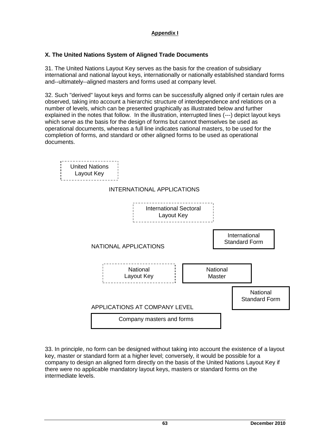## **X. The United Nations System of Aligned Trade Documents**

31. The United Nations Layout Key serves as the basis for the creation of subsidiary international and national layout keys, internationally or nationally established standard forms and--ultimately--aligned masters and forms used at company level.

32. Such "derived" layout keys and forms can be successfully aligned only if certain rules are observed, taking into account a hierarchic structure of interdependence and relations on a number of levels, which can be presented graphically as illustrated below and further explained in the notes that follow. In the illustration, interrupted lines (---) depict layout keys which serve as the basis for the design of forms but cannot themselves be used as operational documents, whereas a full line indicates national masters, to be used for the completion of forms, and standard or other aligned forms to be used as operational documents.



33. In principle, no form can be designed without taking into account the existence of a layout key, master or standard form at a higher level; conversely, it would be possible for a company to design an aligned form directly on the basis of the United Nations Layout Key if there were no applicable mandatory layout keys, masters or standard forms on the intermediate levels.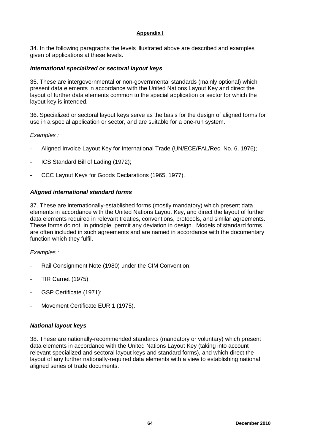34. In the following paragraphs the levels illustrated above are described and examples given of applications at these levels.

## *International specialized or sectoral layout keys*

35. These are intergovernmental or non-governmental standards (mainly optional) which present data elements in accordance with the United Nations Layout Key and direct the layout of further data elements common to the special application or sector for which the layout key is intended.

36. Specialized or sectoral layout keys serve as the basis for the design of aligned forms for use in a special application or sector, and are suitable for a one-run system.

## *Examples :*

- Aligned Invoice Layout Key for International Trade (UN/ECE/FAL/Rec. No. 6, 1976);
- ICS Standard Bill of Lading (1972);
- CCC Layout Keys for Goods Declarations (1965, 1977).

## *Aligned international standard forms*

37. These are internationally-established forms (mostly mandatory) which present data elements in accordance with the United Nations Layout Key, and direct the layout of further data elements required in relevant treaties, conventions, protocols, and similar agreements. These forms do not, in principle, permit any deviation in design. Models of standard forms are often included in such agreements and are named in accordance with the documentary function which they fulfil.

#### *Examples :*

- Rail Consignment Note (1980) under the CIM Convention:
- TIR Carnet (1975);
- GSP Certificate (1971);
- Movement Certificate EUR 1 (1975).

#### *National layout keys*

38. These are nationally-recommended standards (mandatory or voluntary) which present data elements in accordance with the United Nations Layout Key (taking into account relevant specialized and sectoral layout keys and standard forms), and which direct the layout of any further nationally-required data elements with a view to establishing national aligned series of trade documents.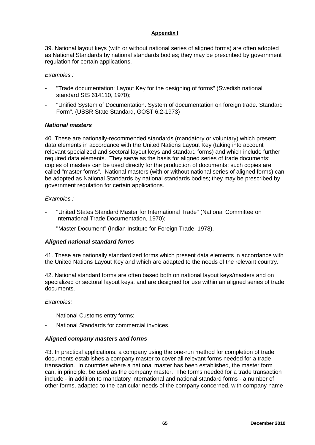39. National layout keys (with or without national series of aligned forms) are often adopted as National Standards by national standards bodies; they may be prescribed by government regulation for certain applications.

## *Examples :*

- "Trade documentation: Layout Key for the designing of forms" (Swedish national standard SIS 614110, 1970);
- "Unified System of Documentation. System of documentation on foreign trade. Standard Form". (USSR State Standard, GOST 6.2-1973)

## *National masters*

40. These are nationally-recommended standards (mandatory or voluntary) which present data elements in accordance with the United Nations Layout Key (taking into account relevant specialized and sectoral layout keys and standard forms) and which include further required data elements. They serve as the basis for aligned series of trade documents; copies of masters can be used directly for the production of documents: such copies are called "master forms". National masters (with or without national series of aligned forms) can be adopted as National Standards by national standards bodies; they may be prescribed by government regulation for certain applications.

## *Examples :*

- "United States Standard Master for International Trade" (National Committee on International Trade Documentation, 1970);
- "Master Document" (Indian Institute for Foreign Trade, 1978).

## *Aligned national standard forms*

41. These are nationally standardized forms which present data elements in accordance with the United Nations Layout Key and which are adapted to the needs of the relevant country.

42. National standard forms are often based both on national layout keys/masters and on specialized or sectoral layout keys, and are designed for use within an aligned series of trade documents.

## *Examples:*

- National Customs entry forms;
- National Standards for commercial invoices.

## *Aligned company masters and forms*

43. In practical applications, a company using the one-run method for completion of trade documents establishes a company master to cover all relevant forms needed for a trade transaction. In countries where a national master has been established, the master form can, in principle, be used as the company master. The forms needed for a trade transaction include - in addition to mandatory international and national standard forms - a number of other forms, adapted to the particular needs of the company concerned, with company name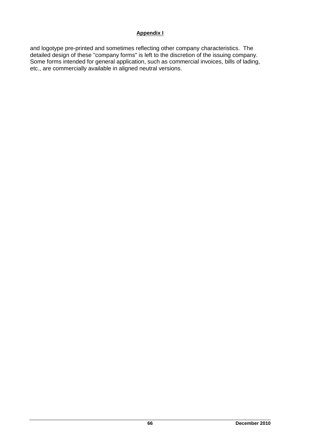and logotype pre-printed and sometimes reflecting other company characteristics. The detailed design of these "company forms" is left to the discretion of the issuing company. Some forms intended for general application, such as commercial invoices, bills of lading, etc., are commercially available in aligned neutral versions.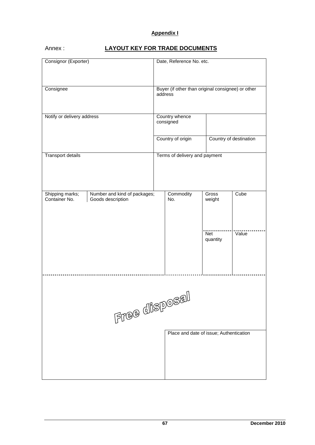## Annex : **LAYOUT KEY FOR TRADE DOCUMENTS**

| Consignor (Exporter)             |                                                   | Date, Reference No. etc.                                     |                                         |                        |       |  |  |  |  |  |  |  |
|----------------------------------|---------------------------------------------------|--------------------------------------------------------------|-----------------------------------------|------------------------|-------|--|--|--|--|--|--|--|
| Consignee                        |                                                   | Buyer (if other than original consignee) or other<br>address |                                         |                        |       |  |  |  |  |  |  |  |
| Notify or delivery address       |                                                   | Country whence<br>consigned                                  |                                         |                        |       |  |  |  |  |  |  |  |
|                                  |                                                   |                                                              | Country of origin                       | Country of destination |       |  |  |  |  |  |  |  |
| Transport details                |                                                   | Terms of delivery and payment                                |                                         |                        |       |  |  |  |  |  |  |  |
| Shipping marks;<br>Container No. | Number and kind of packages;<br>Goods description |                                                              | Commodity<br>No.                        | <b>Gross</b><br>weight | Cube  |  |  |  |  |  |  |  |
|                                  |                                                   |                                                              |                                         | <b>Net</b><br>quantity | Value |  |  |  |  |  |  |  |
|                                  | $F$ ree disposal                                  |                                                              |                                         |                        |       |  |  |  |  |  |  |  |
|                                  |                                                   |                                                              | Place and date of issue; Authentication |                        |       |  |  |  |  |  |  |  |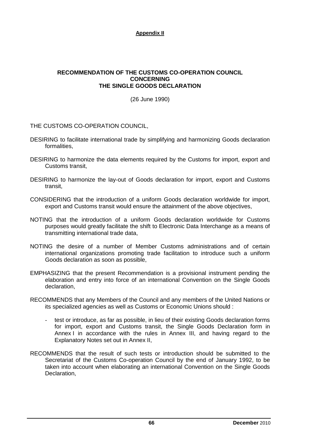#### **RECOMMENDATION OF THE CUSTOMS CO-OPERATION COUNCIL CONCERNING THE SINGLE GOODS DECLARATION**

(26 June 1990)

THE CUSTOMS CO-OPERATION COUNCIL,

- DESIRING to facilitate international trade by simplifying and harmonizing Goods declaration formalities,
- DESIRING to harmonize the data elements required by the Customs for import, export and Customs transit,
- DESIRING to harmonize the lay-out of Goods declaration for import, export and Customs transit,
- CONSIDERING that the introduction of a uniform Goods declaration worldwide for import, export and Customs transit would ensure the attainment of the above objectives,
- NOTING that the introduction of a uniform Goods declaration worldwide for Customs purposes would greatly facilitate the shift to Electronic Data Interchange as a means of transmitting international trade data,
- NOTING the desire of a number of Member Customs administrations and of certain international organizations promoting trade facilitation to introduce such a uniform Goods declaration as soon as possible,
- EMPHASIZING that the present Recommendation is a provisional instrument pending the elaboration and entry into force of an international Convention on the Single Goods declaration,
- RECOMMENDS that any Members of the Council and any members of the United Nations or its specialized agencies as well as Customs or Economic Unions should :
	- test or introduce, as far as possible, in lieu of their existing Goods declaration forms for import, export and Customs transit, the Single Goods Declaration form in Annex I in accordance with the rules in Annex III, and having regard to the Explanatory Notes set out in Annex II,
- RECOMMENDS that the result of such tests or introduction should be submitted to the Secretariat of the Customs Co-operation Council by the end of January 1992, to be taken into account when elaborating an international Convention on the Single Goods Declaration,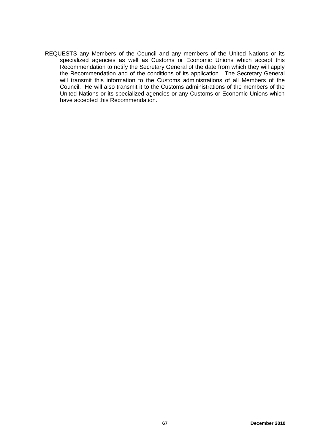REQUESTS any Members of the Council and any members of the United Nations or its specialized agencies as well as Customs or Economic Unions which accept this Recommendation to notify the Secretary General of the date from which they will apply the Recommendation and of the conditions of its application. The Secretary General will transmit this information to the Customs administrations of all Members of the Council. He will also transmit it to the Customs administrations of the members of the United Nations or its specialized agencies or any Customs or Economic Unions which have accepted this Recommendation.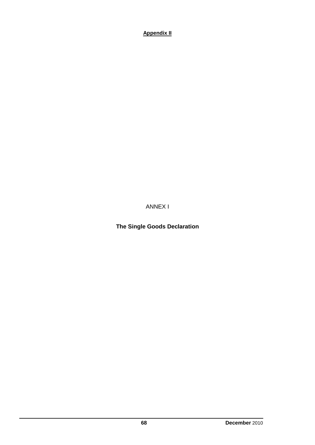ANNEX I

**The Single Goods Declaration**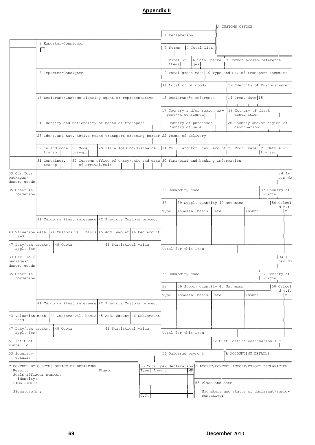|                                                                                |                                                                                                                                    |                           |                      |                    |                 |  |                                                                               |  |                                                                                          |                                                          |                                                                                          |  |                |                     |    |                |                   |                                |  | A CUSTOMS OFFICE                            |           |  |                                                                     |              |                   |
|--------------------------------------------------------------------------------|------------------------------------------------------------------------------------------------------------------------------------|---------------------------|----------------------|--------------------|-----------------|--|-------------------------------------------------------------------------------|--|------------------------------------------------------------------------------------------|----------------------------------------------------------|------------------------------------------------------------------------------------------|--|----------------|---------------------|----|----------------|-------------------|--------------------------------|--|---------------------------------------------|-----------|--|---------------------------------------------------------------------|--------------|-------------------|
|                                                                                |                                                                                                                                    |                           |                      |                    |                 |  |                                                                               |  |                                                                                          |                                                          |                                                                                          |  | 1 Declaration  |                     |    |                |                   |                                |  |                                             |           |  |                                                                     |              |                   |
|                                                                                |                                                                                                                                    |                           | 2 Exporter/Consignor |                    |                 |  |                                                                               |  |                                                                                          |                                                          |                                                                                          |  | 3 Forms        |                     |    |                | 4 Total list      |                                |  |                                             |           |  |                                                                     |              |                   |
|                                                                                |                                                                                                                                    |                           |                      |                    |                 |  |                                                                               |  |                                                                                          |                                                          |                                                                                          |  |                | 5 Total of          |    |                |                   |                                |  |                                             |           |  | 6 Total packa- 7 Common access reference                            |              |                   |
|                                                                                | 8 Importer/Consignee                                                                                                               |                           |                      |                    |                 |  |                                                                               |  |                                                                                          |                                                          | Items                                                                                    |  |                | qes                 |    |                |                   |                                |  |                                             |           |  |                                                                     |              |                   |
|                                                                                |                                                                                                                                    |                           |                      |                    |                 |  |                                                                               |  |                                                                                          | 9 Total gross mass 10 Type and No. of transport document |                                                                                          |  |                |                     |    |                |                   |                                |  |                                             |           |  |                                                                     |              |                   |
|                                                                                |                                                                                                                                    |                           |                      |                    |                 |  |                                                                               |  |                                                                                          | 11 Location of goods                                     |                                                                                          |  |                |                     |    |                |                   | 12 Identity of Customs wareh.  |  |                                             |           |  |                                                                     |              |                   |
|                                                                                | 16 Declarant/Customs clearing agent or representative                                                                              |                           |                      |                    |                 |  |                                                                               |  |                                                                                          | 13 Declarant's reference<br>14 Pres. date 15             |                                                                                          |  |                |                     |    |                |                   |                                |  |                                             |           |  |                                                                     |              |                   |
|                                                                                |                                                                                                                                    |                           |                      |                    |                 |  |                                                                               |  | 17 Country and/or region ex-<br>18 Country of first<br>port/wh.consigned <br>destination |                                                          |                                                                                          |  |                |                     |    |                |                   |                                |  |                                             |           |  |                                                                     |              |                   |
|                                                                                | 21 Identify and nationality of means of transport<br>23 Ident.and nat. active means transport crossing border 22 Terms of delivery |                           |                      |                    |                 |  |                                                                               |  |                                                                                          |                                                          | 19 Country of purchase/<br>20 Country and/or region of<br>Country of sale<br>destination |  |                |                     |    |                |                   |                                |  |                                             |           |  |                                                                     |              |                   |
|                                                                                |                                                                                                                                    |                           |                      |                    |                 |  |                                                                               |  |                                                                                          |                                                          |                                                                                          |  |                |                     |    |                |                   |                                |  |                                             |           |  |                                                                     |              |                   |
|                                                                                |                                                                                                                                    | 27 Inland mode<br>transp. |                      | 28 Mode<br>transp. |                 |  | 29 Place loading/discharge                                                    |  |                                                                                          |                                                          |                                                                                          |  |                |                     |    |                |                   |                                |  | 24 Curr. and tot. inv. amount 25 Exch. rate |           |  | 26 Nature of<br>transac                                             |              |                   |
|                                                                                |                                                                                                                                    | 31 Container.<br>transp.  |                      |                    | of arrival/exit |  | 32 Customs office of entry/exit and date 30 Financial and banking information |  |                                                                                          |                                                          |                                                                                          |  |                |                     |    |                |                   |                                |  |                                             |           |  |                                                                     |              |                   |
| 33 Ctr.Id./<br>packages/<br>descr. goods                                       |                                                                                                                                    |                           |                      |                    |                 |  |                                                                               |  |                                                                                          |                                                          |                                                                                          |  |                |                     |    |                |                   |                                |  |                                             |           |  |                                                                     |              | $34T -$<br>tem No |
| 35 Other In-<br>formation                                                      |                                                                                                                                    |                           |                      |                    |                 |  |                                                                               |  |                                                                                          |                                                          | 37 Country of<br>36 Commodity code<br>origin                                             |  |                |                     |    |                |                   |                                |  |                                             |           |  |                                                                     |              |                   |
|                                                                                |                                                                                                                                    |                           |                      |                    |                 |  |                                                                               |  |                                                                                          |                                                          | 38<br>39 Suppl. quantity 40 Net mass                                                     |  |                |                     |    |                |                   |                                |  |                                             | 50 Calcul |  |                                                                     |              |                   |
|                                                                                |                                                                                                                                    |                           |                      |                    |                 |  |                                                                               |  |                                                                                          |                                                          | Type                                                                                     |  | Assessm. basis |                     |    |                | Rate              |                                |  |                                             | Amount    |  |                                                                     | d.t.f.<br>MP |                   |
|                                                                                | 41 Cargo manifest reference 42 Previous Customs proced.                                                                            |                           |                      |                    |                 |  |                                                                               |  |                                                                                          |                                                          |                                                                                          |  |                |                     |    |                |                   |                                |  |                                             |           |  |                                                                     |              |                   |
| 43 Valuation meth.<br>used                                                     |                                                                                                                                    |                           |                      |                    |                 |  | 44 Customs val. basis 45 Add. amount 46 Ded. amount                           |  |                                                                                          |                                                          |                                                                                          |  |                |                     |    |                |                   |                                |  |                                             |           |  |                                                                     |              |                   |
| 47 Duty/tax treatm.<br>appl. for                                               |                                                                                                                                    |                           | 48 Quota             |                    |                 |  | 49 Statistical value                                                          |  |                                                                                          |                                                          |                                                                                          |  |                | Total for this Item |    |                |                   |                                |  |                                             |           |  |                                                                     |              |                   |
| 33 Ctr. Id./<br>packages/<br>descr. goods                                      |                                                                                                                                    |                           |                      |                    |                 |  |                                                                               |  |                                                                                          |                                                          |                                                                                          |  |                |                     |    |                |                   |                                |  |                                             |           |  |                                                                     | 34 $I-$      | tem No            |
| 35 Other In-<br>formation                                                      |                                                                                                                                    |                           |                      |                    |                 |  |                                                                               |  |                                                                                          |                                                          |                                                                                          |  |                | 36 Commodity code   |    |                |                   |                                |  |                                             |           |  | 37 Country of<br>origin                                             |              |                   |
|                                                                                |                                                                                                                                    |                           |                      |                    |                 |  |                                                                               |  |                                                                                          |                                                          | 38                                                                                       |  |                |                     |    |                |                   | 39 Suppl. quantity 40 Net mass |  |                                             |           |  | 50 Calcul                                                           | d.t.f.       |                   |
|                                                                                |                                                                                                                                    |                           |                      |                    |                 |  |                                                                               |  |                                                                                          |                                                          | Type                                                                                     |  |                |                     |    | Assessm. basis | Rate              |                                |  |                                             | Amount    |  |                                                                     | MP           |                   |
|                                                                                |                                                                                                                                    |                           |                      |                    |                 |  | 41 Cargo manifest reference 42 Previous Customs proced.                       |  |                                                                                          |                                                          |                                                                                          |  |                |                     |    |                |                   |                                |  |                                             |           |  |                                                                     |              |                   |
| 43 Valuation meth. 44 Customs val. basis 45 Add. amount 46 Ded. amount<br>used |                                                                                                                                    |                           |                      |                    |                 |  |                                                                               |  |                                                                                          |                                                          |                                                                                          |  |                |                     |    |                |                   |                                |  |                                             |           |  |                                                                     |              |                   |
| 47 Duty/tax treatm.<br>appl. for                                               |                                                                                                                                    |                           | 48 Quota             |                    |                 |  | 49 Statistical value                                                          |  |                                                                                          |                                                          |                                                                                          |  |                | Total for this item |    |                |                   |                                |  |                                             |           |  |                                                                     |              |                   |
| 51 Int.C.of<br>route $+ c.$                                                    |                                                                                                                                    |                           |                      |                    |                 |  |                                                                               |  |                                                                                          |                                                          |                                                                                          |  |                |                     |    |                |                   |                                |  |                                             |           |  | 52 Cust. office destination + c.                                    |              |                   |
| 53 Security<br>details                                                         |                                                                                                                                    |                           |                      |                    |                 |  |                                                                               |  |                                                                                          |                                                          |                                                                                          |  |                | 54 Deferred payment |    |                |                   |                                |  | B ACCOUNTING DETAILS                        |           |  |                                                                     |              |                   |
| C CONTROL BY CUSTOMS OFFICE OF DEPARTURE<br>Result:<br>Seals affixed: number:  |                                                                                                                                    |                           |                      |                    |                 |  | Stamp:                                                                        |  |                                                                                          | Type   Amount                                            |                                                                                          |  |                |                     | ΜP |                |                   |                                |  |                                             |           |  | 55 Total per declaration D ACCEPT/CONTROL IMPORT/EXPORT DECLARATION |              |                   |
| identity:<br>TIME LIMIT:                                                       |                                                                                                                                    |                           |                      |                    |                 |  |                                                                               |  |                                                                                          |                                                          |                                                                                          |  |                |                     |    |                | 56 Place and date |                                |  |                                             |           |  |                                                                     |              |                   |
| Signature(s):                                                                  |                                                                                                                                    |                           |                      |                    |                 |  |                                                                               |  |                                                                                          | G.T.                                                     |                                                                                          |  |                |                     |    |                | sentative:        |                                |  |                                             |           |  | Signature and status of declarant/repre-                            |              |                   |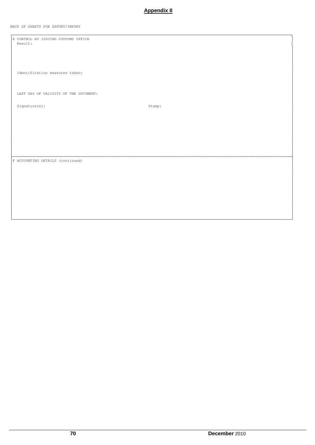BACK OF SHEETS FOR EXPORT/IMPORT

E CONTROL BY ISSUING CUSTOMS OFFICE<br>Result: Identification measures taken: LAST DAY OF VALIDITY OF THE DOCUMENT: Signature $(s)$ :  $\tt {Stamp:}$ F ACCOUNTING DETAILS (continued)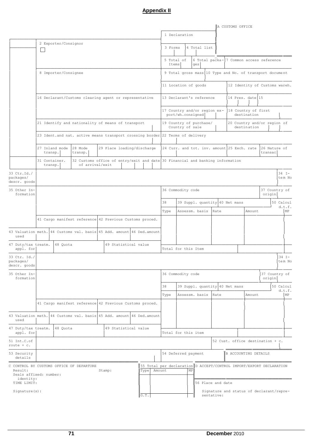|                                                                                |                |         |          |                                                                                                  |                            |  |                                                                                      |    |         |                                                   |    |              |                   |      |                                | A CUSTOMS OFFICE |                      |                                                          |                     |
|--------------------------------------------------------------------------------|----------------|---------|----------|--------------------------------------------------------------------------------------------------|----------------------------|--|--------------------------------------------------------------------------------------|----|---------|---------------------------------------------------|----|--------------|-------------------|------|--------------------------------|------------------|----------------------|----------------------------------------------------------|---------------------|
|                                                                                |                |         |          |                                                                                                  |                            |  |                                                                                      |    |         | 1 Declaration                                     |    |              |                   |      |                                |                  |                      |                                                          |                     |
|                                                                                |                |         |          | 2 Exporter/Consignor                                                                             |                            |  |                                                                                      |    | 3 Forms |                                                   |    | 4 Total list |                   |      |                                |                  |                      |                                                          |                     |
|                                                                                |                |         |          |                                                                                                  |                            |  |                                                                                      |    |         |                                                   |    |              |                   |      |                                |                  |                      |                                                          |                     |
|                                                                                |                |         |          |                                                                                                  |                            |  |                                                                                      |    | Items   | 5 Total of                                        |    | qes          |                   |      |                                |                  |                      | 6 Total packa- 7 Common access reference                 |                     |
|                                                                                |                |         |          | 8 Importer/Consignee                                                                             |                            |  |                                                                                      |    |         |                                                   |    |              |                   |      |                                |                  |                      | 9 Total gross mass 10 Type and No. of transport document |                     |
|                                                                                |                |         |          |                                                                                                  |                            |  |                                                                                      |    |         | 11 Location of goods                              |    |              |                   |      |                                |                  |                      | 12 Identity of Customs wareh.                            |                     |
|                                                                                |                |         |          | 16 Declarant/Customs clearing agent or representative                                            |                            |  |                                                                                      |    |         | 13 Declarant's reference                          |    |              |                   |      |                                |                  | 14 Pres. date 15     |                                                          |                     |
|                                                                                |                |         |          |                                                                                                  |                            |  |                                                                                      |    |         | 17 Country and/or region ex-<br>port/wh.consigned |    |              |                   |      |                                |                  | destination          | 18 Country of first                                      |                     |
|                                                                                |                |         |          | 21 Identify and nationality of means of transport                                                |                            |  |                                                                                      |    |         | 19 Country of purchase/<br>Country of sale        |    |              |                   |      |                                |                  | destination          | 20 Country and/or region of                              |                     |
|                                                                                |                |         |          | 23 Ident.and nat. active means transport crossing border 22 Terms of delivery                    |                            |  |                                                                                      |    |         |                                                   |    |              |                   |      |                                |                  |                      |                                                          |                     |
|                                                                                | 27 Inland mode | transp. |          | 28 Mode<br>transp.                                                                               | 29 Place loading/discharge |  |                                                                                      |    |         | 24 Curr. and tot. inv. amount 25 Exch. rate       |    |              |                   |      |                                |                  |                      | 26 Nature of<br>transac                                  |                     |
|                                                                                | 31 Container.  | transp. |          | 32 Customs office of entry/exit and date 30 Financial and banking information<br>of arrival/exit |                            |  |                                                                                      |    |         |                                                   |    |              |                   |      |                                |                  |                      |                                                          |                     |
| 33 Ctr.Id./<br>packages/<br>descr. goods                                       |                |         |          |                                                                                                  |                            |  |                                                                                      |    |         |                                                   |    |              |                   |      |                                |                  |                      |                                                          | $34$ I-<br>tem No   |
| 35 Other In-<br>formation                                                      |                |         |          |                                                                                                  |                            |  |                                                                                      |    |         | 36 Commodity code                                 |    |              |                   |      |                                |                  |                      | 37 Country of<br>origin                                  |                     |
|                                                                                |                |         |          |                                                                                                  |                            |  |                                                                                      | 38 |         |                                                   |    |              |                   |      | 39 Suppl. quantity 40 Net mass |                  |                      |                                                          | 50 Calcul           |
|                                                                                |                |         |          |                                                                                                  |                            |  |                                                                                      |    | Type    | Assessm. basis                                    |    |              |                   | Rate |                                |                  | Amount               |                                                          | d.t.f.<br>MP        |
|                                                                                |                |         |          | 41 Cargo manifest reference 42 Previous Customs proced.                                          |                            |  |                                                                                      |    |         |                                                   |    |              |                   |      |                                |                  |                      |                                                          |                     |
| 43 Valuation meth.<br>used                                                     |                |         |          | 44 Customs val. basis 45 Add. amount 46 Ded. amount                                              |                            |  |                                                                                      |    |         |                                                   |    |              |                   |      |                                |                  |                      |                                                          |                     |
| 47 Duty/tax treatm.<br>appl. for                                               |                |         | 48 Quota |                                                                                                  | 49 Statistical value       |  |                                                                                      |    |         | Total for this Item                               |    |              |                   |      |                                |                  |                      |                                                          |                     |
| 33 Ctr. Id./<br>packages/<br>descr. goods                                      |                |         |          |                                                                                                  |                            |  |                                                                                      |    |         |                                                   |    |              |                   |      |                                |                  |                      |                                                          | $34$ I-<br>tem No   |
| 35 Other In-<br>formation                                                      |                |         |          |                                                                                                  |                            |  |                                                                                      |    |         | 36 Commodity code                                 |    |              |                   |      |                                |                  |                      | 37 Country of<br>origin                                  |                     |
|                                                                                |                |         |          |                                                                                                  |                            |  |                                                                                      | 38 |         |                                                   |    |              |                   |      | 39 Suppl. quantity 40 Net mass |                  |                      |                                                          | 50 Calcul<br>d.t.f. |
|                                                                                |                |         |          |                                                                                                  |                            |  |                                                                                      |    | Type    | Assessm. basis                                    |    |              |                   | Rate |                                |                  | Amount               |                                                          | MP                  |
|                                                                                |                |         |          | 41 Cargo manifest reference 42 Previous Customs proced.                                          |                            |  |                                                                                      |    |         |                                                   |    |              |                   |      |                                |                  |                      |                                                          |                     |
| 43 Valuation meth. 44 Customs val. basis 45 Add. amount 46 Ded. amount<br>used |                |         |          |                                                                                                  |                            |  |                                                                                      |    |         |                                                   |    |              |                   |      |                                |                  |                      |                                                          |                     |
| 47 Duty/tax treatm.<br>appl. for                                               |                |         | 48 Quota |                                                                                                  | 49 Statistical value       |  |                                                                                      |    |         | Total for this item                               |    |              |                   |      |                                |                  |                      |                                                          |                     |
| 51 Int.C.of<br>route $+ c.$                                                    |                |         |          |                                                                                                  |                            |  |                                                                                      |    |         |                                                   |    |              |                   |      |                                |                  |                      | 52 Cust. office destination + c.                         |                     |
| 53 Security<br>details                                                         |                |         |          |                                                                                                  |                            |  |                                                                                      |    |         | 54 Deferred payment                               |    |              |                   |      |                                |                  | B ACCOUNTING DETAILS |                                                          |                     |
| C CONTROL BY CUSTOMS OFFICE OF DEPARTURE<br>Result:<br>Seals affixed: number:  |                |         |          |                                                                                                  | Stamp:                     |  | 55 Total per declaration D ACCEPT/CONTROL IMPORT/EXPORT DECLARATION<br>Type   Amount |    |         |                                                   | ΜP |              |                   |      |                                |                  |                      |                                                          |                     |
| identity:<br>TIME LIMIT:                                                       |                |         |          |                                                                                                  |                            |  |                                                                                      |    |         |                                                   |    |              | 56 Place and date |      |                                |                  |                      |                                                          |                     |
| Signature(s):                                                                  |                |         |          |                                                                                                  |                            |  | G.T.                                                                                 |    |         |                                                   |    |              | sentative:        |      |                                |                  |                      | Signature and status of declarant/repre-                 |                     |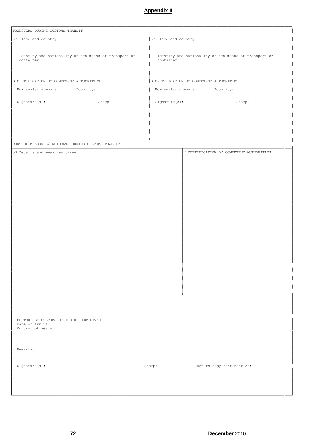| TRANSFERS DURING CUSTOMS TRANSIT                                   |                                                                    |
|--------------------------------------------------------------------|--------------------------------------------------------------------|
| 57 Place and country                                               | 57 Place and country                                               |
|                                                                    |                                                                    |
| Identity and nationality of new means of transport or<br>container | Identity and nationality of new means of transport or<br>container |
|                                                                    |                                                                    |
| G CERTIFICATION BY COMPETENT AUTHORITIES                           | G CERTIFICATION BY COMPETENT AUTHORITIES                           |
| New seals: number: Identity:                                       | New seals: number: Identity:                                       |
| Signature(s):<br>Stamp:                                            | Signature(s):<br>Stamp:                                            |
|                                                                    |                                                                    |
|                                                                    |                                                                    |
|                                                                    |                                                                    |
|                                                                    |                                                                    |
| CONTROL MEASURES/INCIDENTS DURING CUSTOMS TRANSIT                  |                                                                    |
| 58 Details and measures taken:                                     | H CERTIFICATION BY COMPETENT AUTHORITIES                           |
|                                                                    |                                                                    |
|                                                                    |                                                                    |
|                                                                    |                                                                    |
|                                                                    |                                                                    |
|                                                                    |                                                                    |
|                                                                    |                                                                    |
|                                                                    |                                                                    |
|                                                                    |                                                                    |
|                                                                    |                                                                    |
|                                                                    |                                                                    |
|                                                                    |                                                                    |
|                                                                    |                                                                    |
|                                                                    |                                                                    |
|                                                                    |                                                                    |
|                                                                    |                                                                    |
|                                                                    |                                                                    |
|                                                                    |                                                                    |
|                                                                    |                                                                    |
|                                                                    |                                                                    |
|                                                                    |                                                                    |
|                                                                    |                                                                    |
|                                                                    |                                                                    |
| J CONTROL BY CUSTOMS OFFICE OF DESTINATION<br>Date of arrival:     |                                                                    |
| Control of seals:                                                  |                                                                    |
|                                                                    |                                                                    |
|                                                                    |                                                                    |
| Remarks:                                                           |                                                                    |
|                                                                    |                                                                    |
| Signature(s):                                                      | Stamp:<br>Return copy sent back on:                                |
|                                                                    |                                                                    |
|                                                                    |                                                                    |
|                                                                    |                                                                    |

└───────────────────────────────────────────────────────────────────────────────────────────────────────────────────────────────┘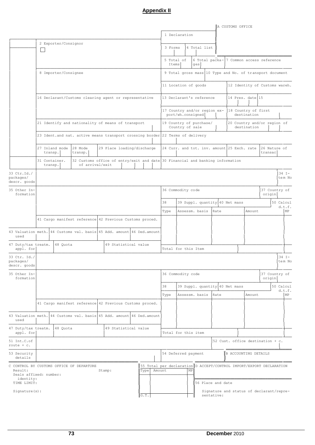|                                                                                |                |         |          |                                                                                                  |                            |  |                                                                             |        |         |                   |    |                                                   |                   | A CUSTOMS OFFICE               |                                                          |                         |                     |    |
|--------------------------------------------------------------------------------|----------------|---------|----------|--------------------------------------------------------------------------------------------------|----------------------------|--|-----------------------------------------------------------------------------|--------|---------|-------------------|----|---------------------------------------------------|-------------------|--------------------------------|----------------------------------------------------------|-------------------------|---------------------|----|
|                                                                                |                |         |          |                                                                                                  |                            |  |                                                                             |        |         | 1 Declaration     |    |                                                   |                   |                                |                                                          |                         |                     |    |
|                                                                                |                |         |          | 2 Exporter/Consignor                                                                             |                            |  |                                                                             |        | 3 Forms |                   |    | 4 Total list                                      |                   |                                |                                                          |                         |                     |    |
|                                                                                | - 1            |         |          |                                                                                                  |                            |  |                                                                             |        |         |                   |    |                                                   |                   |                                |                                                          |                         |                     |    |
|                                                                                |                |         |          |                                                                                                  |                            |  |                                                                             |        | Items   | 5 Total of        |    | qes                                               |                   |                                | 6 Total packa- 7 Common access reference                 |                         |                     |    |
|                                                                                |                |         |          | 8 Importer/Consignee                                                                             |                            |  |                                                                             |        |         |                   |    |                                                   |                   |                                | 9 Total gross mass 10 Type and No. of transport document |                         |                     |    |
|                                                                                |                |         |          |                                                                                                  |                            |  |                                                                             |        |         |                   |    | 11 Location of goods                              |                   |                                | 12 Identity of Customs wareh.                            |                         |                     |    |
|                                                                                |                |         |          | 16 Declarant/Customs clearing agent or representative                                            |                            |  |                                                                             |        |         |                   |    | 13 Declarant's reference                          |                   |                                | 14 Pres. date 15                                         |                         |                     |    |
|                                                                                |                |         |          |                                                                                                  |                            |  |                                                                             |        |         |                   |    | 17 Country and/or region ex-<br>port/wh.consigned |                   |                                | 18 Country of first<br>destination                       |                         |                     |    |
|                                                                                |                |         |          | 21 Identify and nationality of means of transport                                                |                            |  |                                                                             |        |         | Country of sale   |    | 19 Country of purchase/                           |                   |                                | 20 Country and/or region of<br>destination               |                         |                     |    |
|                                                                                |                |         |          | 23 Ident.and nat. active means transport crossing border 22 Terms of delivery                    |                            |  |                                                                             |        |         |                   |    |                                                   |                   |                                |                                                          |                         |                     |    |
|                                                                                | 27 Inland mode | transp. |          | 28 Mode<br>transp.                                                                               | 29 Place loading/discharge |  |                                                                             |        |         |                   |    |                                                   |                   |                                | 24 Curr. and tot. inv. amount 25 Exch. rate              | 26 Nature of<br>transac |                     |    |
|                                                                                | 31 Container.  | transp. |          | 32 Customs office of entry/exit and date 30 Financial and banking information<br>of arrival/exit |                            |  |                                                                             |        |         |                   |    |                                                   |                   |                                |                                                          |                         |                     |    |
| 33 Ctr.Id./<br>packages/<br>descr. goods                                       |                |         |          |                                                                                                  |                            |  |                                                                             |        |         |                   |    |                                                   |                   |                                |                                                          |                         | $34$ I-<br>tem No   |    |
| 35 Other In-<br>formation                                                      |                |         |          |                                                                                                  |                            |  |                                                                             |        |         | 36 Commodity code |    |                                                   |                   |                                |                                                          | 37 Country of<br>origin |                     |    |
|                                                                                |                |         |          |                                                                                                  |                            |  |                                                                             | 38     |         |                   |    |                                                   |                   | 39 Suppl. quantity 40 Net mass |                                                          |                         | 50 Calcul           |    |
|                                                                                |                |         |          |                                                                                                  |                            |  |                                                                             |        | Type    |                   |    | Assessm. basis                                    | Rate              |                                | Amount                                                   |                         | d.t.f.              | MP |
|                                                                                |                |         |          | 41 Cargo manifest reference 42 Previous Customs proced.                                          |                            |  |                                                                             |        |         |                   |    |                                                   |                   |                                |                                                          |                         |                     |    |
| 43 Valuation meth.<br>used                                                     |                |         |          | 44 Customs val. basis 45 Add. amount 46 Ded. amount                                              |                            |  |                                                                             |        |         |                   |    |                                                   |                   |                                |                                                          |                         |                     |    |
| 47 Duty/tax treatm.<br>appl. for                                               |                |         | 48 Quota |                                                                                                  | 49 Statistical value       |  |                                                                             |        |         |                   |    | Total for this Item                               |                   |                                |                                                          |                         |                     |    |
| 33 Ctr. Id./<br>packages/<br>descr. goods                                      |                |         |          |                                                                                                  |                            |  |                                                                             |        |         |                   |    |                                                   |                   |                                |                                                          |                         | $34$ I-<br>tem No   |    |
| 35 Other In-<br>formation                                                      |                |         |          |                                                                                                  |                            |  |                                                                             |        |         | 36 Commodity code |    |                                                   |                   |                                |                                                          | 37 Country of<br>origin |                     |    |
|                                                                                |                |         |          |                                                                                                  |                            |  |                                                                             | 38     |         |                   |    |                                                   |                   | 39 Suppl. quantity 40 Net mass |                                                          |                         | 50 Calcul<br>d.t.f. |    |
|                                                                                |                |         |          |                                                                                                  |                            |  |                                                                             |        | Type    |                   |    | Assessm. basis                                    | Rate              |                                | Amount                                                   |                         |                     | MP |
|                                                                                |                |         |          | 41 Cargo manifest reference 42 Previous Customs proced.                                          |                            |  |                                                                             |        |         |                   |    |                                                   |                   |                                |                                                          |                         |                     |    |
| 43 Valuation meth. 44 Customs val. basis 45 Add. amount 46 Ded. amount<br>used |                |         |          |                                                                                                  |                            |  |                                                                             |        |         |                   |    |                                                   |                   |                                |                                                          |                         |                     |    |
| 47 Duty/tax treatm.<br>appl. for                                               |                |         | 48 Quota |                                                                                                  | 49 Statistical value       |  |                                                                             |        |         |                   |    | Total for this item                               |                   |                                |                                                          |                         |                     |    |
| 51 Int.C.of<br>route $+ c.$                                                    |                |         |          |                                                                                                  |                            |  |                                                                             |        |         |                   |    |                                                   |                   |                                | 52 Cust. office destination + c.                         |                         |                     |    |
| 53 Security<br>details                                                         |                |         |          |                                                                                                  |                            |  |                                                                             |        |         |                   |    | 54 Deferred payment                               |                   |                                | B ACCOUNTING DETAILS                                     |                         |                     |    |
| C CONTROL BY CUSTOMS OFFICE OF DEPARTURE<br>Result:<br>Seals affixed: number:  |                |         |          |                                                                                                  | Stamp:                     |  | 55 Total per declaration D ACCEPT/CONTROL IMPORT/EXPORT DECLARATION<br>Type | Amount |         |                   | MP |                                                   |                   |                                |                                                          |                         |                     |    |
| identity:<br>TIME LIMIT:<br>Signature(s):                                      |                |         |          |                                                                                                  |                            |  |                                                                             |        |         |                   |    |                                                   | 56 Place and date |                                | Signature and status of declarant/repre-                 |                         |                     |    |
|                                                                                |                |         |          |                                                                                                  |                            |  | $G$ . T.                                                                    |        |         |                   |    |                                                   | sentative:        |                                |                                                          |                         |                     |    |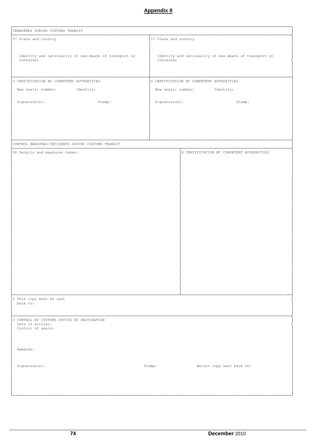| TRANSFERS DURING CUSTOMS TRANSIT                                   |                      |                                                       |
|--------------------------------------------------------------------|----------------------|-------------------------------------------------------|
| 57 Place and country                                               | 57 Place and country |                                                       |
| Identity and nationality of new means of transport or<br>container | container            | Identity and nationality of new means of transport or |
| G CERTIFICATION BY COMPETENT AUTHORITIES                           |                      | G CERTIFICATION BY COMPETENT AUTHORITIES              |
| New seals: number: Identity:                                       |                      | New seals: number: Identity:                          |
|                                                                    |                      |                                                       |
| Signature(s):<br>Stamp:                                            |                      | Signature(s):<br>Stamp:                               |
|                                                                    |                      |                                                       |
|                                                                    |                      |                                                       |
|                                                                    |                      |                                                       |
| CONTROL MEASURES/INCIDENTS DURING CUSTOMS TRANSIT                  |                      |                                                       |
| 58 Details and measures taken:                                     |                      | H CERTIFICATION BY COMPETENT AUTHORITIES              |
|                                                                    |                      |                                                       |
|                                                                    |                      |                                                       |
|                                                                    |                      |                                                       |
|                                                                    |                      |                                                       |
|                                                                    |                      |                                                       |
|                                                                    |                      |                                                       |
|                                                                    |                      |                                                       |
|                                                                    |                      |                                                       |
|                                                                    |                      |                                                       |
|                                                                    |                      |                                                       |
|                                                                    |                      |                                                       |
|                                                                    |                      |                                                       |
|                                                                    |                      |                                                       |
|                                                                    |                      |                                                       |
|                                                                    |                      |                                                       |
|                                                                    |                      |                                                       |
| I This copy must be sent                                           |                      |                                                       |
| back to:                                                           |                      |                                                       |
| J CONTROL BY CUSTOMS OFFICE OF DESTINATION                         |                      |                                                       |
| Date of arrival:<br>Control of seals:                              |                      |                                                       |
|                                                                    |                      |                                                       |
|                                                                    |                      |                                                       |
| Remarks:                                                           |                      |                                                       |
|                                                                    |                      |                                                       |
| Signature(s):                                                      | Stamp:               | Return copy sent back on:                             |
|                                                                    |                      |                                                       |
|                                                                    |                      |                                                       |
|                                                                    |                      |                                                       |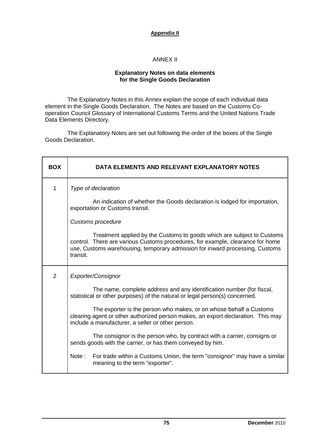#### ANNEX II

#### **Explanatory Notes on data elements for the Single Goods Declaration**

The Explanatory Notes in this Annex explain the scope of each individual data element in the Single Goods Declaration. The Notes are based on the Customs Cooperation Council Glossary of International Customs Terms and the United Nations Trade Data Elements Directory.

The Explanatory Notes are set out following the order of the boxes of the Single Goods Declaration.

| <b>BOX</b>     | DATA ELEMENTS AND RELEVANT EXPLANATORY NOTES                                                                                                                                                                                                         |
|----------------|------------------------------------------------------------------------------------------------------------------------------------------------------------------------------------------------------------------------------------------------------|
| 1              | Type of declaration                                                                                                                                                                                                                                  |
|                | An indication of whether the Goods declaration is lodged for importation,<br>exportation or Customs transit.                                                                                                                                         |
|                | Customs procedure                                                                                                                                                                                                                                    |
|                | Treatment applied by the Customs to goods which are subject to Customs<br>control. There are various Customs procedures, for example, clearance for home<br>use, Customs warehousing, temporary admission for inward processing, Customs<br>transit. |
| $\overline{2}$ | Exporter/Consignor                                                                                                                                                                                                                                   |
|                | The name, complete address and any identification number (for fiscal,<br>statistical or other purposes) of the natural or legal person(s) concerned.                                                                                                 |
|                | The exporter is the person who makes, or on whose behalf a Customs<br>clearing agent or other authorized person makes, an export declaration. This may<br>include a manufacturer, a seller or other person.                                          |
|                | The consignor is the person who, by contract with a carrier, consigns or<br>sends goods with the carrier, or has them conveyed by him.                                                                                                               |
|                | For trade within a Customs Union, the term "consignor" may have a similar<br>Note:<br>meaning to the term "exporter".                                                                                                                                |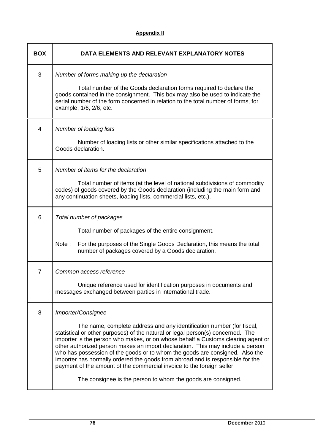| <b>BOX</b> | DATA ELEMENTS AND RELEVANT EXPLANATORY NOTES                                                                                                                                                                                                                                                                                                                                                                                                                                                                                                                                                                                                                     |
|------------|------------------------------------------------------------------------------------------------------------------------------------------------------------------------------------------------------------------------------------------------------------------------------------------------------------------------------------------------------------------------------------------------------------------------------------------------------------------------------------------------------------------------------------------------------------------------------------------------------------------------------------------------------------------|
| 3          | Number of forms making up the declaration<br>Total number of the Goods declaration forms required to declare the<br>goods contained in the consignment. This box may also be used to indicate the<br>serial number of the form concerned in relation to the total number of forms, for<br>example, 1/6, 2/6, etc.                                                                                                                                                                                                                                                                                                                                                |
| 4          | Number of loading lists<br>Number of loading lists or other similar specifications attached to the<br>Goods declaration.                                                                                                                                                                                                                                                                                                                                                                                                                                                                                                                                         |
| 5          | Number of items for the declaration<br>Total number of items (at the level of national subdivisions of commodity<br>codes) of goods covered by the Goods declaration (including the main form and<br>any continuation sheets, loading lists, commercial lists, etc.).                                                                                                                                                                                                                                                                                                                                                                                            |
| 6          | Total number of packages<br>Total number of packages of the entire consignment.<br>For the purposes of the Single Goods Declaration, this means the total<br>Note:<br>number of packages covered by a Goods declaration.                                                                                                                                                                                                                                                                                                                                                                                                                                         |
| 7          | Common access reference<br>Unique reference used for identification purposes in documents and<br>messages exchanged between parties in international trade.                                                                                                                                                                                                                                                                                                                                                                                                                                                                                                      |
| 8          | Importer/Consignee<br>The name, complete address and any identification number (for fiscal,<br>statistical or other purposes) of the natural or legal person(s) concerned. The<br>importer is the person who makes, or on whose behalf a Customs clearing agent or<br>other authorized person makes an import declaration. This may include a person<br>who has possession of the goods or to whom the goods are consigned. Also the<br>importer has normally ordered the goods from abroad and is responsible for the<br>payment of the amount of the commercial invoice to the foreign seller.<br>The consignee is the person to whom the goods are consigned. |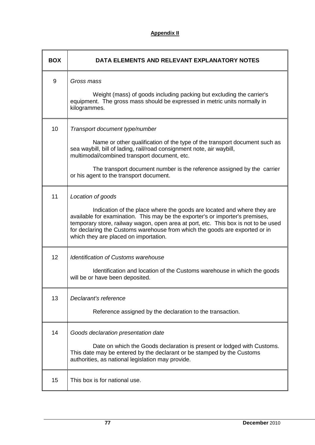| <b>BOX</b> | DATA ELEMENTS AND RELEVANT EXPLANATORY NOTES                                                                                                                                                                                                                                                                                                                                               |
|------------|--------------------------------------------------------------------------------------------------------------------------------------------------------------------------------------------------------------------------------------------------------------------------------------------------------------------------------------------------------------------------------------------|
| 9          | Gross mass<br>Weight (mass) of goods including packing but excluding the carrier's<br>equipment. The gross mass should be expressed in metric units normally in<br>kilogrammes.                                                                                                                                                                                                            |
| 10         | Transport document type/number<br>Name or other qualification of the type of the transport document such as<br>sea waybill, bill of lading, rail/road consignment note, air waybill,<br>multimodal/combined transport document, etc.<br>The transport document number is the reference assigned by the carrier<br>or his agent to the transport document.                                  |
| 11         | Location of goods<br>Indication of the place where the goods are located and where they are<br>available for examination. This may be the exporter's or importer's premises,<br>temporary store, railway wagon, open area at port, etc. This box is not to be used<br>for declaring the Customs warehouse from which the goods are exported or in<br>which they are placed on importation. |
| 12         | <b>Identification of Customs warehouse</b><br>Identification and location of the Customs warehouse in which the goods<br>will be or have been deposited.                                                                                                                                                                                                                                   |
| 13         | Declarant's reference<br>Reference assigned by the declaration to the transaction.                                                                                                                                                                                                                                                                                                         |
| 14         | Goods declaration presentation date<br>Date on which the Goods declaration is present or lodged with Customs.<br>This date may be entered by the declarant or be stamped by the Customs<br>authorities, as national legislation may provide.                                                                                                                                               |
| 15         | This box is for national use.                                                                                                                                                                                                                                                                                                                                                              |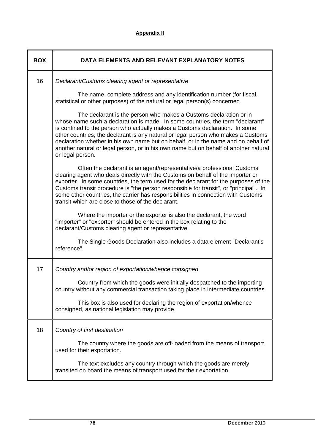| <b>BOX</b> | DATA ELEMENTS AND RELEVANT EXPLANATORY NOTES                                                                                                                                                                                                                                                                                                                                                                                                                                                                              |
|------------|---------------------------------------------------------------------------------------------------------------------------------------------------------------------------------------------------------------------------------------------------------------------------------------------------------------------------------------------------------------------------------------------------------------------------------------------------------------------------------------------------------------------------|
| 16         | Declarant/Customs clearing agent or representative                                                                                                                                                                                                                                                                                                                                                                                                                                                                        |
|            | The name, complete address and any identification number (for fiscal,<br>statistical or other purposes) of the natural or legal person(s) concerned.                                                                                                                                                                                                                                                                                                                                                                      |
|            | The declarant is the person who makes a Customs declaration or in<br>whose name such a declaration is made. In some countries, the term "declarant"<br>is confined to the person who actually makes a Customs declaration. In some<br>other countries, the declarant is any natural or legal person who makes a Customs<br>declaration whether in his own name but on behalf, or in the name and on behalf of<br>another natural or legal person, or in his own name but on behalf of another natural<br>or legal person. |
|            | Often the declarant is an agent/representative/a professional Customs<br>clearing agent who deals directly with the Customs on behalf of the importer or<br>exporter. In some countries, the term used for the declarant for the purposes of the<br>Customs transit procedure is "the person responsible for transit", or "principal". In<br>some other countries, the carrier has responsibilities in connection with Customs<br>transit which are close to those of the declarant.                                      |
|            | Where the importer or the exporter is also the declarant, the word<br>"importer" or "exporter" should be entered in the box relating to the<br>declarant/Customs clearing agent or representative.                                                                                                                                                                                                                                                                                                                        |
|            | The Single Goods Declaration also includes a data element "Declarant's<br>reference".                                                                                                                                                                                                                                                                                                                                                                                                                                     |
| 17         | Country and/or region of exportation/whence consigned                                                                                                                                                                                                                                                                                                                                                                                                                                                                     |
|            | Country from which the goods were initially despatched to the importing<br>country without any commercial transaction taking place in intermediate countries.                                                                                                                                                                                                                                                                                                                                                             |
|            | This box is also used for declaring the region of exportation/whence<br>consigned, as national legislation may provide.                                                                                                                                                                                                                                                                                                                                                                                                   |
| 18         | Country of first destination                                                                                                                                                                                                                                                                                                                                                                                                                                                                                              |
|            | The country where the goods are off-loaded from the means of transport<br>used for their exportation.                                                                                                                                                                                                                                                                                                                                                                                                                     |
|            | The text excludes any country through which the goods are merely<br>transited on board the means of transport used for their exportation.                                                                                                                                                                                                                                                                                                                                                                                 |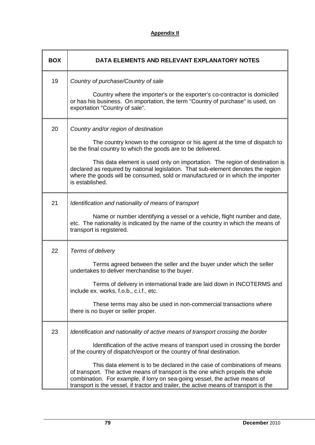| <b>BOX</b> | DATA ELEMENTS AND RELEVANT EXPLANATORY NOTES                                                                                                                                                                                                                                                                                                                                                                                                                                                                                                                                   |
|------------|--------------------------------------------------------------------------------------------------------------------------------------------------------------------------------------------------------------------------------------------------------------------------------------------------------------------------------------------------------------------------------------------------------------------------------------------------------------------------------------------------------------------------------------------------------------------------------|
| 19         | Country of purchase/Country of sale<br>Country where the importer's or the exporter's co-contractor is domiciled<br>or has his business. On importation, the term "Country of purchase" is used, on<br>exportation "Country of sale".                                                                                                                                                                                                                                                                                                                                          |
| 20         | Country and/or region of destination<br>The country known to the consignor or his agent at the time of dispatch to<br>be the final country to which the goods are to be delivered.<br>This data element is used only on importation. The region of destination is<br>declared as required by national legislation. That sub-element denotes the region<br>where the goods will be consumed, sold or manufactured or in which the importer<br>is established.                                                                                                                   |
| 21         | Identification and nationality of means of transport<br>Name or number identifying a vessel or a vehicle, flight number and date,<br>etc. The nationality is indicated by the name of the country in which the means of<br>transport is registered.                                                                                                                                                                                                                                                                                                                            |
| 22         | Terms of delivery<br>Terms agreed between the seller and the buyer under which the seller<br>undertakes to deliver merchandise to the buyer.<br>Terms of delivery in international trade are laid down in INCOTERMS and<br>include ex. works, f.o.b., c.i.f., etc.<br>These terms may also be used in non-commercial transactions where<br>there is no buyer or seller proper.                                                                                                                                                                                                 |
| 23         | Identification and nationality of active means of transport crossing the border<br>Identification of the active means of transport used in crossing the border<br>of the country of dispatch/export or the country of final destination.<br>This data element is to be declared in the case of combinations of means<br>of transport. The active means of transport is the one which propels the whole<br>combination. For example, if lorry on sea-going vessel, the active means of<br>transport is the vessel, if tractor and trailer, the active means of transport is the |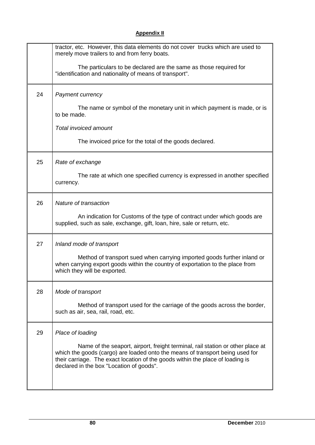|    | tractor, etc. However, this data elements do not cover trucks which are used to<br>merely move trailers to and from ferry boats.                                                                                                                                                              |
|----|-----------------------------------------------------------------------------------------------------------------------------------------------------------------------------------------------------------------------------------------------------------------------------------------------|
|    | The particulars to be declared are the same as those required for<br>"identification and nationality of means of transport".                                                                                                                                                                  |
| 24 | Payment currency                                                                                                                                                                                                                                                                              |
|    | The name or symbol of the monetary unit in which payment is made, or is<br>to be made.                                                                                                                                                                                                        |
|    | Total invoiced amount                                                                                                                                                                                                                                                                         |
|    | The invoiced price for the total of the goods declared.                                                                                                                                                                                                                                       |
| 25 | Rate of exchange                                                                                                                                                                                                                                                                              |
|    | The rate at which one specified currency is expressed in another specified<br>currency.                                                                                                                                                                                                       |
| 26 | Nature of transaction                                                                                                                                                                                                                                                                         |
|    | An indication for Customs of the type of contract under which goods are<br>supplied, such as sale, exchange, gift, loan, hire, sale or return, etc.                                                                                                                                           |
| 27 | Inland mode of transport                                                                                                                                                                                                                                                                      |
|    | Method of transport sued when carrying imported goods further inland or<br>when carrying export goods within the country of exportation to the place from<br>which they will be exported.                                                                                                     |
| 28 | Mode of transport                                                                                                                                                                                                                                                                             |
|    | Method of transport used for the carriage of the goods across the border,<br>such as air, sea, rail, road, etc.                                                                                                                                                                               |
| 29 | Place of loading                                                                                                                                                                                                                                                                              |
|    | Name of the seaport, airport, freight terminal, rail station or other place at<br>which the goods (cargo) are loaded onto the means of transport being used for<br>their carriage. The exact location of the goods within the place of loading is<br>declared in the box "Location of goods". |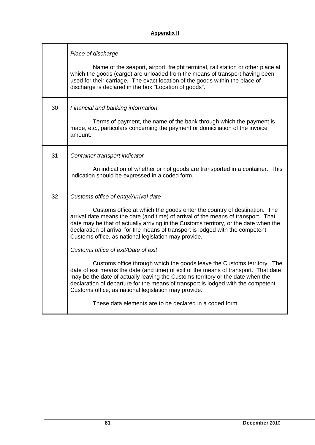|    | Place of discharge                                                                                                                                                                                                                                                                                                                                                                                                                     |
|----|----------------------------------------------------------------------------------------------------------------------------------------------------------------------------------------------------------------------------------------------------------------------------------------------------------------------------------------------------------------------------------------------------------------------------------------|
|    | Name of the seaport, airport, freight terminal, rail station or other place at<br>which the goods (cargo) are unloaded from the means of transport having been<br>used for their carriage. The exact location of the goods within the place of<br>discharge is declared in the box "Location of goods".                                                                                                                                |
| 30 | Financial and banking information<br>Terms of payment, the name of the bank through which the payment is<br>made, etc., particulars concerning the payment or domiciliation of the invoice<br>amount.                                                                                                                                                                                                                                  |
|    |                                                                                                                                                                                                                                                                                                                                                                                                                                        |
| 31 | Container transport indicator<br>An indication of whether or not goods are transported in a container. This                                                                                                                                                                                                                                                                                                                            |
|    | indication should be expressed in a coded form.                                                                                                                                                                                                                                                                                                                                                                                        |
| 32 | Customs office of entry/Arrival date<br>Customs office at which the goods enter the country of destination. The<br>arrival date means the date (and time) of arrival of the means of transport. That<br>date may be that of actually arriving in the Customs territory, or the date when the<br>declaration of arrival for the means of transport is lodged with the competent<br>Customs office, as national legislation may provide. |
|    | Customs office of exit/Date of exit                                                                                                                                                                                                                                                                                                                                                                                                    |
|    | Customs office through which the goods leave the Customs territory. The<br>date of exit means the date (and time) of exit of the means of transport. That date<br>may be the date of actually leaving the Customs territory or the date when the<br>declaration of departure for the means of transport is lodged with the competent<br>Customs office, as national legislation may provide.                                           |
|    | These data elements are to be declared in a coded form.                                                                                                                                                                                                                                                                                                                                                                                |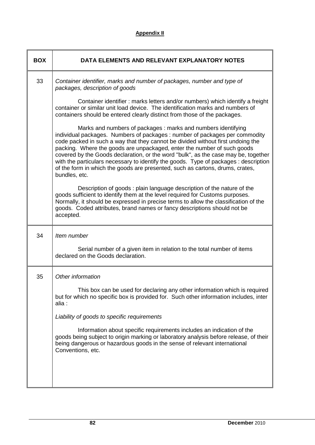| <b>BOX</b> | DATA ELEMENTS AND RELEVANT EXPLANATORY NOTES                                                                                                                                                                                                                                                                                                                                                                                                                                                                                                                                             |
|------------|------------------------------------------------------------------------------------------------------------------------------------------------------------------------------------------------------------------------------------------------------------------------------------------------------------------------------------------------------------------------------------------------------------------------------------------------------------------------------------------------------------------------------------------------------------------------------------------|
| 33         | Container identifier, marks and number of packages, number and type of<br>packages, description of goods                                                                                                                                                                                                                                                                                                                                                                                                                                                                                 |
|            | Container identifier: marks letters and/or numbers) which identify a freight<br>container or similar unit load device. The identification marks and numbers of<br>containers should be entered clearly distinct from those of the packages.                                                                                                                                                                                                                                                                                                                                              |
|            | Marks and numbers of packages: marks and numbers identifying<br>individual packages. Numbers of packages : number of packages per commodity<br>code packed in such a way that they cannot be divided without first undoing the<br>packing. Where the goods are unpackaged, enter the number of such goods<br>covered by the Goods declaration, or the word "bulk", as the case may be, together<br>with the particulars necessary to identify the goods. Type of packages: description<br>of the form in which the goods are presented, such as cartons, drums, crates,<br>bundles, etc. |
|            | Description of goods: plain language description of the nature of the<br>goods sufficient to identify them at the level required for Customs purposes.<br>Normally, it should be expressed in precise terms to allow the classification of the<br>goods. Coded attributes, brand names or fancy descriptions should not be<br>accepted.                                                                                                                                                                                                                                                  |
| 34         | Item number                                                                                                                                                                                                                                                                                                                                                                                                                                                                                                                                                                              |
|            | Serial number of a given item in relation to the total number of items<br>declared on the Goods declaration.                                                                                                                                                                                                                                                                                                                                                                                                                                                                             |
| 35         | Other information                                                                                                                                                                                                                                                                                                                                                                                                                                                                                                                                                                        |
|            | This box can be used for declaring any other information which is required<br>but for which no specific box is provided for. Such other information includes, inter<br>alia :                                                                                                                                                                                                                                                                                                                                                                                                            |
|            | Liability of goods to specific requirements                                                                                                                                                                                                                                                                                                                                                                                                                                                                                                                                              |
|            | Information about specific requirements includes an indication of the<br>goods being subject to origin marking or laboratory analysis before release, of their<br>being dangerous or hazardous goods in the sense of relevant international<br>Conventions, etc.                                                                                                                                                                                                                                                                                                                         |
|            |                                                                                                                                                                                                                                                                                                                                                                                                                                                                                                                                                                                          |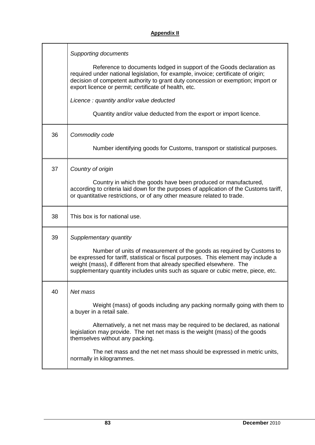|    | <b>Supporting documents</b>                                                                                                                                                                                                                                                                                                |
|----|----------------------------------------------------------------------------------------------------------------------------------------------------------------------------------------------------------------------------------------------------------------------------------------------------------------------------|
|    | Reference to documents lodged in support of the Goods declaration as<br>required under national legislation, for example, invoice; certificate of origin;<br>decision of competent authority to grant duty concession or exemption; import or<br>export licence or permit; certificate of health, etc.                     |
|    | Licence: quantity and/or value deducted                                                                                                                                                                                                                                                                                    |
|    | Quantity and/or value deducted from the export or import licence.                                                                                                                                                                                                                                                          |
| 36 | Commodity code                                                                                                                                                                                                                                                                                                             |
|    | Number identifying goods for Customs, transport or statistical purposes.                                                                                                                                                                                                                                                   |
| 37 | Country of origin                                                                                                                                                                                                                                                                                                          |
|    | Country in which the goods have been produced or manufactured,<br>according to criteria laid down for the purposes of application of the Customs tariff,<br>or quantitative restrictions, or of any other measure related to trade.                                                                                        |
| 38 | This box is for national use.                                                                                                                                                                                                                                                                                              |
| 39 | Supplementary quantity                                                                                                                                                                                                                                                                                                     |
|    | Number of units of measurement of the goods as required by Customs to<br>be expressed for tariff, statistical or fiscal purposes. This element may include a<br>weight (mass), if different from that already specified elsewhere. The<br>supplementary quantity includes units such as square or cubic metre, piece, etc. |
| 40 | Net mass                                                                                                                                                                                                                                                                                                                   |
|    | Weight (mass) of goods including any packing normally going with them to<br>a buyer in a retail sale.                                                                                                                                                                                                                      |
|    | Alternatively, a net net mass may be required to be declared, as national<br>legislation may provide. The net net mass is the weight (mass) of the goods<br>themselves without any packing.                                                                                                                                |
|    | The net mass and the net net mass should be expressed in metric units,<br>normally in kilogrammes.                                                                                                                                                                                                                         |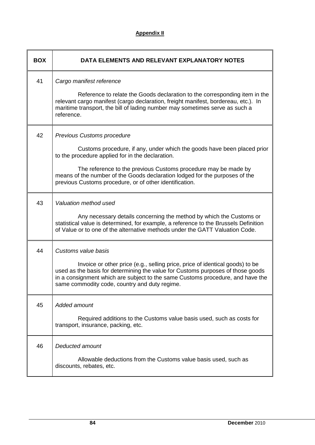| <b>BOX</b> | DATA ELEMENTS AND RELEVANT EXPLANATORY NOTES                                                                                                                                                                                                                                                                                                                                 |
|------------|------------------------------------------------------------------------------------------------------------------------------------------------------------------------------------------------------------------------------------------------------------------------------------------------------------------------------------------------------------------------------|
| 41         | Cargo manifest reference<br>Reference to relate the Goods declaration to the corresponding item in the<br>relevant cargo manifest (cargo declaration, freight manifest, bordereau, etc.). In<br>maritime transport, the bill of lading number may sometimes serve as such a<br>reference.                                                                                    |
| 42         | <b>Previous Customs procedure</b><br>Customs procedure, if any, under which the goods have been placed prior<br>to the procedure applied for in the declaration.<br>The reference to the previous Customs procedure may be made by<br>means of the number of the Goods declaration lodged for the purposes of the<br>previous Customs procedure, or of other identification. |
| 43         | Valuation method used<br>Any necessary details concerning the method by which the Customs or<br>statistical value is determined, for example, a reference to the Brussels Definition<br>of Value or to one of the alternative methods under the GATT Valuation Code.                                                                                                         |
| 44         | Customs value basis<br>Invoice or other price (e.g., selling price, price of identical goods) to be<br>used as the basis for determining the value for Customs purposes of those goods<br>in a consignment which are subject to the same Customs procedure, and have the<br>same commodity code, country and duty regime.                                                    |
| 45         | Added amount<br>Required additions to the Customs value basis used, such as costs for<br>transport, insurance, packing, etc.                                                                                                                                                                                                                                                 |
| 46         | Deducted amount<br>Allowable deductions from the Customs value basis used, such as<br>discounts, rebates, etc.                                                                                                                                                                                                                                                               |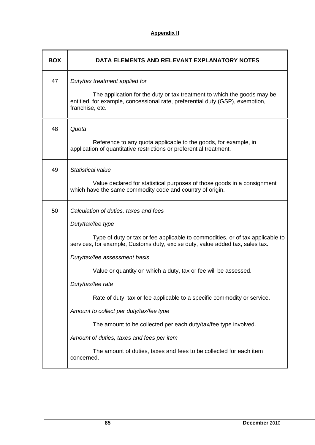| <b>BOX</b> | DATA ELEMENTS AND RELEVANT EXPLANATORY NOTES                                                                                                                                |
|------------|-----------------------------------------------------------------------------------------------------------------------------------------------------------------------------|
| 47         | Duty/tax treatment applied for                                                                                                                                              |
|            | The application for the duty or tax treatment to which the goods may be<br>entitled, for example, concessional rate, preferential duty (GSP), exemption,<br>franchise, etc. |
| 48         | Quota                                                                                                                                                                       |
|            | Reference to any quota applicable to the goods, for example, in<br>application of quantitative restrictions or preferential treatment.                                      |
| 49         | Statistical value                                                                                                                                                           |
|            | Value declared for statistical purposes of those goods in a consignment<br>which have the same commodity code and country of origin.                                        |
| 50         | Calculation of duties, taxes and fees                                                                                                                                       |
|            | Duty/tax/fee type                                                                                                                                                           |
|            | Type of duty or tax or fee applicable to commodities, or of tax applicable to<br>services, for example, Customs duty, excise duty, value added tax, sales tax.              |
|            | Duty/tax/fee assessment basis                                                                                                                                               |
|            | Value or quantity on which a duty, tax or fee will be assessed.                                                                                                             |
|            | Duty/tax/fee rate                                                                                                                                                           |
|            | Rate of duty, tax or fee applicable to a specific commodity or service.                                                                                                     |
|            | Amount to collect per duty/tax/fee type                                                                                                                                     |
|            | The amount to be collected per each duty/tax/fee type involved.                                                                                                             |
|            | Amount of duties, taxes and fees per item                                                                                                                                   |
|            | The amount of duties, taxes and fees to be collected for each item<br>concerned.                                                                                            |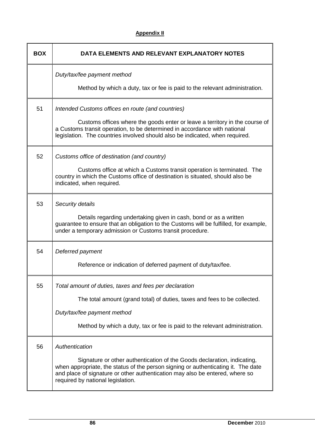| <b>BOX</b> | DATA ELEMENTS AND RELEVANT EXPLANATORY NOTES                                                                                                                                                                                                                                                        |
|------------|-----------------------------------------------------------------------------------------------------------------------------------------------------------------------------------------------------------------------------------------------------------------------------------------------------|
|            | Duty/tax/fee payment method<br>Method by which a duty, tax or fee is paid to the relevant administration.                                                                                                                                                                                           |
| 51         | Intended Customs offices en route (and countries)<br>Customs offices where the goods enter or leave a territory in the course of<br>a Customs transit operation, to be determined in accordance with national<br>legislation. The countries involved should also be indicated, when required.       |
| 52         | Customs office of destination (and country)<br>Customs office at which a Customs transit operation is terminated. The<br>country in which the Customs office of destination is situated, should also be<br>indicated, when required.                                                                |
| 53         | Security details<br>Details regarding undertaking given in cash, bond or as a written<br>guarantee to ensure that an obligation to the Customs will be fulfilled, for example,<br>under a temporary admission or Customs transit procedure.                                                         |
| 54         | Deferred payment<br>Reference or indication of deferred payment of duty/tax/fee.                                                                                                                                                                                                                    |
| 55         | Total amount of duties, taxes and fees per declaration<br>The total amount (grand total) of duties, taxes and fees to be collected.<br>Duty/tax/fee payment method<br>Method by which a duty, tax or fee is paid to the relevant administration.                                                    |
| 56         | Authentication<br>Signature or other authentication of the Goods declaration, indicating,<br>when appropriate, the status of the person signing or authenticating it. The date<br>and place of signature or other authentication may also be entered, where so<br>required by national legislation. |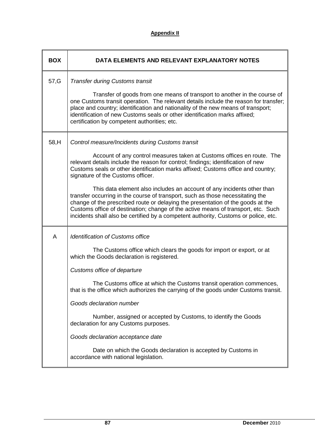| <b>BOX</b> | DATA ELEMENTS AND RELEVANT EXPLANATORY NOTES                                                                                                                                                                                                                                                                                                                                                                                                                                                                                                                                                                                                                                                                                                                       |
|------------|--------------------------------------------------------------------------------------------------------------------------------------------------------------------------------------------------------------------------------------------------------------------------------------------------------------------------------------------------------------------------------------------------------------------------------------------------------------------------------------------------------------------------------------------------------------------------------------------------------------------------------------------------------------------------------------------------------------------------------------------------------------------|
| 57, G      | <b>Transfer during Customs transit</b><br>Transfer of goods from one means of transport to another in the course of<br>one Customs transit operation. The relevant details include the reason for transfer;<br>place and country; identification and nationality of the new means of transport;<br>identification of new Customs seals or other identification marks affixed;<br>certification by competent authorities; etc.                                                                                                                                                                                                                                                                                                                                      |
| 58,H       | Control measure/Incidents during Customs transit<br>Account of any control measures taken at Customs offices en route. The<br>relevant details include the reason for control; findings; identification of new<br>Customs seals or other identification marks affixed; Customs office and country;<br>signature of the Customs officer.<br>This data element also includes an account of any incidents other than<br>transfer occurring in the course of transport, such as those necessitating the<br>change of the prescribed route or delaying the presentation of the goods at the<br>Customs office of destination; change of the active means of transport, etc. Such<br>incidents shall also be certified by a competent authority, Customs or police, etc. |
| Α          | <b>Identification of Customs office</b><br>The Customs office which clears the goods for import or export, or at<br>which the Goods declaration is registered.<br>Customs office of departure<br>The Customs office at which the Customs transit operation commences,<br>that is the office which authorizes the carrying of the goods under Customs transit.<br>Goods declaration number<br>Number, assigned or accepted by Customs, to identify the Goods<br>declaration for any Customs purposes.<br>Goods declaration acceptance date<br>Date on which the Goods declaration is accepted by Customs in<br>accordance with national legislation.                                                                                                                |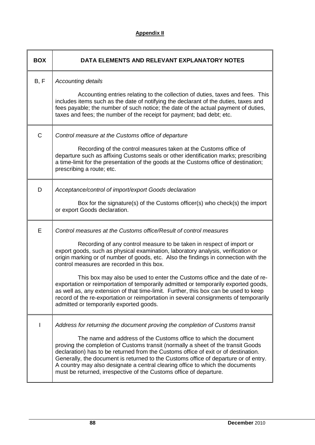| <b>BOX</b> | DATA ELEMENTS AND RELEVANT EXPLANATORY NOTES                                                                                                                                                                                                                                                                                                                                                                                                                                                                                                                                                                                                                                                                                                                     |
|------------|------------------------------------------------------------------------------------------------------------------------------------------------------------------------------------------------------------------------------------------------------------------------------------------------------------------------------------------------------------------------------------------------------------------------------------------------------------------------------------------------------------------------------------------------------------------------------------------------------------------------------------------------------------------------------------------------------------------------------------------------------------------|
| B, F       | <b>Accounting details</b><br>Accounting entries relating to the collection of duties, taxes and fees. This<br>includes items such as the date of notifying the declarant of the duties, taxes and<br>fees payable; the number of such notice; the date of the actual payment of duties,<br>taxes and fees; the number of the receipt for payment; bad debt; etc.                                                                                                                                                                                                                                                                                                                                                                                                 |
| C          | Control measure at the Customs office of departure<br>Recording of the control measures taken at the Customs office of<br>departure such as affixing Customs seals or other identification marks; prescribing<br>a time-limit for the presentation of the goods at the Customs office of destination;<br>prescribing a route; etc.                                                                                                                                                                                                                                                                                                                                                                                                                               |
| D          | Acceptance/control of import/export Goods declaration<br>Box for the signature(s) of the Customs officer(s) who check(s) the import<br>or export Goods declaration.                                                                                                                                                                                                                                                                                                                                                                                                                                                                                                                                                                                              |
| Е          | Control measures at the Customs office/Result of control measures<br>Recording of any control measure to be taken in respect of import or<br>export goods, such as physical examination, laboratory analysis, verification or<br>origin marking or of number of goods, etc. Also the findings in connection with the<br>control measures are recorded in this box.<br>This box may also be used to enter the Customs office and the date of re-<br>exportation or reimportation of temporarily admitted or temporarily exported goods,<br>as well as, any extension of that time-limit. Further, this box can be used to keep<br>record of the re-exportation or reimportation in several consignments of temporarily<br>admitted or temporarily exported goods. |
| L          | Address for returning the document proving the completion of Customs transit<br>The name and address of the Customs office to which the document<br>proving the completion of Customs transit (normally a sheet of the transit Goods<br>declaration) has to be returned from the Customs office of exit or of destination.<br>Generally, the document is returned to the Customs office of departure or of entry.<br>A country may also designate a central clearing office to which the documents<br>must be returned, irrespective of the Customs office of departure.                                                                                                                                                                                         |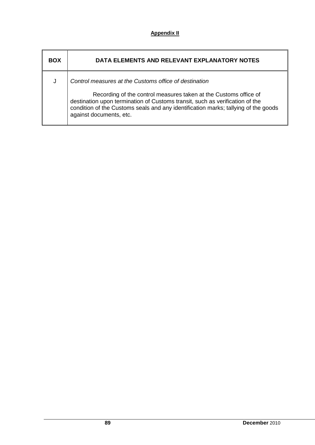| <b>BOX</b> | DATA ELEMENTS AND RELEVANT EXPLANATORY NOTES                                                                                                                                                                                                                      |
|------------|-------------------------------------------------------------------------------------------------------------------------------------------------------------------------------------------------------------------------------------------------------------------|
|            | Control measures at the Customs office of destination                                                                                                                                                                                                             |
|            | Recording of the control measures taken at the Customs office of<br>destination upon termination of Customs transit, such as verification of the<br>condition of the Customs seals and any identification marks; tallying of the goods<br>against documents, etc. |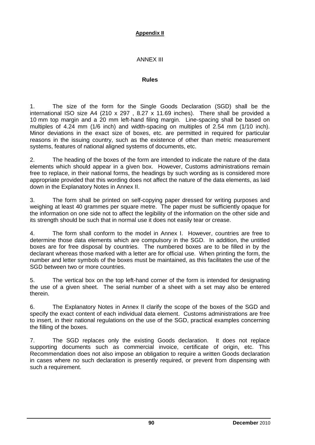## ANNEX III

#### **Rules**

1. The size of the form for the Single Goods Declaration (SGD) shall be the international ISO size A4 (210 x 297 , 8.27 x 11.69 inches). There shall be provided a 10 mm top margin and a 20 mm left-hand filing margin. Line-spacing shall be based on multiples of 4.24 mm (1/6 inch) and width-spacing on multiples of 2.54 mm (1/10 inch). Minor deviations in the exact size of boxes, etc. are permitted in required for particular reasons in the issuing country, such as the existence of other than metric measurement systems, features of national aligned systems of documents, etc.

2. The heading of the boxes of the form are intended to indicate the nature of the data elements which should appear in a given box. However, Customs administrations remain free to replace, in their national forms, the headings by such wording as is considered more appropriate provided that this wording does not affect the nature of the data elements, as laid down in the Explanatory Notes in Annex II.

3. The form shall be printed on self-copying paper dressed for writing purposes and weighing at least 40 grammes per square metre. The paper must be sufficiently opaque for the information on one side not to affect the legibility of the information on the other side and its strength should be such that in normal use it does not easily tear or crease.

4. The form shall conform to the model in Annex I. However, countries are free to determine those data elements which are compulsory in the SGD. In addition, the untitled boxes are for free disposal by countries. The numbered boxes are to be filled in by the declarant whereas those marked with a letter are for official use. When printing the form, the number and letter symbols of the boxes must be maintained, as this facilitates the use of the SGD between two or more countries.

5. The vertical box on the top left-hand corner of the form is intended for designating the use of a given sheet. The serial number of a sheet with a set may also be entered therein.

6. The Explanatory Notes in Annex II clarify the scope of the boxes of the SGD and specify the exact content of each individual data element. Customs administrations are free to insert, in their national regulations on the use of the SGD, practical examples concerning the filling of the boxes.

7. The SGD replaces only the existing Goods declaration. It does not replace supporting documents such as commercial invoice, certificate of origin, etc. This Recommendation does not also impose an obligation to require a written Goods declaration in cases where no such declaration is presently required, or prevent from dispensing with such a requirement.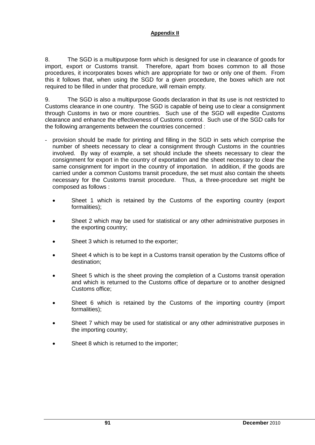8. The SGD is a multipurpose form which is designed for use in clearance of goods for import, export or Customs transit. Therefore, apart from boxes common to all those procedures, it incorporates boxes which are appropriate for two or only one of them. From this it follows that, when using the SGD for a given procedure, the boxes which are not required to be filled in under that procedure, will remain empty.

9. The SGD is also a multipurpose Goods declaration in that its use is not restricted to Customs clearance in one country. The SGD is capable of being use to clear a consignment through Customs in two or more countries. Such use of the SGD will expedite Customs clearance and enhance the effectiveness of Customs control. Such use of the SGD calls for the following arrangements between the countries concerned :

- provision should be made for printing and filling in the SGD in sets which comprise the number of sheets necessary to clear a consignment through Customs in the countries involved. By way of example, a set should include the sheets necessary to clear the consignment for export in the country of exportation and the sheet necessary to clear the same consignment for import in the country of importation. In addition, if the goods are carried under a common Customs transit procedure, the set must also contain the sheets necessary for the Customs transit procedure. Thus, a three-procedure set might be composed as follows :
	- Sheet 1 which is retained by the Customs of the exporting country (export formalities);
	- Sheet 2 which may be used for statistical or any other administrative purposes in the exporting country;
	- Sheet 3 which is returned to the exporter;
	- Sheet 4 which is to be kept in a Customs transit operation by the Customs office of destination;
	- Sheet 5 which is the sheet proving the completion of a Customs transit operation and which is returned to the Customs office of departure or to another designed Customs office;
	- Sheet 6 which is retained by the Customs of the importing country (import formalities);
	- Sheet 7 which may be used for statistical or any other administrative purposes in the importing country;
	- Sheet 8 which is returned to the importer;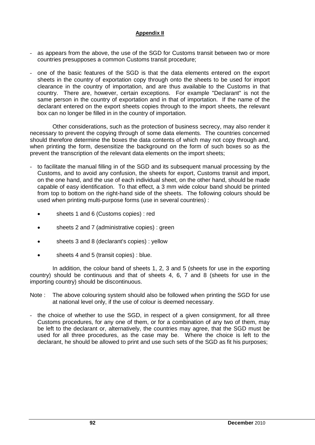- as appears from the above, the use of the SGD for Customs transit between two or more countries presupposes a common Customs transit procedure;
- one of the basic features of the SGD is that the data elements entered on the export sheets in the country of exportation copy through onto the sheets to be used for import clearance in the country of importation, and are thus available to the Customs in that country. There are, however, certain exceptions. For example "Declarant" is not the same person in the country of exportation and in that of importation. If the name of the declarant entered on the export sheets copies through to the import sheets, the relevant box can no longer be filled in in the country of importation.

Other considerations, such as the protection of business secrecy, may also render it necessary to prevent the copying through of some data elements. The countries concerned should therefore determine the boxes the data contents of which may not copy through and, when printing the form, desensitize the background on the form of such boxes so as the prevent the transcription of the relevant data elements on the import sheets;

- to facilitate the manual filling in of the SGD and its subsequent manual processing by the Customs, and to avoid any confusion, the sheets for export, Customs transit and import, on the one hand, and the use of each individual sheet, on the other hand, should be made capable of easy identification. To that effect, a 3 mm wide colour band should be printed from top to bottom on the right-hand side of the sheets. The following colours should be used when printing multi-purpose forms (use in several countries) :
	- sheets 1 and 6 (Customs copies) : red
	- sheets 2 and 7 (administrative copies) : green
	- sheets 3 and 8 (declarant's copies) : yellow
	- sheets 4 and 5 (transit copies) : blue.

In addition, the colour band of sheets 1, 2, 3 and 5 (sheets for use in the exporting country) should be continuous and that of sheets 4, 6, 7 and 8 (sheets for use in the importing country) should be discontinuous.

- Note : The above colouring system should also be followed when printing the SGD for use at national level only, if the use of colour is deemed necessary.
- the choice of whether to use the SGD, in respect of a given consignment, for all three Customs procedures, for any one of them, or for a combination of any two of them, may be left to the declarant or, alternatively, the countries may agree, that the SGD must be used for all three procedures, as the case may be. Where the choice is left to the declarant, he should be allowed to print and use such sets of the SGD as fit his purposes;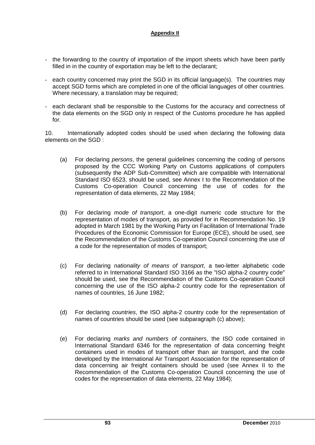- the forwarding to the country of importation of the import sheets which have been partly filled in in the country of exportation may be left to the declarant;
- each country concerned may print the SGD in its official language(s). The countries may accept SGD forms which are completed in one of the official languages of other countries. Where necessary, a translation may be required;
- each declarant shall be responsible to the Customs for the accuracy and correctness of the data elements on the SGD only in respect of the Customs procedure he has applied for.

10. Internationally adopted codes should be used when declaring the following data elements on the SGD :

- (a) For declaring *persons*, the general guidelines concerning the coding of persons proposed by the CCC Working Party on Customs applications of computers (subsequently the ADP Sub-Committee) which are compatible with International Standard ISO 6523, should be used, see Annex I to the Recommendation of the Customs Co-operation Council concerning the use of codes for the representation of data elements, 22 May 1984;
- (b) For declaring *mode of transport*, a one-digit numeric code structure for the representation of modes of transport, as provided for in Recommendation No. 19 adopted in March 1981 by the Working Party on Facilitation of International Trade Procedures of the Economic Commission for Europe (ECE), should be used, see the Recommendation of the Customs Co-operation Council concerning the use of a code for the representation of modes of transport;
- (c) For declaring *nationality of means of transport*, a two-letter alphabetic code referred to in International Standard ISO 3166 as the "ISO alpha-2 country code" should be used, see the Recommendation of the Customs Co-operation Council concerning the use of the ISO alpha-2 country code for the representation of names of countries, 16 June 1982;
- (d) For declaring *countries*, the ISO alpha-2 country code for the representation of names of countries should be used (see subparagraph (c) above);
- (e) For declaring *marks and numbers of containers*, the ISO code contained in International Standard 6346 for the representation of data concerning freight containers used in modes of transport other than air transport, and the code developed by the International Air Transport Association for the representation of data concerning air freight containers should be used (see Annex II to the Recommendation of the Customs Co-operation Council concerning the use of codes for the representation of data elements, 22 May 1984);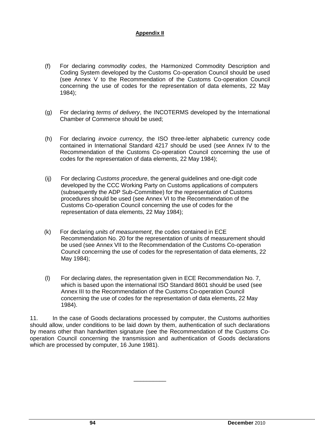- (f) For declaring *commodity codes*, the Harmonized Commodity Description and Coding System developed by the Customs Co-operation Council should be used (see Annex V to the Recommendation of the Customs Co-operation Council concerning the use of codes for the representation of data elements, 22 May 1984);
- (g) For declaring *terms of delivery*, the INCOTERMS developed by the International Chamber of Commerce should be used;
- (h) For declaring *invoice currency*, the ISO three-letter alphabetic currency code contained in International Standard 4217 should be used (see Annex IV to the Recommendation of the Customs Co-operation Council concerning the use of codes for the representation of data elements, 22 May 1984);
- (ij) For declaring *Customs procedure*, the general guidelines and one-digit code developed by the CCC Working Party on Customs applications of computers (subsequently the ADP Sub-Committee) for the representation of Customs procedures should be used (see Annex VI to the Recommendation of the Customs Co-operation Council concerning the use of codes for the representation of data elements, 22 May 1984);
- (k) For declaring *units of measurement*, the codes contained in ECE Recommendation No. 20 for the representation of units of measurement should be used (see Annex VII to the Recommendation of the Customs Co-operation Council concerning the use of codes for the representation of data elements, 22 May 1984);
- (l) For declaring *dates*, the representation given in ECE Recommendation No. 7, which is based upon the international ISO Standard 8601 should be used (see Annex III to the Recommendation of the Customs Co-operation Council concerning the use of codes for the representation of data elements, 22 May 1984).

11. In the case of Goods declarations processed by computer, the Customs authorities should allow, under conditions to be laid down by them, authentication of such declarations by means other than handwritten signature (see the Recommendation of the Customs Cooperation Council concerning the transmission and authentication of Goods declarations which are processed by computer, 16 June 1981).

\_\_\_\_\_\_\_\_\_\_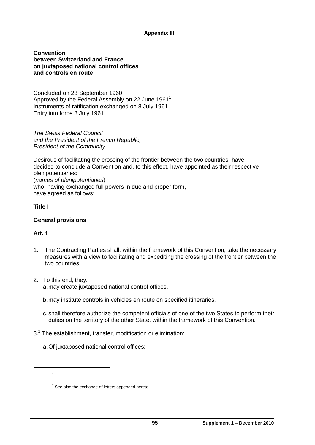**Convention between Switzerland and France on juxtaposed national control offices and controls en route**

Concluded on 28 September 1960 Approved by the Federal Assembly on 22 June 1961<sup>1</sup> Instruments of ratification exchanged on 8 July 1961 Entry into force 8 July 1961

*The Swiss Federal Council and the President of the French Republic, President of the Community*,

Desirous of facilitating the crossing of the frontier between the two countries, have decided to conclude a Convention and, to this effect, have appointed as their respective plenipotentiaries: (*names of plenipotentiaries*) who, having exchanged full powers in due and proper form, have agreed as follows:

#### **Title I**

#### **General provisions**

### **Art. 1**

- 1. The Contracting Parties shall, within the framework of this Convention, take the necessary measures with a view to facilitating and expediting the crossing of the frontier between the two countries.
- 2. To this end, they: a.may create juxtaposed national control offices,
	- b.may institute controls in vehicles en route on specified itineraries,
	- c. shall therefore authorize the competent officials of one of the two States to perform their duties on the territory of the other State, within the framework of this Convention.
- $3<sup>2</sup>$  The establishment, transfer, modification or elimination:
	- a.Of juxtaposed national control offices;

<sup>1</sup>

 $2$  See also the exchange of letters appended hereto.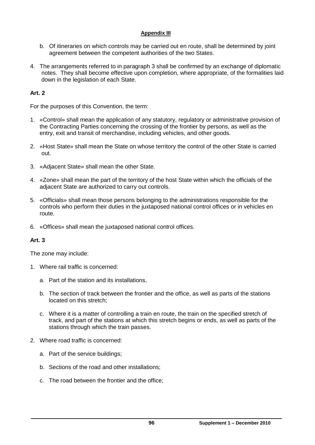- b. Of itineraries on which controls may be carried out en route, shall be determined by joint agreement between the competent authorities of the two States.
- 4. The arrangements referred to in paragraph 3 shall be confirmed by an exchange of diplomatic notes. They shall become effective upon completion, where appropriate, of the formalities laid down in the legislation of each State.

## **Art. 2**

For the purposes of this Convention, the term:

- 1. «Control» shall mean the application of any statutory, regulatory or administrative provision of the Contracting Parties concerning the crossing of the frontier by persons, as well as the entry, exit and transit of merchandise, including vehicles, and other goods.
- 2. «Host State» shall mean the State on whose territory the control of the other State is carried out.
- 3. «Adjacent State» shall mean the other State.
- 4. «Zone» shall mean the part of the territory of the host State within which the officials of the adjacent State are authorized to carry out controls.
- 5. «Officials» shall mean those persons belonging to the administrations responsible for the controls who perform their duties in the juxtaposed national control offices or in vehicles en route.
- 6. «Offices» shall mean the juxtaposed national control offices.

### **Art. 3**

The zone may include:

- 1. Where rail traffic is concerned:
	- a. Part of the station and its installations,
	- b. The section of track between the frontier and the office, as well as parts of the stations located on this stretch;
	- c. Where it is a matter of controlling a train en route, the train on the specified stretch of track, and part of the stations at which this stretch begins or ends, as well as parts of the stations through which the train passes.
- 2. Where road traffic is concerned:
	- a. Part of the service buildings;
	- b. Sections of the road and other installations;
	- c. The road between the frontier and the office;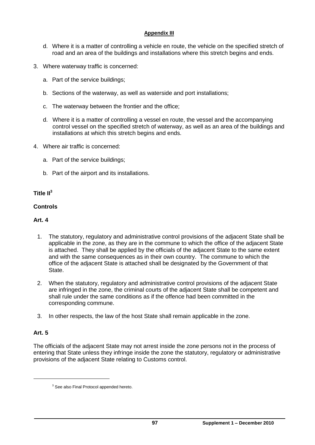- d. Where it is a matter of controlling a vehicle en route, the vehicle on the specified stretch of road and an area of the buildings and installations where this stretch begins and ends.
- 3. Where waterway traffic is concerned:
	- a. Part of the service buildings;
	- b. Sections of the waterway, as well as waterside and port installations;
	- c. The waterway between the frontier and the office;
	- d. Where it is a matter of controlling a vessel en route, the vessel and the accompanying control vessel on the specified stretch of waterway, as well as an area of the buildings and installations at which this stretch begins and ends.
- 4. Where air traffic is concerned:
	- a. Part of the service buildings;
	- b. Part of the airport and its installations.

### **Title II<sup>3</sup>**

#### **Controls**

#### **Art. 4**

- 1. The statutory, regulatory and administrative control provisions of the adjacent State shall be applicable in the zone, as they are in the commune to which the office of the adjacent State is attached. They shall be applied by the officials of the adjacent State to the same extent and with the same consequences as in their own country. The commune to which the office of the adjacent State is attached shall be designated by the Government of that State.
- 2. When the statutory, regulatory and administrative control provisions of the adjacent State are infringed in the zone, the criminal courts of the adjacent State shall be competent and shall rule under the same conditions as if the offence had been committed in the corresponding commune.
- 3. In other respects, the law of the host State shall remain applicable in the zone.

### **Art. 5**

The officials of the adjacent State may not arrest inside the zone persons not in the process of entering that State unless they infringe inside the zone the statutory, regulatory or administrative provisions of the adjacent State relating to Customs control.

<sup>&</sup>lt;sup>3</sup> See also Final Protocol appended hereto.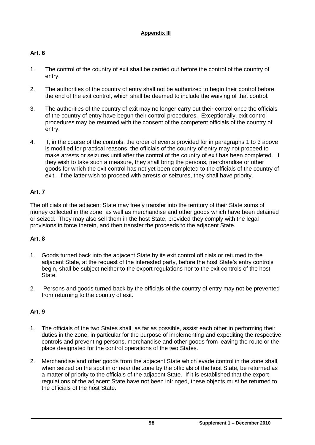# **Art. 6**

- 1. The control of the country of exit shall be carried out before the control of the country of entry.
- 2. The authorities of the country of entry shall not be authorized to begin their control before the end of the exit control, which shall be deemed to include the waiving of that control.
- 3. The authorities of the country of exit may no longer carry out their control once the officials of the country of entry have begun their control procedures. Exceptionally, exit control procedures may be resumed with the consent of the competent officials of the country of entry.
- 4. If, in the course of the controls, the order of events provided for in paragraphs 1 to 3 above is modified for practical reasons, the officials of the country of entry may not proceed to make arrests or seizures until after the control of the country of exit has been completed. If they wish to take such a measure, they shall bring the persons, merchandise or other goods for which the exit control has not yet been completed to the officials of the country of exit. If the latter wish to proceed with arrests or seizures, they shall have priority.

# **Art. 7**

The officials of the adjacent State may freely transfer into the territory of their State sums of money collected in the zone, as well as merchandise and other goods which have been detained or seized. They may also sell them in the host State, provided they comply with the legal provisions in force therein, and then transfer the proceeds to the adjacent State.

# **Art. 8**

- 1. Goods turned back into the adjacent State by its exit control officials or returned to the adjacent State, at the request of the interested party, before the host State's entry controls begin, shall be subject neither to the export regulations nor to the exit controls of the host State.
- 2. Persons and goods turned back by the officials of the country of entry may not be prevented from returning to the country of exit.

# **Art. 9**

- 1. The officials of the two States shall, as far as possible, assist each other in performing their duties in the zone, in particular for the purpose of implementing and expediting the respective controls and preventing persons, merchandise and other goods from leaving the route or the place designated for the control operations of the two States.
- 2. Merchandise and other goods from the adjacent State which evade control in the zone shall, when seized on the spot in or near the zone by the officials of the host State, be returned as a matter of priority to the officials of the adjacent State. If it is established that the export regulations of the adjacent State have not been infringed, these objects must be returned to the officials of the host State.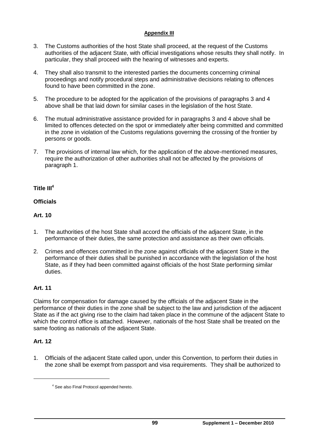- 3. The Customs authorities of the host State shall proceed, at the request of the Customs authorities of the adjacent State, with official investigations whose results they shall notify. In particular, they shall proceed with the hearing of witnesses and experts.
- 4. They shall also transmit to the interested parties the documents concerning criminal proceedings and notify procedural steps and administrative decisions relating to offences found to have been committed in the zone.
- 5. The procedure to be adopted for the application of the provisions of paragraphs 3 and 4 above shall be that laid down for similar cases in the legislation of the host State.
- 6. The mutual administrative assistance provided for in paragraphs 3 and 4 above shall be limited to offences detected on the spot or immediately after being committed and committed in the zone in violation of the Customs regulations governing the crossing of the frontier by persons or goods.
- 7. The provisions of internal law which, for the application of the above-mentioned measures, require the authorization of other authorities shall not be affected by the provisions of paragraph 1.

### **Title III<sup>4</sup>**

### **Officials**

## **Art. 10**

- 1. The authorities of the host State shall accord the officials of the adjacent State, in the performance of their duties, the same protection and assistance as their own officials.
- 2. Crimes and offences committed in the zone against officials of the adjacent State in the performance of their duties shall be punished in accordance with the legislation of the host State, as if they had been committed against officials of the host State performing similar duties.

### **Art. 11**

Claims for compensation for damage caused by the officials of the adjacent State in the performance of their duties in the zone shall be subject to the law and jurisdiction of the adjacent State as if the act giving rise to the claim had taken place in the commune of the adjacent State to which the control office is attached. However, nationals of the host State shall be treated on the same footing as nationals of the adjacent State.

### **Art. 12**

1. Officials of the adjacent State called upon, under this Convention, to perform their duties in the zone shall be exempt from passport and visa requirements. They shall be authorized to

<sup>4</sup> See also Final Protocol appended hereto.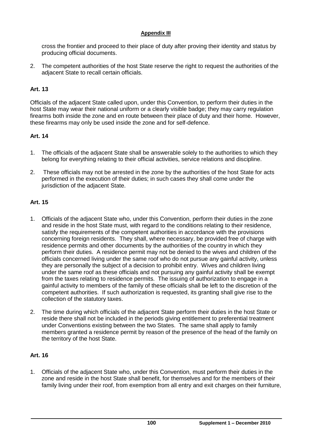cross the frontier and proceed to their place of duty after proving their identity and status by producing official documents.

2. The competent authorities of the host State reserve the right to request the authorities of the adjacent State to recall certain officials.

#### **Art. 13**

Officials of the adjacent State called upon, under this Convention, to perform their duties in the host State may wear their national uniform or a clearly visible badge; they may carry regulation firearms both inside the zone and en route between their place of duty and their home. However, these firearms may only be used inside the zone and for self-defence.

#### **Art. 14**

- 1. The officials of the adjacent State shall be answerable solely to the authorities to which they belong for everything relating to their official activities, service relations and discipline.
- 2. These officials may not be arrested in the zone by the authorities of the host State for acts performed in the execution of their duties; in such cases they shall come under the jurisdiction of the adjacent State.

#### **Art. 15**

- 1. Officials of the adjacent State who, under this Convention, perform their duties in the zone and reside in the host State must, with regard to the conditions relating to their residence, satisfy the requirements of the competent authorities in accordance with the provisions concerning foreign residents. They shall, where necessary, be provided free of charge with residence permits and other documents by the authorities of the country in which they perform their duties. A residence permit may not be denied to the wives and children of the officials concerned living under the same roof who do not pursue any gainful activity, unless they are personally the subject of a decision to prohibit entry. Wives and children living under the same roof as these officials and not pursuing any gainful activity shall be exempt from the taxes relating to residence permits. The issuing of authorization to engage in a gainful activity to members of the family of these officials shall be left to the discretion of the competent authorities. If such authorization is requested, its granting shall give rise to the collection of the statutory taxes.
- 2. The time during which officials of the adjacent State perform their duties in the host State or reside there shall not be included in the periods giving entitlement to preferential treatment under Conventions existing between the two States. The same shall apply to family members granted a residence permit by reason of the presence of the head of the family on the territory of the host State.

#### **Art. 16**

1. Officials of the adjacent State who, under this Convention, must perform their duties in the zone and reside in the host State shall benefit, for themselves and for the members of their family living under their roof, from exemption from all entry and exit charges on their furniture,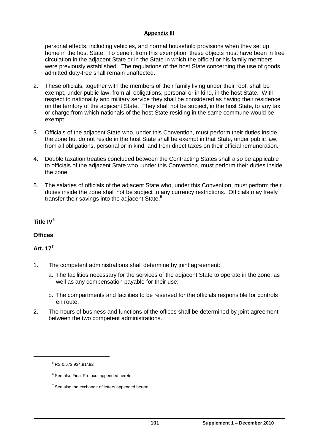personal effects, including vehicles, and normal household provisions when they set up home in the host State. To benefit from this exemption, these objects must have been in free circulation in the adjacent State or in the State in which the official or his family members were previously established. The regulations of the host State concerning the use of goods admitted duty-free shall remain unaffected.

- 2. These officials, together with the members of their family living under their roof, shall be exempt, under public law, from all obligations, personal or in kind, in the host State. With respect to nationality and military service they shall be considered as having their residence on the territory of the adjacent State. They shall not be subject, in the host State, to any tax or charge from which nationals of the host State residing in the same commune would be exempt.
- 3. Officials of the adjacent State who, under this Convention, must perform their duties inside the zone but do not reside in the host State shall be exempt in that State, under public law, from all obligations, personal or in kind, and from direct taxes on their official remuneration.
- 4. Double taxation treaties concluded between the Contracting States shall also be applicable to officials of the adjacent State who, under this Convention, must perform their duties inside the zone.
- 5. The salaries of officials of the adjacent State who, under this Convention, must perform their duties inside the zone shall not be subject to any currency restrictions. Officials may freely transfer their savings into the adjacent State.<sup>5</sup>

### **Title IV<sup>6</sup>**

### **Offices**

### **Art. 17<sup>7</sup>**

 $\overline{a}$ 

- 1. The competent administrations shall determine by joint agreement:
	- a. The facilities necessary for the services of the adjacent State to operate in the zone, as well as any compensation payable for their use;
	- b. The compartments and facilities to be reserved for the officials responsible for controls en route.
- 2. The hours of business and functions of the offices shall be determined by joint agreement between the two competent administrations.

 $5$  RS 0.672.934.91/.92

<sup>&</sup>lt;sup>6</sup> See also Final Protocol appended hereto.

 $<sup>7</sup>$  See also the exchange of letters appended hereto.</sup>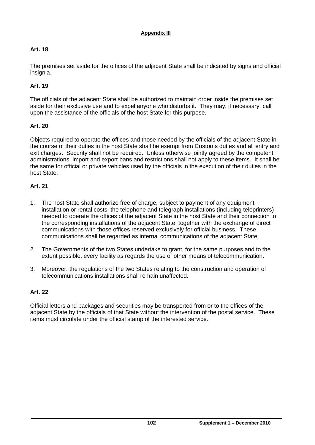## **Art. 18**

The premises set aside for the offices of the adjacent State shall be indicated by signs and official insignia.

## **Art. 19**

The officials of the adjacent State shall be authorized to maintain order inside the premises set aside for their exclusive use and to expel anyone who disturbs it. They may, if necessary, call upon the assistance of the officials of the host State for this purpose.

## **Art. 20**

Objects required to operate the offices and those needed by the officials of the adjacent State in the course of their duties in the host State shall be exempt from Customs duties and all entry and exit charges. Security shall not be required. Unless otherwise jointly agreed by the competent administrations, import and export bans and restrictions shall not apply to these items. It shall be the same for official or private vehicles used by the officials in the execution of their duties in the host State.

### **Art. 21**

- 1. The host State shall authorize free of charge, subject to payment of any equipment installation or rental costs, the telephone and telegraph installations (including teleprinters) needed to operate the offices of the adjacent State in the host State and their connection to the corresponding installations of the adjacent State, together with the exchange of direct communications with those offices reserved exclusively for official business. These communications shall be regarded as internal communications of the adjacent State.
- 2. The Governments of the two States undertake to grant, for the same purposes and to the extent possible, every facility as regards the use of other means of telecommunication.
- 3. Moreover, the regulations of the two States relating to the construction and operation of telecommunications installations shall remain unaffected.

# **Art. 22**

Official letters and packages and securities may be transported from or to the offices of the adjacent State by the officials of that State without the intervention of the postal service. These items must circulate under the official stamp of the interested service.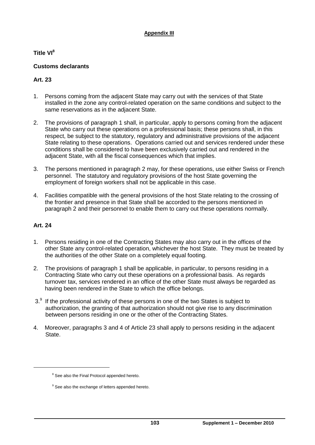**Title VI<sup>8</sup>**

## **Customs declarants**

## **Art. 23**

- 1. Persons coming from the adjacent State may carry out with the services of that State installed in the zone any control-related operation on the same conditions and subject to the same reservations as in the adjacent State.
- 2. The provisions of paragraph 1 shall, in particular, apply to persons coming from the adjacent State who carry out these operations on a professional basis; these persons shall, in this respect, be subject to the statutory, regulatory and administrative provisions of the adjacent State relating to these operations. Operations carried out and services rendered under these conditions shall be considered to have been exclusively carried out and rendered in the adjacent State, with all the fiscal consequences which that implies.
- 3. The persons mentioned in paragraph 2 may, for these operations, use either Swiss or French personnel. The statutory and regulatory provisions of the host State governing the employment of foreign workers shall not be applicable in this case.
- 4. Facilities compatible with the general provisions of the host State relating to the crossing of the frontier and presence in that State shall be accorded to the persons mentioned in paragraph 2 and their personnel to enable them to carry out these operations normally.

### **Art. 24**

- 1. Persons residing in one of the Contracting States may also carry out in the offices of the other State any control-related operation, whichever the host State. They must be treated by the authorities of the other State on a completely equal footing.
- 2. The provisions of paragraph 1 shall be applicable, in particular, to persons residing in a Contracting State who carry out these operations on a professional basis. As regards turnover tax, services rendered in an office of the other State must always be regarded as having been rendered in the State to which the office belongs.
- $3.9$  If the professional activity of these persons in one of the two States is subject to authorization, the granting of that authorization should not give rise to any discrimination between persons residing in one or the other of the Contracting States.
- 4. Moreover, paragraphs 3 and 4 of Article 23 shall apply to persons residing in the adjacent State.

<sup>&</sup>lt;sup>8</sup> See also the Final Protocol appended hereto.

<sup>&</sup>lt;sup>9</sup> See also the exchange of letters appended hereto.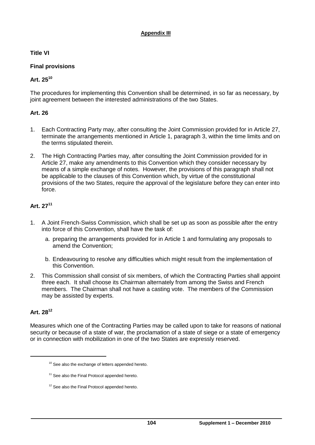**Title VI**

# **Final provisions**

# **Art. 25<sup>10</sup>**

The procedures for implementing this Convention shall be determined, in so far as necessary, by joint agreement between the interested administrations of the two States.

## **Art. 26**

- 1. Each Contracting Party may, after consulting the Joint Commission provided for in Article 27, terminate the arrangements mentioned in Article 1, paragraph 3, within the time limits and on the terms stipulated therein.
- 2. The High Contracting Parties may, after consulting the Joint Commission provided for in Article 27, make any amendments to this Convention which they consider necessary by means of a simple exchange of notes. However, the provisions of this paragraph shall not be applicable to the clauses of this Convention which, by virtue of the constitutional provisions of the two States, require the approval of the legislature before they can enter into force.

# **Art. 27<sup>11</sup>**

- 1. A Joint French-Swiss Commission, which shall be set up as soon as possible after the entry into force of this Convention, shall have the task of:
	- a. preparing the arrangements provided for in Article 1 and formulating any proposals to amend the Convention;
	- b. Endeavouring to resolve any difficulties which might result from the implementation of this Convention.
- 2. This Commission shall consist of six members, of which the Contracting Parties shall appoint three each. It shall choose its Chairman alternately from among the Swiss and French members. The Chairman shall not have a casting vote. The members of the Commission may be assisted by experts.

# **Art. 28<sup>12</sup>**

-

Measures which one of the Contracting Parties may be called upon to take for reasons of national security or because of a state of war, the proclamation of a state of siege or a state of emergency or in connection with mobilization in one of the two States are expressly reserved.

<sup>&</sup>lt;sup>10</sup> See also the exchange of letters appended hereto.

<sup>&</sup>lt;sup>11</sup> See also the Final Protocol appended hereto.

<sup>&</sup>lt;sup>12</sup> See also the Final Protocol appended hereto.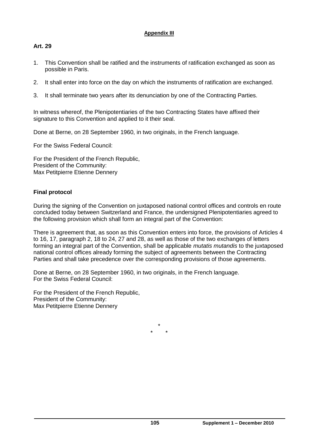## **Art. 29**

- 1. This Convention shall be ratified and the instruments of ratification exchanged as soon as possible in Paris.
- 2. It shall enter into force on the day on which the instruments of ratification are exchanged.
- 3. It shall terminate two years after its denunciation by one of the Contracting Parties.

In witness whereof, the Plenipotentiaries of the two Contracting States have affixed their signature to this Convention and applied to it their seal.

Done at Berne, on 28 September 1960, in two originals, in the French language.

For the Swiss Federal Council:

For the President of the French Republic, President of the Community: Max Petitpierre Etienne Dennery

## **Final protocol**

During the signing of the Convention on juxtaposed national control offices and controls en route concluded today between Switzerland and France, the undersigned Plenipotentiaries agreed to the following provision which shall form an integral part of the Convention:

There is agreement that, as soon as this Convention enters into force, the provisions of Articles 4 to 16, 17, paragraph 2, 18 to 24, 27 and 28, as well as those of the two exchanges of letters forming an integral part of the Convention, shall be applicable *mutatis mutandis* to the juxtaposed national control offices already forming the subject of agreements between the Contracting Parties and shall take precedence over the corresponding provisions of those agreements.

Done at Berne, on 28 September 1960, in two originals, in the French language. For the Swiss Federal Council:

For the President of the French Republic, President of the Community: Max Petitpierre Etienne Dennery

> \* \* \*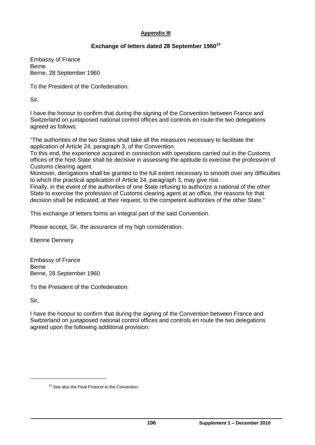### **Exchange of letters dated 28 September 1960<sup>13</sup>**

Embassy of France Berne Berne, 28 September 1960

To the President of the Confederation:

Sir,

I have the honour to confirm that during the signing of the Convention between France and Switzerland on juxtaposed national control offices and controls en route the two delegations agreed as follows:

"The authorities of the two States shall take all the measures necessary to facilitate the application of Article 24, paragraph 3, of the Convention.

To this end, the experience acquired in connection with operations carried out in the Customs offices of the host State shall be decisive in assessing the aptitude to exercise the profession of Customs clearing agent.

Moreover, derogations shall be granted to the full extent necessary to smooth over any difficulties to which the practical application of Article 24, paragraph 3, may give rise.

Finally, in the event of the authorities of one State refusing to authorize a national of the other State to exercise the profession of Customs clearing agent at an office, the reasons for that decision shall be indicated, at their request, to the competent authorities of the other State."

This exchange of letters forms an integral part of the said Convention.

Please accept, Sir, the assurance of my high consideration.

Etienne Dennery

Embassy of France Berne Berne, 28 September 1960

To the President of the Confederation:

Sir,

-

I have the honour to confirm that during the signing of the Convention between France and Switzerland on juxtaposed national control offices and controls en route the two delegations agreed upon the following additional provision:

<sup>&</sup>lt;sup>13</sup> See also the Final Protocol to the Convention.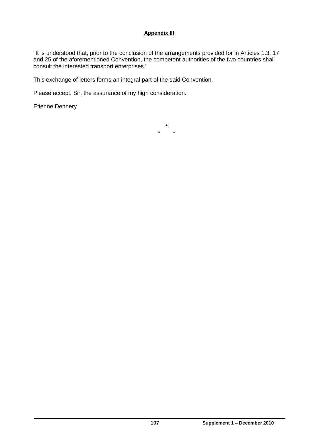"It is understood that, prior to the conclusion of the arrangements provided for in Articles 1.3, 17 and 25 of the aforementioned Convention, the competent authorities of the two countries shall consult the interested transport enterprises."

This exchange of letters forms an integral part of the said Convention.

Please accept, Sir, the assurance of my high consideration.

Etienne Dennery

\* \* \*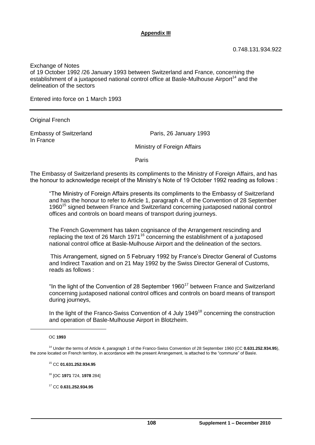Exchange of Notes of 19 October 1992 /26 January 1993 between Switzerland and France, concerning the establishment of a juxtaposed national control office at Basle-Mulhouse Airport<sup>14</sup> and the delineation of the sectors

Entered into force on 1 March 1993

Original French

Embassy of Switzerland Paris, 26 January 1993 In France

Ministry of Foreign Affairs

Paris

The Embassy of Switzerland presents its compliments to the Ministry of Foreign Affairs, and has the honour to acknowledge receipt of the Ministry's Note of 19 October 1992 reading as follows :

"The Ministry of Foreign Affairs presents its compliments to the Embassy of Switzerland and has the honour to refer to Article 1, paragraph 4, of the Convention of 28 September 1960<sup>15</sup> signed between France and Switzerland concerning juxtaposed national control offices and controls on board means of transport during journeys.

The French Government has taken cognisance of the Arrangement rescinding and replacing the text of 26 March 1971<sup>16</sup> concerning the establishment of a juxtaposed national control office at Basle-Mulhouse Airport and the delineation of the sectors.

This Arrangement, signed on 5 February 1992 by France's Director General of Customs and Indirect Taxation and on 21 May 1992 by the Swiss Director General of Customs, reads as follows :

"In the light of the Convention of 28 September  $1960^{17}$  between France and Switzerland concerning juxtaposed national control offices and controls on board means of transport during journeys,

In the light of the Franco-Swiss Convention of 4 July 1949<sup>18</sup> concerning the construction and operation of Basle-Mulhouse Airport in Blotzheim.

#### OC **1993**

-

<sup>14</sup> Under the terms of Article 4, paragraph 1 of the Franco-Swiss Convention of 28 September 1960 (CC 0.631.252.934.95), the zone located on French territory, in accordance with the present Arrangement, is attached to the "commune" of Basle.

<sup>15</sup> CC **01.631.252.934.95**

<sup>16</sup> [OC **1971** 724, **1978** 284]

<sup>17</sup> CC **0.631.252.934.95**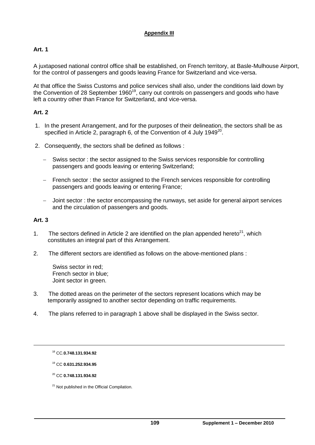# **Art. 1**

A juxtaposed national control office shall be established, on French territory, at Basle-Mulhouse Airport, for the control of passengers and goods leaving France for Switzerland and vice-versa.

At that office the Swiss Customs and police services shall also, under the conditions laid down by the Convention of 28 September 1960<sup>19</sup>, carry out controls on passengers and goods who have left a country other than France for Switzerland, and vice-versa.

# **Art. 2**

- 1. In the present Arrangement, and for the purposes of their delineation, the sectors shall be as specified in Article 2, paragraph 6, of the Convention of 4 July 1949<sup>20</sup>.
- 2. Consequently, the sectors shall be defined as follows :
	- Swiss sector: the sector assigned to the Swiss services responsible for controlling passengers and goods leaving or entering Switzerland;
	- French sector : the sector assigned to the French services responsible for controlling passengers and goods leaving or entering France;
	- Joint sector : the sector encompassing the runways, set aside for general airport services and the circulation of passengers and goods.

#### **Art. 3**

1

- 1. The sectors defined in Article 2 are identified on the plan appended hereto<sup>21</sup>, which constitutes an integral part of this Arrangement.
- 2. The different sectors are identified as follows on the above-mentioned plans :

Swiss sector in red; French sector in blue; Joint sector in green.

- 3. The dotted areas on the perimeter of the sectors represent locations which may be temporarily assigned to another sector depending on traffic requirements.
- 4. The plans referred to in paragraph 1 above shall be displayed in the Swiss sector.

<sup>18</sup> CC.**0.748.131.934.92**

<sup>19</sup> CC **0.631.252.934.95**

<sup>20</sup> CC **0.748.131.934.92**

<sup>&</sup>lt;sup>21</sup> Not published in the Official Compilation.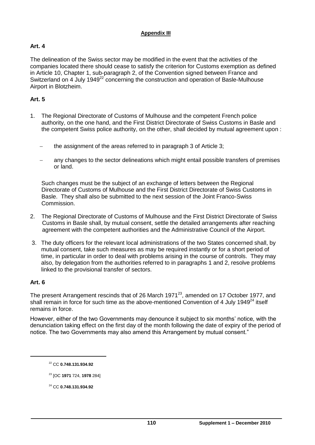# **Art. 4**

The delineation of the Swiss sector may be modified in the event that the activities of the companies located there should cease to satisfy the criterion for Customs exemption as defined in Article 10, Chapter 1, sub-paragraph 2, of the Convention signed between France and Switzerland on 4 July 1949<sup>22</sup> concerning the construction and operation of Basle-Mulhouse Airport in Blotzheim.

### **Art. 5**

- 1. The Regional Directorate of Customs of Mulhouse and the competent French police authority, on the one hand, and the First District Directorate of Swiss Customs in Basle and the competent Swiss police authority, on the other, shall decided by mutual agreement upon :
	- the assignment of the areas referred to in paragraph 3 of Article 3;
	- any changes to the sector delineations which might entail possible transfers of premises or land.

Such changes must be the subject of an exchange of letters between the Regional Directorate of Customs of Mulhouse and the First District Directorate of Swiss Customs in Basle. They shall also be submitted to the next session of the Joint Franco-Swiss Commission.

- 2. The Regional Directorate of Customs of Mulhouse and the First District Directorate of Swiss Customs in Basle shall, by mutual consent, settle the detailed arrangements after reaching agreement with the competent authorities and the Administrative Council of the Airport.
- 3. The duty officers for the relevant local administrations of the two States concerned shall, by mutual consent, take such measures as may be required instantly or for a short period of time, in particular in order to deal with problems arising in the course of controls. They may also, by delegation from the authorities referred to in paragraphs 1 and 2, resolve problems linked to the provisional transfer of sectors.

#### **Art. 6**

-

The present Arrangement rescinds that of 26 March 1971<sup>23</sup>, amended on 17 October 1977, and shall remain in force for such time as the above-mentioned Convention of 4 July 1949 $^{24}$  itself remains in force.

However, either of the two Governments may denounce it subject to six months' notice, with the denunciation taking effect on the first day of the month following the date of expiry of the period of notice. The two Governments may also amend this Arrangement by mutual consent."

<sup>22</sup> CC **0.748.131.934.92**

<sup>23</sup> [OC **1971** 724, **1978** 284]

<sup>24</sup> CC **0.748.131.934.92**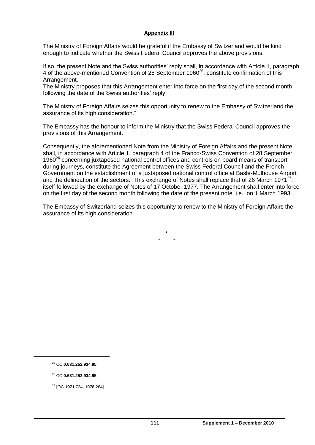The Ministry of Foreign Affairs would be grateful if the Embassy of Switzerland would be kind enough to indicate whether the Swiss Federal Council approves the above provisions.

If so, the present Note and the Swiss authorities' reply shall, in accordance with Article 1, paragraph 4 of the above-mentioned Convention of 28 September 1960<sup>25</sup>, constitute confirmation of this Arrangement.

The Ministry proposes that this Arrangement enter into force on the first day of the second month following the date of the Swiss authorities' reply.

The Ministry of Foreign Affairs seizes this opportunity to renew to the Embassy of Switzerland the assurance of its high consideration."

The Embassy has the honour to inform the Ministry that the Swiss Federal Council approves the provisions of this Arrangement.

Consequently, the aforementioned Note from the Ministry of Foreign Affairs and the present Note shall, in accordance with Article 1, paragraph 4 of the Franco-Swiss Convention of 28 September 1960<sup>26</sup> concerning juxtaposed national control offices and controls on board means of transport during journeys, constitute the Agreement between the Swiss Federal Council and the French Government on the establishment of a juxtaposed national control office at Basle-Mulhouse Airport and the delineation of the sectors. This exchange of Notes shall replace that of 26 March 1971<sup>27</sup>, itself followed by the exchange of Notes of 17 October 1977. The Arrangement shall enter into force on the first day of the second month following the date of the present note, i.e., on 1 March 1993.

The Embassy of Switzerland seizes this opportunity to renew to the Ministry of Foreign Affairs the assurance of its high consideration.

> \* \* \*

 $\overline{a}$ 

<sup>25</sup> CC **0.631.252.934.95**

<sup>26</sup> CC.**0.631.252.934.95**

<sup>27</sup> [OC **1971** 724, **1978** 284]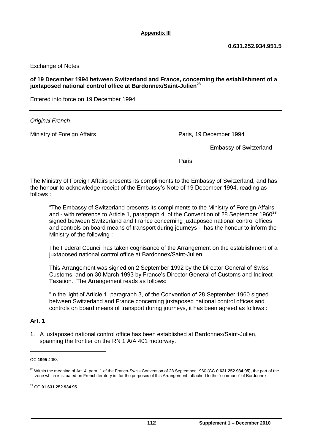Exchange of Notes

#### **of 19 December 1994 between Switzerland and France, concerning the establishment of a juxtaposed national control office at Bardonnex/Saint-Julien<sup>28</sup>**

Entered into force on 19 December 1994

*Original French*

Ministry of Foreign Affairs **Paris, 19 December 1994** Paris, 19 December 1994

Embassy of Switzerland

**Paris Paris Property of the Contract of Contract Paris** 

The Ministry of Foreign Affairs presents its compliments to the Embassy of Switzerland, and has the honour to acknowledge receipt of the Embassy's Note of 19 December 1994, reading as follows :

"The Embassy of Switzerland presents its compliments to the Ministry of Foreign Affairs and - with reference to Article 1, paragraph 4, of the Convention of 28 September  $1960^{29}$ signed between Switzerland and France concerning juxtaposed national control offices and controls on board means of transport during journeys - has the honour to inform the Ministry of the following :

The Federal Council has taken cognisance of the Arrangement on the establishment of a juxtaposed national control office at Bardonnex/Saint-Julien.

This Arrangement was signed on 2 September 1992 by the Director General of Swiss Customs, and on 30 March 1993 by France's Director General of Customs and Indirect Taxation. The Arrangement reads as follows:

"In the light of Article 1, paragraph 3, of the Convention of 28 September 1960 signed between Switzerland and France concerning juxtaposed national control offices and controls on board means of transport during journeys, it has been agreed as follows :

### **Art. 1**

-

1. A juxtaposed national control office has been established at Bardonnex/Saint-Julien, spanning the frontier on the RN 1 A/A 401 motorway.

OC **1995** 4058

<sup>28</sup> Within the meaning of Art. 4, para. 1 of the Franco-Swiss Convention of 28 September 1960 (CC **0.631.252.934.95**), the part of the zone which is situated on French territory is, for the purposes of this Arrangement, attached to the "commune" of Bardonnex.

<sup>29</sup> CC **01.631.252.934.95**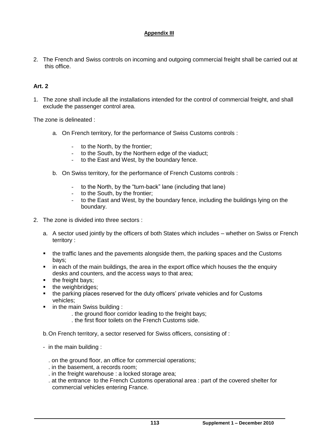2. The French and Swiss controls on incoming and outgoing commercial freight shall be carried out at this office.

# **Art. 2**

1. The zone shall include all the installations intended for the control of commercial freight, and shall exclude the passenger control area.

The zone is delineated :

- a. On French territory, for the performance of Swiss Customs controls :
	- to the North, by the frontier;
	- to the South, by the Northern edge of the viaduct;
	- to the East and West, by the boundary fence.
- b. On Swiss territory, for the performance of French Customs controls :
	- to the North, by the "turn-back" lane (including that lane)
	- to the South, by the frontier;
	- to the East and West, by the boundary fence, including the buildings lying on the boundary.
- 2. The zone is divided into three sectors :
	- a. A sector used jointly by the officers of both States which includes whether on Swiss or French territory :
	- the traffic lanes and the pavements alongside them, the parking spaces and the Customs bays;
	- **EXED** in each of the main buildings, the area in the export office which houses the the enquiry desks and counters, and the access ways to that area;
	- $\blacksquare$  the freight bays;
	- the weighbridges;
	- the parking places reserved for the duty officers' private vehicles and for Customs vehicles;
	- in the main Swiss building :
		- . the ground floor corridor leading to the freight bays;
		- . the first floor toilets on the French Customs side.

b.On French territory, a sector reserved for Swiss officers, consisting of :

- in the main building :
	- . on the ground floor, an office for commercial operations;
	- . in the basement, a records room;
	- . in the freight warehouse : a locked storage area;
	- . at the entrance to the French Customs operational area : part of the covered shelter for commercial vehicles entering France.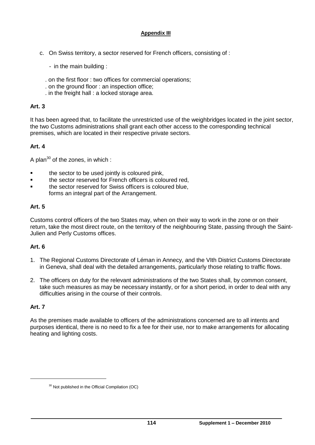- c. On Swiss territory, a sector reserved for French officers, consisting of :
	- in the main building :
	- . on the first floor : two offices for commercial operations;
	- . on the ground floor : an inspection office;
	- . in the freight hall : a locked storage area.

#### **Art. 3**

It has been agreed that, to facilitate the unrestricted use of the weighbridges located in the joint sector, the two Customs administrations shall grant each other access to the corresponding technical premises, which are located in their respective private sectors.

# **Art. 4**

A plan $30$  of the zones, in which :

- the sector to be used jointly is coloured pink,
- the sector reserved for French officers is coloured red,
- the sector reserved for Swiss officers is coloured blue, forms an integral part of the Arrangement.

# **Art. 5**

Customs control officers of the two States may, when on their way to work in the zone or on their return, take the most direct route, on the territory of the neighbouring State, passing through the Saint-Julien and Perly Customs offices.

# **Art. 6**

- 1. The Regional Customs Directorate of Léman in Annecy, and the VIth District Customs Directorate in Geneva, shall deal with the detailed arrangements, particularly those relating to traffic flows.
- 2. The officers on duty for the relevant administrations of the two States shall, by common consent, take such measures as may be necessary instantly, or for a short period, in order to deal with any difficulties arising in the course of their controls.

# **Art. 7**

-

As the premises made available to officers of the administrations concerned are to all intents and purposes identical, there is no need to fix a fee for their use, nor to make arrangements for allocating heating and lighting costs.

<sup>30</sup> Not published in the Official Compilation (OC)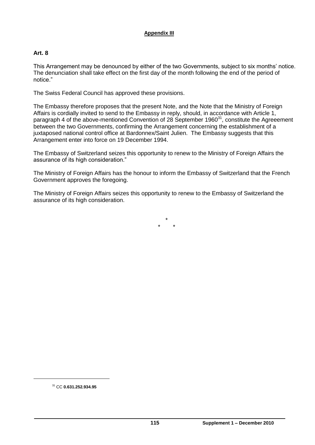# **Art. 8**

This Arrangement may be denounced by either of the two Governments, subject to six months' notice. The denunciation shall take effect on the first day of the month following the end of the period of notice."

The Swiss Federal Council has approved these provisions.

The Embassy therefore proposes that the present Note, and the Note that the Ministry of Foreign Affairs is cordially invited to send to the Embassy in reply, should, in accordance with Article 1, paragraph 4 of the above-mentioned Convention of 28 September 1960 $31$ , constitute the Agreeement between the two Governments, confirming the Arrangement concerning the establishment of a juxtaposed national control office at Bardonnex/Saint Julien. The Embassy suggests that this Arrangement enter into force on 19 December 1994.

The Embassy of Switzerland seizes this opportunity to renew to the Ministry of Foreign Affairs the assurance of its high consideration."

The Ministry of Foreign Affairs has the honour to inform the Embassy of Switzerland that the French Government approves the foregoing.

The Ministry of Foreign Affairs seizes this opportunity to renew to the Embassy of Switzerland the assurance of its high consideration.

> \* \* \*

<sup>31</sup> CC **0.631.252.934.95**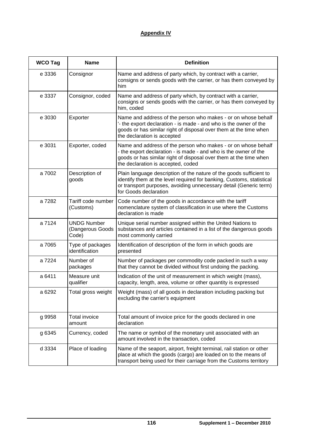# **Appendix IV**

| <b>WCO Tag</b> | <b>Name</b>                                     | <b>Definition</b>                                                                                                                                                                                                                            |
|----------------|-------------------------------------------------|----------------------------------------------------------------------------------------------------------------------------------------------------------------------------------------------------------------------------------------------|
| e 3336         | Consignor                                       | Name and address of party which, by contract with a carrier,<br>consigns or sends goods with the carrier, or has them conveyed by<br>him                                                                                                     |
| e 3337         | Consignor, coded                                | Name and address of party which, by contract with a carrier,<br>consigns or sends goods with the carrier, or has them conveyed by<br>him, coded                                                                                              |
| e 3030         | Exporter                                        | Name and address of the person who makes - or on whose behalf<br>'- the export declaration - is made - and who is the owner of the<br>goods or has similar right of disposal over them at the time when<br>the declaration is accepted       |
| e 3031         | Exporter, coded                                 | Name and address of the person who makes - or on whose behalf<br>- the export declaration - is made - and who is the owner of the<br>goods or has similar right of disposal over them at the time when<br>the declaration is accepted, coded |
| a 7002         | Description of<br>goods                         | Plain language description of the nature of the goods sufficient to<br>identify them at the level required for banking, Customs, statistical<br>or transport purposes, avoiding unnecessary detail (Generic term)<br>for Goods declaration   |
| a 7282         | Tariff code number<br>(Customs)                 | Code number of the goods in accordance with the tariff<br>nomenclature system of classification in use where the Customs<br>declaration is made                                                                                              |
| a 7124         | <b>UNDG Number</b><br>(Dangerous Goods<br>Code) | Unique serial number assigned within the United Nations to<br>substances and articles contained in a list of the dangerous goods<br>most commonly carried                                                                                    |
| a 7065         | Type of packages<br>identification              | Identification of description of the form in which goods are<br>presented                                                                                                                                                                    |
| a 7224         | Number of<br>packages                           | Number of packages per commodity code packed in such a way<br>that they cannot be divided without first undoing the packing.                                                                                                                 |
| a 6411         | Measure unit<br>qualifier                       | Indication of the unit of measurement in which weight (mass),<br>capacity, length, area, volume or other quantity is expressed                                                                                                               |
| a 6292         | Total gross weight                              | Weight (mass) of all goods in declaration including packing but<br>excluding the carrier's equipment                                                                                                                                         |
| g 9958         | <b>Total invoice</b><br>amount                  | Total amount of invoice price for the goods declared in one<br>declaration                                                                                                                                                                   |
| g 6345         | Currency, coded                                 | The name or symbol of the monetary unit associated with an<br>amount involved in the transaction, coded                                                                                                                                      |
| d 3334         | Place of loading                                | Name of the seaport, airport, freight terminal, rail station or other<br>place at which the goods (cargo) are loaded on to the means of<br>transport being used for their carriage from the Customs territory                                |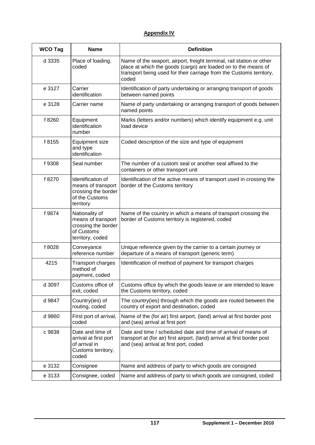# **Appendix IV**

| <b>WCO Tag</b> | <b>Name</b>                                                                                   | <b>Definition</b>                                                                                                                                                                                                       |
|----------------|-----------------------------------------------------------------------------------------------|-------------------------------------------------------------------------------------------------------------------------------------------------------------------------------------------------------------------------|
| d 3335         | Place of loading,<br>coded                                                                    | Name of the seaport, airport, freight terminal, rail station or other<br>place at which the goods (cargo) are loaded on to the means of<br>transport being used for their carriage from the Customs territory,<br>coded |
| e 3127         | Carrier<br>identification                                                                     | Identification of party undertaking or arranging transport of goods<br>between named points                                                                                                                             |
| e 3128         | Carrier name                                                                                  | Name of party undertaking or arranging transport of goods between<br>named points                                                                                                                                       |
| f 8260         | Equipment<br>identification<br>number                                                         | Marks (letters and/or numbers) which identify equipment e.g. unit<br>load device                                                                                                                                        |
| f 8155         | <b>Equipment size</b><br>and type<br>identification                                           | Coded description of the size and type of equipment                                                                                                                                                                     |
| f 9308         | Seal number                                                                                   | The number of a custom seal or another seal affixed to the<br>containers or other transport unit                                                                                                                        |
| f 8270         | Identification of<br>means of transport<br>crossing the border<br>of the Customs<br>territory | Identification of the active means of transport used in crossing the<br>border of the Customs territory                                                                                                                 |
| f 9874         | Nationality of<br>means of transport<br>crossing the border<br>of Customs<br>territory, coded | Name of the country in which a means of transport crossing the<br>border of Customs territory is registered, coded                                                                                                      |
| f 8028         | Conveyance<br>reference number                                                                | Unique reference given by the carrier to a certain journey or<br>departure of a means of transport (generic term)                                                                                                       |
| 4215           | Transport charges<br>method of<br>payment, coded                                              | Identification of method of payment for transport charges                                                                                                                                                               |
| d 3097         | Customs office of<br>exit, coded                                                              | Customs office by which the goods leave or are intended to leave<br>the Customs territory, coded                                                                                                                        |
| d 9847         | Country(ies) of<br>routing, coded                                                             | The country(ies) through which the goods are routed between the<br>country of export and destination, coded                                                                                                             |
| d 9860         | First port of arrival,<br>coded                                                               | Name of the (for air) first airport, (land) arrival at first border post<br>and (sea) arrival at first port                                                                                                             |
| c 9838         | Date and time of<br>arrival at first port<br>of arrival in<br>Customs territory,<br>coded     | Date and time / scheduled date and time of arrival of means of<br>transport at (for air) first airport, (land) arrival at first border post<br>and (sea) arrival at first port, coded                                   |
| e 3132         | Consignee                                                                                     | Name and address of party to which goods are consigned                                                                                                                                                                  |
| e 3133         | Consignee, coded                                                                              | Name and address of party to which goods are consigned, coded                                                                                                                                                           |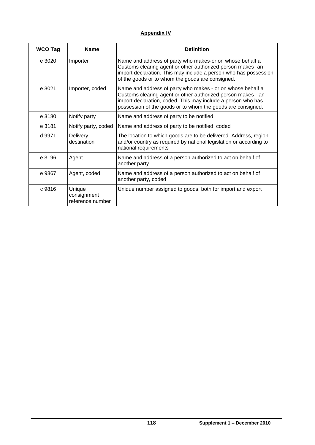# **Appendix IV**

| <b>WCO Tag</b> | <b>Name</b>                               | <b>Definition</b>                                                                                                                                                                                                                                         |
|----------------|-------------------------------------------|-----------------------------------------------------------------------------------------------------------------------------------------------------------------------------------------------------------------------------------------------------------|
| e 3020         | Importer                                  | Name and address of party who makes-or on whose behalf a<br>Customs clearing agent or other authorized person makes- an<br>import declaration. This may include a person who has possession<br>of the goods or to whom the goods are consigned.           |
| e 3021         | Importer, coded                           | Name and address of party who makes - or on whose behalf a<br>Customs clearing agent or other authorized person makes - an<br>import declaration, coded. This may include a person who has<br>possession of the goods or to whom the goods are consigned. |
| e 3180         | Notify party                              | Name and address of party to be notified                                                                                                                                                                                                                  |
| e 3181         | Notify party, coded                       | Name and address of party to be notified, coded                                                                                                                                                                                                           |
| d 9971         | Delivery<br>destination                   | The location to which goods are to be delivered. Address, region<br>and/or country as required by national legislation or according to<br>national requirements                                                                                           |
| e 3196         | Agent                                     | Name and address of a person authorized to act on behalf of<br>another party                                                                                                                                                                              |
| e 9867         | Agent, coded                              | Name and address of a person authorized to act on behalf of<br>another party, coded                                                                                                                                                                       |
| c 9816         | Unique<br>consignment<br>reference number | Unique number assigned to goods, both for import and export                                                                                                                                                                                               |